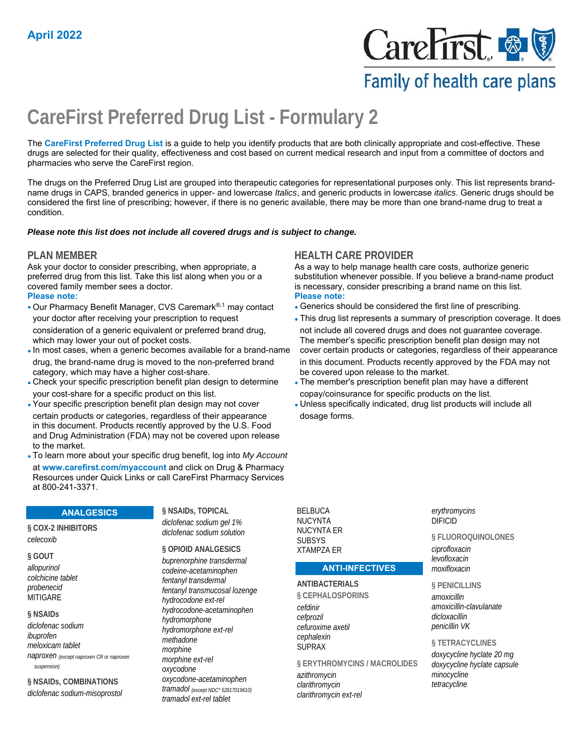

# Family of health care plans

# **CareFirst Preferred Drug List - Formulary 2**

The **CareFirst Preferred Drug List** is a guide to help you identify products that are both clinically appropriate and cost-effective. These drugs are selected for their quality, effectiveness and cost based on current medical research and input from a committee of doctors and pharmacies who serve the CareFirst region.

The drugs on the Preferred Drug List are grouped into therapeutic categories for representational purposes only. This list represents brandname drugs in CAPS, branded generics in upper- and lowercase *Italics*, and generic products in lowercase *italics*. Generic drugs should be considered the first line of prescribing; however, if there is no generic available, there may be more than one brand-name drug to treat a condition.

### *Please note this list does not include all covered drugs and is subject to change.*

Ask your doctor to consider prescribing, when appropriate, a preferred drug from this list. Take this list along when you or a covered family member sees a doctor. **Please note: Please note:**

• Our Pharmacy Benefit Manager, CVS Caremark®,1 may contact • Generics should be considered the first line of prescribing.

- drug, the brand-name drug is moved to the non-preferred brand in this document. Products recently approved by the FDA may not category, which may have a higher cost-share. be covered upon release to the market.
- Check your specific prescription benefit plan design to determine The member's prescription benefit plan may have a different your cost-share for a specific product on this list.
- 
- certain products or categories, regardless of their appearance dosage forms. in this document. Products recently approved by the U.S. Food and Drug Administration (FDA) may not be covered upon release to the market.
- To learn more about your specific drug benefit, log into *My Account* at **www.carefirst.com/myaccount** and click on Drug & Pharmacy Resources under Quick Links or call CareFirst Pharmacy Services at 800-241-3371.

### **ANALGESICS**

**§ COX-2 INHIBITORS**  *celecoxib*

### **§ GOUT**

*allopurinol colchicine tablet probenecid* **MITIGARE** 

### **§ NSAIDs**

*diclofenac sodium ibuprofen meloxicam tablet naproxen (except naproxen CR or naproxen suspension)*

**§ NSAIDs, COMBINATIONS**  *diclofenac sodium-misoprostol* **§ NSAIDs, TOPICAL**  *diclofenac sodium gel 1% diclofenac sodium solution*

### **§ OPIOID ANALGESICS**

*buprenorphine transdermal codeine-acetaminophen fentanyl transdermal fentanyl transmucosal lozenge hydrocodone ext-rel hydrocodone-acetaminophen hydromorphone hydromorphone ext-rel methadone morphine morphine ext-rel oxycodone oxycodone-acetaminophen tramadol (except NDC\* 52817019610) tramadol ext-rel tablet*

BELBUCA NUCYNTA NUCYNTA ER **SUBSYS** XTAMPZA ER

## **ANTI-INFECTIVES**

### **ANTIBACTERIALS**

**§ CEPHALOSPORINS**  *cefdinir cefprozil cefuroxime axetil cephalexin* SUPRAX

**§ ERYTHROMYCINS / MACROLIDES**  *azithromycin clarithromycin clarithromycin ext-rel*

*erythromycins* DIFICID

**§ FLUOROQUINOLONES**  *ciprofloxacin levofloxacin moxifloxacin*

### **§ PENICILLINS**

*amoxicillin amoxicillin-clavulanate dicloxacillin penicillin VK*

### **§ TETRACYCLINES**

*doxycycline hyclate 20 mg doxycycline hyclate capsule minocycline tetracycline*

### **PLAN MEMBER HEALTH CARE PROVIDER**

As a way to help manage health care costs, authorize generic substitution whenever possible. If you believe a brand-name product is necessary, consider prescribing a brand name on this list.

- 
- your doctor after receiving your prescription to request  **This drug list represents a summary of prescription coverage. It does** consideration of a generic equivalent or preferred brand drug, not include all covered drugs and does not guarantee coverage. which may lower your out of pocket costs. The member's specific prescription benefit plan design may not •In most cases, when a generic becomes available for a brand-name cover certain products or categories, regardless of their appearance
	- copay/coinsurance for specific products on the list.
- Your specific prescription benefit plan design may not cover • Unless specifically indicated, drug list products will include all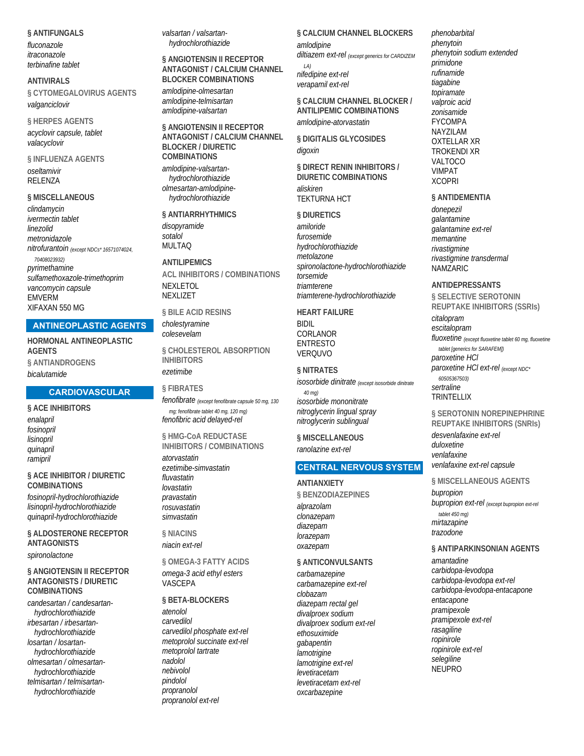**§ ANTIFUNGALS**  *fluconazole itraconazole terbinafine tablet*

**ANTIVIRALS § CYTOMEGALOVIRUS AGENTS**  *valganciclovir*

**§ HERPES AGENTS**  *acyclovir capsule, tablet valacyclovir*

**§ INFLUENZA AGENTS**  *oseltamivir* RELENZA

#### **§ MISCELLANEOUS**

*clindamycin ivermectin tablet linezolid metronidazole nitrofurantoin (except NDCs\* 16571074024, 70408023932) pyrimethamine sulfamethoxazole-trimethoprim vancomycin capsule* EMVERM XIFAXAN 550 MG

### **ANTINEOPLASTIC AGENTS**

**HORMONAL ANTINEOPLASTIC AGENTS § ANTIANDROGENS**  *bicalutamide*

### **CARDIOVASCULAR**

**§ ACE INHIBITORS**  *enalapril fosinopril lisinopril quinapril ramipril*

**§ ACE INHIBITOR / DIURETIC COMBINATIONS** 

*fosinopril-hydrochlorothiazide lisinopril-hydrochlorothiazide quinapril-hydrochlorothiazide*

**§ ALDOSTERONE RECEPTOR ANTAGONISTS**  *spironolactone*

### **§ ANGIOTENSIN II RECEPTOR ANTAGONISTS / DIURETIC COMBINATIONS**

*candesartan / candesartanhydrochlorothiazide irbesartan / irbesartanhydrochlorothiazide losartan / losartanhydrochlorothiazide olmesartan / olmesartanhydrochlorothiazide telmisartan / telmisartanhydrochlorothiazide*

*valsartan / valsartanhydrochlorothiazide*

**§ ANGIOTENSIN II RECEPTOR ANTAGONIST / CALCIUM CHANNEL BLOCKER COMBINATIONS**  *amlodipine-olmesartan amlodipine-telmisartan amlodipine-valsartan*

**§ ANGIOTENSIN II RECEPTOR ANTAGONIST / CALCIUM CHANNEL BLOCKER / DIURETIC COMBINATIONS** 

*amlodipine-valsartanhydrochlorothiazide olmesartan-amlodipinehydrochlorothiazide*

**§ ANTIARRHYTHMICS**  *disopyramide sotalol* MULTAQ

**ANTILIPEMICS ACL INHIBITORS / COMBINATIONS**  NEXLETOL NEXLIZET

**§ BILE ACID RESINS** 

*cholestyramine colesevelam*

**§ CHOLESTEROL ABSORPTION INHIBITORS**  *ezetimibe*

### **§ FIBRATES**

*fenofibrate (except fenofibrate capsule 50 mg, 130 mg; fenofibrate tablet 40 mg, 120 mg) fenofibric acid delayed-rel*

**§ HMG-CoA REDUCTASE INHIBITORS / COMBINATIONS**  *atorvastatin ezetimibe-simvastatin fluvastatin lovastatin pravastatin rosuvastatin simvastatin*

**§ NIACINS**  *niacin ext-rel*

**§ OMEGA-3 FATTY ACIDS**  *omega-3 acid ethyl esters* **VASCEPA** 

**§ BETA-BLOCKERS**  *atenolol carvedilol carvedilol phosphate ext-rel metoprolol succinate ext-rel metoprolol tartrate nadolol nebivolol pindolol propranolol propranolol ext-rel*

### **§ CALCIUM CHANNEL BLOCKERS**  *amlodipine*

*diltiazem ext-rel (except generics for CARDIZEM LA) nifedipine ext-rel verapamil ext-rel*

**§ CALCIUM CHANNEL BLOCKER / ANTILIPEMIC COMBINATIONS**  *amlodipine-atorvastatin*

**§ DIGITALIS GLYCOSIDES**  *digoxin*

**§ DIRECT RENIN INHIBITORS / DIURETIC COMBINATIONS**  *aliskiren* TEKTURNA HCT

#### **§ DIURETICS**

*amiloride furosemide hydrochlorothiazide metolazone spironolactone-hydrochlorothiazide torsemide triamterene triamterene-hydrochlorothiazide*

**HEART FAILURE** 

BIDIL CORLANOR ENTRESTO VERQUVO

**§ NITRATES**  *isosorbide dinitrate (except isosorbide dinitrate 40 mg) isosorbide mononitrate nitroglycerin lingual spray nitroglycerin sublingual*

**§ MISCELLANEOUS**  *ranolazine ext-rel*

### **CENTRAL NERVOUS SYSTEM**

#### **ANTIANXIETY**

**§ BENZODIAZEPINES**  *alprazolam clonazepam diazepam lorazepam oxazepam*

### **§ ANTICONVULSANTS**

*carbamazepine carbamazepine ext-rel clobazam diazepam rectal gel divalproex sodium divalproex sodium ext-rel ethosuximide gabapentin lamotrigine lamotrigine ext-rel levetiracetam levetiracetam ext-rel oxcarbazepine*

*phenobarbital phenytoin phenytoin sodium extended primidone rufinamide tiagabine topiramate valproic acid zonisamide* FYCOMPA NAYZILAM OXTELLAR XR TROKENDI XR VALTOCO VIMPAT **XCOPRI** 

### **§ ANTIDEMENTIA**

*donepezil galantamine galantamine ext-rel memantine rivastigmine rivastigmine transdermal* NAMZARIC

### **ANTIDEPRESSANTS**

**§ SELECTIVE SEROTONIN REUPTAKE INHIBITORS (SSRIs)** 

*citalopram escitalopram fluoxetine (except fluoxetine tablet 60 mg, fluoxetine tablet [generics for SARAFEM])*

*paroxetine HCl paroxetine HCl ext-rel (except NDC\* 60505367503) sertraline* **TRINTFLLIX** 

### **§ SEROTONIN NOREPINEPHRINE REUPTAKE INHIBITORS (SNRIs)**

*desvenlafaxine ext-rel duloxetine venlafaxine venlafaxine ext-rel capsule*

#### **§ MISCELLANEOUS AGENTS**

*bupropion bupropion ext-rel (except bupropion ext-rel tablet 450 mg) mirtazapine trazodone*

### **§ ANTIPARKINSONIAN AGENTS**

*amantadine carbidopa-levodopa carbidopa-levodopa ext-rel carbidopa-levodopa-entacapone entacapone pramipexole pramipexole ext-rel rasagiline ropinirole ropinirole ext-rel selegiline* NEUPRO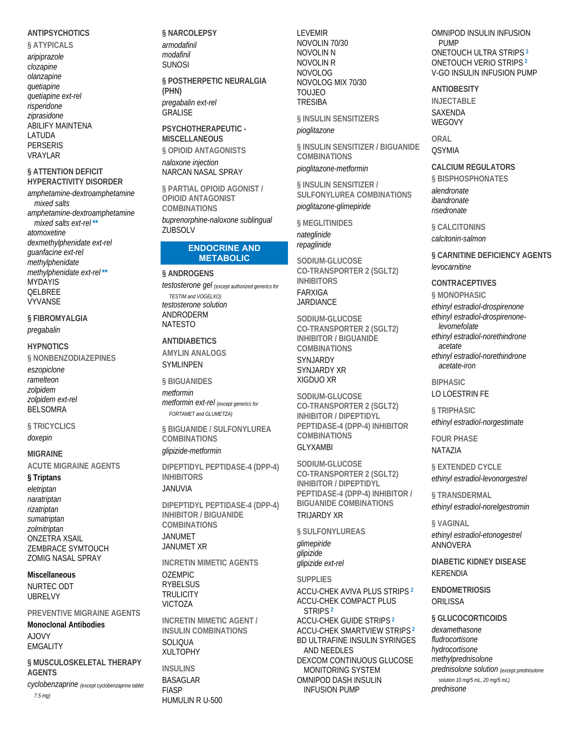### **ANTIPSYCHOTICS**

§ ATYPICALS aripiprazole clozapine olanzapine quetiapine quetiapine ext-rel risperidone ziprasidone **ABILIFY MAINTENA** LATUDA **PERSERIS VRAYLAR** 

### § ATTENTION DEFICIT **HYPERACTIVITY DISORDER**

amphetamine-dextroamphetamine mixed salts amphetamine-dextroamphetamine mixed salts ext-rel\*\* atomoxetine dexmethylphenidate ext-rel guanfacine ext-rel methylphenidate methylphenidate ext-rel\*\* **MYDAYIS QELBREE VYVANSE** 

§ FIBROMYALGIA pregabalin

### **HYPNOTICS**

§ NONBENZODIAZEPINES

eszopiclone ramelteon zolpidem zolpidem ext-rel **BELSOMRA** 

§ TRICYCLICS doxepin

**MIGRAINE** 

**ACUTE MIGRAINE AGENTS** 

§ Triptans

eletriptan naratriptan rizatriptan sumatriptan zolmitriptan **ONZETRA XSAIL ZEMBRACE SYMTOUCH ZOMIG NASAL SPRAY** 

### **Miscellaneous**

NURTEC ODT **URRELVY** 

PREVENTIVE MIGRAINE AGENTS

**Monoclonal Antibodies A JOVY EMGALITY** 

§ MUSCULOSKELETAL THERAPY **AGENTS** 

cyclobenzaprine (except cyclobenzaprine tablet  $7.5 \text{ mag}$ 

§ NARCOLEPSY armodafinil modafinil **SUNOSI** 

### § POSTHERPETIC NEURALGIA (PHN)

pregabalin ext-rel GRALISE

PSYCHOTHERAPFIITIC -**MISCELLANEOUS** § OPIOID ANTAGONISTS naloxone injection

NARCAN NASAL SPRAY

§ PARTIAL OPIOID AGONIST / **OPIOID ANTAGONIST COMBINATIONS** buprenorphine-naloxone sublingual ZUBSOLV

#### **ENDOCRINE AND METABOLIC**

### § ANDROGENS

testosterone gel (except authorized generics for **TESTIM** and VOGELXO) testosterone solution ANDRODERM **NATESTO** 

### **ANTIDIABETICS**

**AMYLIN ANALOGS SYMLINPEN** 

**§ BIGUANIDES** 

metformin metformin ext-rel (except generics for FORTAMET and GLUMETZA)

§ BIGUANIDE / SULFONYLUREA **COMBINATIONS** 

### glipizide-metformin

DIPEPTIDYL PEPTIDASE-4 (DPP-4) **INHIBITORS** 

### **JANUVIA**

DIPEPTIDYL PEPTIDASE-4 (DPP-4) **INHIBITOR / BIGUANIDE COMBINATIONS JANUMET JANUMET XR** 

**INCRETIN MIMETIC AGENTS** OZEMPIC. **RYBELSUS TRULICITY VICTOZA** 

**INCRETIN MIMETIC AGENT / INSULIN COMBINATIONS** SOLIOUA **XULTOPHY** 

**INSULINS BASAGLAR FIASP** HUMULIN R U-500 **LEVEMIR** NOVOLIN 70/30 **NOVOLIN N NOVOLIN R NOVOLOG** NOVOLOG MIX 70/30 **TOUJEO TRESIBA** 

§ INSULIN SENSITIZERS pioglitazone

§ INSULIN SENSITIZER / BIGUANIDE **COMBINATIONS** 

pioglitazone-metformin

§ INSULIN SENSITIZER / SULFONYLUREA COMBINATIONS pioglitazone-glimepiride

§ MEGLITINIDES nateglinide repaglinide

SODIUM-GLUCOSE CO-TRANSPORTER 2 (SGLT2) **INHIBITORS** 

**FARXIGA JARDIANCE** 

SODIUM-GLUCOSE CO-TRANSPORTER 2 (SGLT2) INHIBITOR / BIGUANIDE **COMBINATIONS** 

**SYNJARDY SYNJARDY XR** XIGDUO XR

SODIUM-GLUCOSE **CO-TRANSPORTER 2 (SGLT2) INHIBITOR / DIPEPTIDYL** PEPTIDASE-4 (DPP-4) INHIBITOR **COMBINATIONS GI YXAMRI** 

SODIUM-GLUCOSE CO-TRANSPORTER 2 (SGLT2) **INHIBITOR / DIPEPTIDYL** PEPTIDASE-4 (DPP-4) INHIBITOR / **BIGUANIDE COMBINATIONS TRUARDY XR** 

§ SULFONYLUREAS

glimepiride glipizide glipizide ext-rel

**SUPPLIES ACCU-CHEK AVIVA PLUS STRIPS 2 ACCU-CHEK COMPACT PLUS** STRIPS<sup>2</sup> **ACCU-CHEK GUIDE STRIPS<sup>2</sup> ACCU-CHEK SMARTVIEW STRIPS 2 BD ULTRAFINE INSULIN SYRINGES** AND NEEDLES DEXCOM CONTINUOUS GLUCOSE MONITORING SYSTEM **OMNIPOD DASH INSULIN INFUSION PUMP** 

OMNIPOD INSULIN INFUSION **PUMP** ONETOUCH ULTRA STRIPS<sup>2</sup> **ONETOUCH VERIO STRIPS<sup>2</sup>** V-GO INSULIN INFUSION PUMP

**ANTIOBESITY INJECTABLE** 

SAXFNDA **WEGOVY** 

ORAL **QSYMIA** 

**CALCIUM REGULATORS** § BISPHOSPHONATES alendronate ibandronate risedronate

§ CALCITONINS calcitonin-salmon

**§ CARNITINE DEFICIENCY AGENTS** levocarnitine

### **CONTRACFPTIVES**

**§MONOPHASIC** ethinyl estradiol-drospirenone ethinyl estradiol-drospirenonelevomefolate ethinyl estradiol-norethindrone acetate ethinyl estradiol-norethindrone acetate-iron

**RIPHASIC** 

### LO LOESTRIN FE

§ TRIPHASIC ethinyl estradiol-norgestimate

**FOUR PHASE** NATAZIA

§ EXTENDED CYCLE ethinyl estradiol-levonorgestrel

§ TRANSDERMAL ethinyl estradiol-norelgestromin

§ VAGINAL

ethinyl estradiol-etonogestrel ANNOVERA

**DIABETIC KIDNEY DISEASE KFRFNDIA** 

**ENDOMETRIOSIS** ORILISSA

§ GLUCOCORTICOIDS

dexamethasone fludrocortisone hydrocortisone methylprednisolone prednisolone solution (except prednisolone solution 10 mg/5 mL, 20 mg/5 mL) prednisone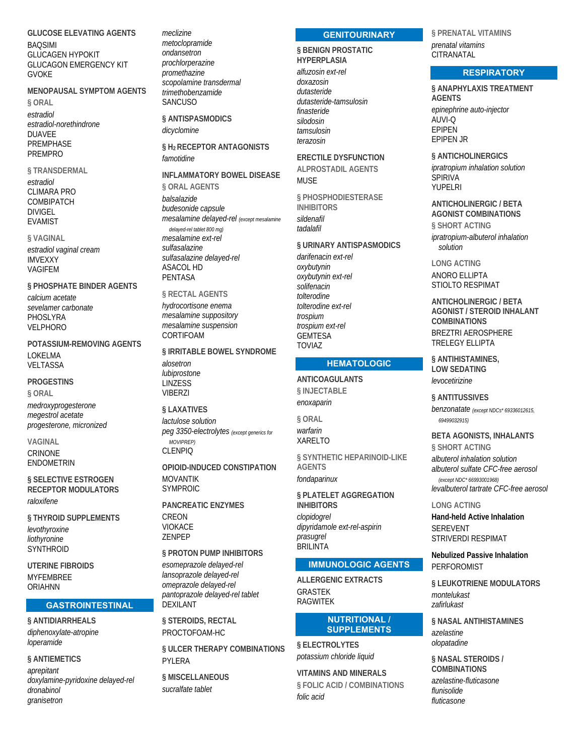**GLUCOSE ELEVATING AGENTS BAOSIMI GLUCAGEN HYPOKIT GLUCAGON EMERGENCY KIT GVOKF** 

### **MENOPAUSAL SYMPTOM AGENTS**

§ ORAL  $\triangle$ stradiol estradiol-norethindrone **DUAVEE PREMPHASE PREMPRO** 

## § TRANSDERMAL

estradiol **CLIMARA PRO** COMBIPATCH **DIVIGEL EVAMIST** 

§ VAGINAL estradiol vaginal cream **IMVFXXY VAGIFEM** 

§ PHOSPHATE BINDER AGENTS calcium acetate sevelamer carbonate PHOSLYRA **VELPHORO** 

POTASSILIM-REMOVING AGENTS LOKELMA VELTASSA

**PROGESTINS** § ORAL

medroxyprogesterone megestrol acetate progesterone, micronized

**VAGINAL** CRINONE ENDOMETRIN

§ SELECTIVE ESTROGEN **RECEPTOR MODULATORS** raloxifene

§ THYROID SUPPLEMENTS levothyroxine liothvronine **SYNTHROID** 

**UTFRINF FIBROIDS MYFEMBREE ORIAHNN** 

### **GASTROINTESTINAL**

§ ANTIDIARRHEALS diphenoxylate-atropine loperamide

### **§ ANTIEMETICS**

aprepitant doxylamine-pyridoxine delayed-rel dronabinol aranisetron

meclizine metoclopramide ondansetron prochlorperazine promethazine .<br>scopolamine transdermal trimethobenzamide SANCUSO

§ ANTISPASMODICS dicyclomine

### § H<sub>2</sub> RECEPTOR ANTAGONISTS famotidine

### INFI AMMATORY BOWEL DISFASE

**§ ORAL AGENTS** balsalazide budesonide capsule mesalamine delayed-rel (except mesalamine delayed-rel tablet 800 mg) mesalamine ext-rel sulfasalazine sulfasalazine delaved-rel **ASACOL HD PFNTASA** 

§ RECTAL AGENTS hydrocortisone enema mesalamine suppository mesalamine suspension CORTIFOAM

§ IRRITABLE BOWEL SYNDROME alosetron lubiprostone **LINZESS VIBERZI** 

§ LAXATIVES lactulose solution peg 3350-electrolytes (except generics for MOVIPREP)

**CLENPIO** 

OPIOID-INDUCED CONSTIPATION **MOVANTIK SYMPROIC** 

**PANCREATIC ENZYMES** CREON **VIOKACE** ZENPEP

§ PROTON PUMP INHIBITORS esomeprazole delaved-rel lansoprazole delaved-rel omeprazole delaved-rel pantoprazole delayed-rel tablet **DEXILANT** 

§ STEROIDS, RECTAL PROCTOFOAM-HC

§ ULCER THERAPY COMBINATIONS PYLERA

**§ MISCELLANEOUS** sucralfate tablet

### **GENITOURINARY**

**& RENIGN PROSTATIC HYPERPLASIA** 

alfuzosin ext-rel doxazosin dutasteride dutasteride-tamsulosin finasteride silodosin tamsulosin terazosin

**FRECTILE DYSEUNCTION ALPROSTADIL AGENTS MUSE** 

**§ PHOSPHODIESTERASE INHIBITORS** sildenafil tadalafil

**§ URINARY ANTISPASMODICS** 

darifenacin ext-rel oxybutynin oxybutynin ext-rel solifenacin tolterodine tolterodine ext-rel trospium trospium ext-rel **GEMTESA TOVIA7** 

### **HEMATOLOGIC**

**ANTICOAGULANTS § INJECTABLE** enoxaparin

§ ORAL warfarin **XARELTO** 

§ SYNTHETIC HEPARINOID-LIKE **AGENTS** fondaparinux

§ PLATELET AGGREGATION **INHIBITORS** clopidoarel dipyridamole ext-rel-aspirin prasugrel **BRILINTA** 

### **IMMUNOLOGIC AGENTS**

**ALLERGENIC EXTRACTS GRASTEK RAGWITFK** 

### **NUTRITIONAL / SUPPLEMENTS**

### **§ ELECTROLYTES** potassium chloride liquid

**VITAMINS AND MINERALS** § FOLIC ACID / COMBINATIONS folic acid

§ PRENATAL VITAMINS prenatal vitamins CITRANATAL

### **RESPIRATORY**

§ ANAPHYLAXIS TREATMENT **AGENTS** epinephrine auto-injector ALIVI-O **FPIPFN FPIPFN JR** 

§ ANTICHOLINERGICS ipratropium inhalation solution **SPIRIVA** YUPFI RI

**ANTICHOLINERGIC / BETA AGONIST COMBINATIONS § SHORT ACTING** 

ipratropium-albuterol inhalation solution

**LONG ACTING** 

**ANORO ELLIPTA** STIOLTO RESPIMAT

**ANTICHOLINERGIC / BETA AGONIST / STEROID INHALANT COMBINATIONS** BREZTRI AEROSPHERE **TRELEGY ELLIPTA** 

§ ANTIHISTAMINES. **LOW SEDATING** levocetirizine

### **§ ANTITUSSIVES**

benzonatate (except NDCs\* 69336012615, 69499032915)

## **BETA AGONISTS, INHALANTS**

§ SHORT ACTING albuterol inhalation solution albuterol sulfate CFC-free aerosol (except NDC\* 66993001968)

levalbuterol tartrate CFC-free aerosol

### **LONG ACTING**

**Hand-held Active Inhalation SEREVENT STRIVERDI RESPIMAT** 

**Nebulized Passive Inhalation PERFOROMIST** 

§ LEUKOTRIENE MODULATORS montelukast zafirlukast

§ NASAL ANTIHISTAMINES azelastine olopatadine

§ NASAL STEROIDS / **COMBINATIONS** azelastine-fluticasone flunisolide fluticasone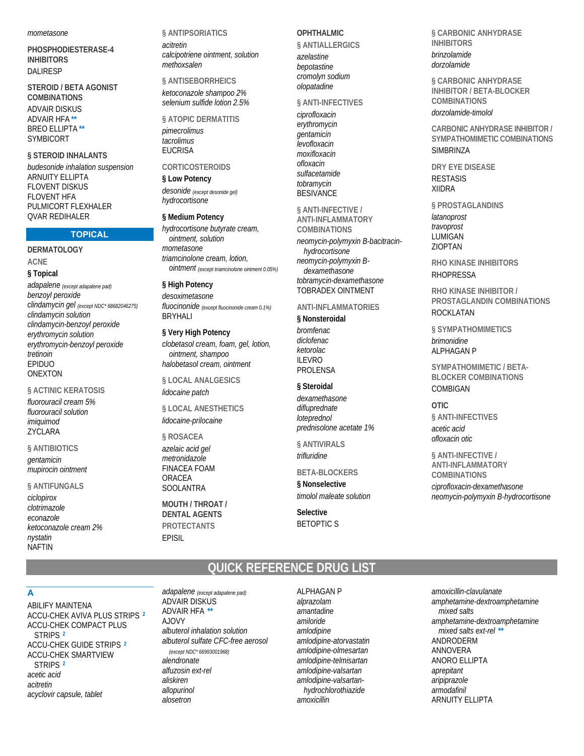*mometasone*

**PHOSPHODIESTERASE-4 INHIBITORS**  DALIRESP

**STEROID / BETA AGONIST COMBINATIONS**  ADVAIR DISKUS ADVAIR HFA **\*\*** BREO ELLIPTA **\*\*** SYMBICORT

**§ STEROID INHALANTS** 

*budesonide inhalation suspension* ARNUITY ELLIPTA FLOVENT DISKUS **FI OVENT HFA** PULMICORT FLEXHALER QVAR REDIHALER

### **TOPICAL**

**DERMATOLOGY ACNE § Topical**  *adapalene (except adapalene pad) benzoyl peroxide clindamycin gel (except NDC\* 68682046275) clindamycin solution*

*clindamycin-benzoyl peroxide erythromycin solution erythromycin-benzoyl peroxide tretinoin* EPIDUO ONEXTON

### **§ ACTINIC KERATOSIS**

*fluorouracil cream 5% fluorouracil solution imiquimod* **ZYCLARA** 

### **§ ANTIBIOTICS**

*gentamicin mupirocin ointment*

### **§ ANTIFUNGALS**

*ciclopirox clotrimazole econazole ketoconazole cream 2% nystatin* NAFTIN

**§ ANTIPSORIATICS**  *acitretin calcipotriene ointment, solution methoxsalen*

**§ ANTISEBORRHEICS**  *ketoconazole shampoo 2% selenium sulfide lotion 2.5%*

**§ ATOPIC DERMATITIS**  *pimecrolimus tacrolimus* EUCRISA

### **CORTICOSTEROIDS**

**§ Low Potency**  *desonide (except desonide gel) hydrocortisone*

### **§ Medium Potency**

*hydrocortisone butyrate cream, ointment, solution mometasone triamcinolone cream, lotion, ointment (except triamcinolone ointment 0.05%)*

**§ High Potency**  *desoximetasone fluocinonide (except fluocinonide cream 0.1%)* BRYHALI

### **§ Very High Potency**

*clobetasol cream, foam, gel, lotion, ointment, shampoo halobetasol cream, ointment*

**§ LOCAL ANALGESICS**  *lidocaine patch*

**§ LOCAL ANESTHETICS**  *lidocaine-prilocaine*

### **§ ROSACEA**

*azelaic acid gel metronidazole* FINACEA FOAM ORACEA SOOLANTRA

**MOUTH / THROAT / DENTAL AGENTS PROTECTANTS**  EPISIL

### **OPHTHALMIC**

**§ ANTIALLERGICS**  *azelastine bepotastine cromolyn sodium olopatadine*

### **§ ANTI-INFECTIVES**

*ciprofloxacin erythromycin gentamicin levofloxacin moxifloxacin ofloxacin sulfacetamide tobramycin* **BESIVANCE** 

### **§ ANTI-INFECTIVE /**

**ANTI-INFLAMMATORY COMBINATIONS**  *neomycin-polymyxin B-bacitracinhydrocortisone neomycin-polymyxin Bdexamethasone tobramycin-dexamethasone* TOBRADEX OINTMENT

### **ANTI-INFLAMMATORIES**

**§ Nonsteroidal**  *bromfenac diclofenac ketorolac* ILEVRO PROLENSA

### **§ Steroidal**

*dexamethasone difluprednate loteprednol prednisolone acetate 1%*

**§ ANTIVIRALS**  *trifluridine*

## **BETA-BLOCKERS**

**§ Nonselective**  *timolol maleate solution*

**Selective**  BETOPTIC S

**§ CARBONIC ANHYDRASE INHIBITORS**  *brinzolamide*

*dorzolamide*

**§ CARBONIC ANHYDRASE INHIBITOR / BETA-BLOCKER COMBINATIONS**  *dorzolamide-timolol*

**CARBONIC ANHYDRASE INHIBITOR / SYMPATHOMIMETIC COMBINATIONS SIMBRINZA** 

**DRY EYE DISEASE**  RESTASIS XIIDRA

**§ PROSTAGLANDINS**  *latanoprost travoprost* LUMIGAN ZIOPTAN

**RHO KINASE INHIBITORS**  RHOPRESSA

**RHO KINASE INHIBITOR / PROSTAGLANDIN COMBINATIONS**  ROCKI ATAN

**§ SYMPATHOMIMETICS**  *brimonidine* ALPHAGAN P

**SYMPATHOMIMETIC / BETA-BLOCKER COMBINATIONS**  COMBIGAN

**OTIC § ANTI-INFECTIVES**  *acetic acid ofloxacin otic*

**§ ANTI-INFECTIVE / ANTI-INFLAMMATORY COMBINATIONS**  *ciprofloxacin-dexamethasone*

*neomycin-polymyxin B-hydrocortisone*

## **QUICK REFERENCE DRUG LIST**

### **A**

ABILIFY MAINTENA ACCU-CHEK AVIVA PLUS STRIPS **<sup>2</sup>** ACCU-CHEK COMPACT PLUS STRIPS **<sup>2</sup>** ACCU-CHEK GUIDE STRIPS **<sup>2</sup>** ACCU-CHEK SMARTVIEW STRIPS **<sup>2</sup>** *acetic acid acitretin acyclovir capsule, tablet*

*adapalene (except adapalene pad)* ADVAIR DISKUS ADVAIR HFA **\*\*** AJOVY *albuterol inhalation solution albuterol sulfate CFC-free aerosol (except NDC\* 66993001968) alendronate alfuzosin ext-rel aliskiren allopurinol alosetron*

ALPHAGAN P *alprazolam amantadine amiloride amlodipine amlodipine-atorvastatin amlodipine-olmesartan amlodipine-telmisartan amlodipine-valsartan amlodipine-valsartanhydrochlorothiazide amoxicillin*

*amoxicillin-clavulanate amphetamine-dextroamphetamine mixed salts amphetamine-dextroamphetamine mixed salts ext-rel* **\*\*** ANDRODERM ANNOVERA ANORO ELLIPTA *aprepitant aripiprazole armodafinil* ARNUITY ELLIPTA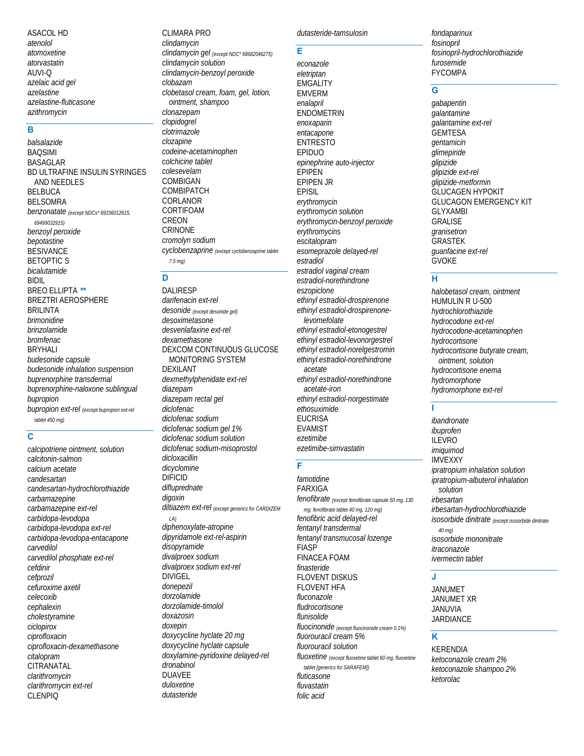ASACOL HD *atenolol atomoxetine atorvastatin* AUVI-Q *azelaic acid gel azelastine azelastine-fluticasone azithromycin*

### **B**

*balsalazide* BAQSIMI BASAGLAR BD ULTRAFINE INSULIN SYRINGES AND NEEDLES BELBUCA BELSOMRA *benzonatate (except NDCs\* 69336012615, 69499032915) benzoyl peroxide bepotastine* **BESIVANCE** BETOPTIC S *bicalutamide* BIDIL BREO ELLIPTA **\*\*** BREZTRI AEROSPHERE BRILINTA *brimonidine brinzolamide bromfenac* BRYHALI *budesonide capsule budesonide inhalation suspension buprenorphine transdermal buprenorphine-naloxone sublingual bupropion bupropion ext-rel (except bupropion ext-rel tablet 450 mg)*

### **C**

*calcipotriene ointment, solution calcitonin-salmon calcium acetate candesartan candesartan-hydrochlorothiazide carbamazepine carbamazepine ext-rel carbidopa-levodopa carbidopa-levodopa ext-rel carbidopa-levodopa-entacapone carvedilol carvedilol phosphate ext-rel cefdinir cefprozil cefuroxime axetil celecoxib cephalexin cholestyramine ciclopirox ciprofloxacin ciprofloxacin-dexamethasone citalopram* **CITRANATAL** *clarithromycin clarithromycin ext-rel* CLENPIQ

CLIMARA PRO *clindamycin clindamycin gel (except NDC\* 68682046275) clindamycin solution clindamycin-benzoyl peroxide clobazam clobetasol cream, foam, gel, lotion, ointment, shampoo clonazepam clopidogrel clotrimazole clozapine codeine-acetaminophen colchicine tablet colesevelam* COMBIGAN COMBIPATCH CORLANOR CORTIFOAM **CREON** CRINONE *cromolyn sodium cyclobenzaprine (except cyclobenzaprine tablet 7.5 mg)*

**D** 

DALIRESP *darifenacin ext-rel desonide (except desonide gel) desoximetasone desvenlafaxine ext-rel dexamethasone* DEXCOM CONTINUOUS GLUCOSE MONITORING SYSTEM DEXILANT *dexmethylphenidate ext-rel diazepam diazepam rectal gel diclofenac diclofenac sodium diclofenac sodium gel 1% diclofenac sodium solution diclofenac sodium-misoprostol dicloxacillin dicyclomine* DIFICID *difluprednate digoxin diltiazem ext-rel (except generics for CARDIZEM LA) diphenoxylate-atropine dipyridamole ext-rel-aspirin disopyramide divalproex sodium divalproex sodium ext-rel* DIVIGEL *donepezil dorzolamide dorzolamide-timolol doxazosin doxepin doxycycline hyclate 20 mg doxycycline hyclate capsule doxylamine-pyridoxine delayed-rel dronabinol* DUAVEE *duloxetine dutasteride*

### *dutasteride-tamsulosin*

**E** 

*econazole eletriptan* **EMGALITY** EMVERM *enalapril* ENDOMETRIN *enoxaparin entacapone* ENTRESTO EPIDUO *epinephrine auto-injector* EPIPEN EPIPEN JR EPISIL *erythromycin erythromycin solution erythromycin-benzoyl peroxide erythromycins escitalopram esomeprazole delayed-rel estradiol estradiol vaginal cream estradiol-norethindrone eszopiclone ethinyl estradiol-drospirenone ethinyl estradiol-drospirenonelevomefolate ethinyl estradiol-etonogestrel ethinyl estradiol-levonorgestrel ethinyl estradiol-norelgestromin ethinyl estradiol-norethindrone acetate ethinyl estradiol-norethindrone acetate-iron ethinyl estradiol-norgestimate ethosuximide* **EUCRISA** EVAMIST *ezetimibe ezetimibe-simvastatin famotidine*

### **F**

FARXIGA *fenofibrate (except fenofibrate capsule 50 mg, 130 mg; fenofibrate tablet 40 mg, 120 mg) fenofibric acid delayed-rel fentanyl transdermal fentanyl transmucosal lozenge* **FIASP** FINACEA FOAM *finasteride* FLOVENT DISKUS FLOVENT HFA *fluconazole fludrocortisone flunisolide fluocinonide (except fluocinonide cream 0.1%) fluorouracil cream 5% fluorouracil solution fluoxetine (except fluoxetine tablet 60 mg, fluoxetine tablet [generics for SARAFEM]) fluticasone fluvastatin folic acid*

*fondaparinux fosinopril fosinopril-hydrochlorothiazide furosemide* FYCOMPA

### **G**

*gabapentin galantamine galantamine ext-rel* GEMTESA *gentamicin glimepiride glipizide glipizide ext-rel glipizide-metformin* GLUCAGEN HYPOKIT GLUCAGON EMERGENCY KIT GLYXAMBI GRALISE *granisetron* GRASTEK *guanfacine ext-rel* GVOKE

### **H**

*halobetasol cream, ointment* HUMULIN R U-500 *hydrochlorothiazide hydrocodone ext-rel hydrocodone-acetaminophen hydrocortisone hydrocortisone butyrate cream, ointment, solution hydrocortisone enema hydromorphone hydromorphone ext-rel*

### **I**

*ibandronate ibuprofen* ILEVRO *imiquimod* IMVEXXY *ipratropium inhalation solution ipratropium-albuterol inhalation solution irbesartan irbesartan-hydrochlorothiazide isosorbide dinitrate (except isosorbide dinitrate 40 mg) isosorbide mononitrate itraconazole ivermectin tablet*

### **J**

JANUMET JANUMET XR JANUVIA JARDIANCE

### **K**

KERENDIA *ketoconazole cream 2% ketoconazole shampoo 2% ketorolac*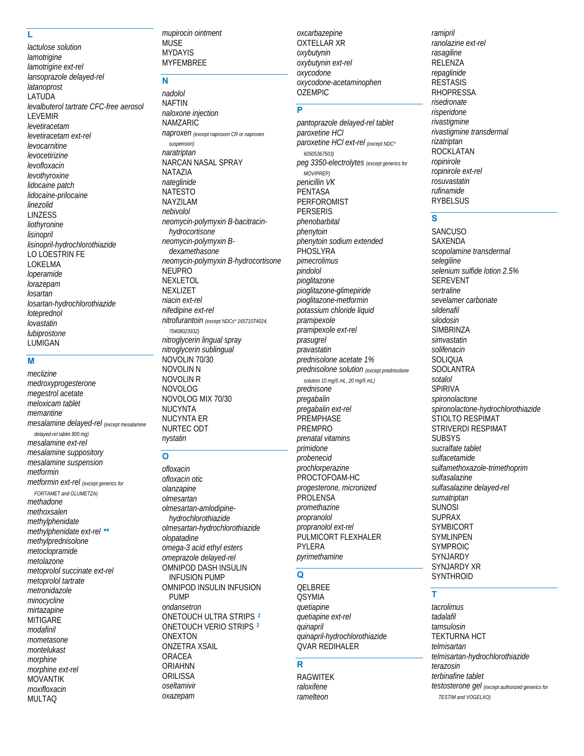### L

lactulose solution lamotrigine lamotrigine ext-rel lansoprazole delayed-rel *latanoprost* LATUDA levalbuterol tartrate CFC-free aerosol **LEVEMIR** levetiracetam levetiracetam ext-rel levocarnitine levocetirizine levofloxacin levothyroxine lidocaine patch lidocaine-prilocaine linezolid **LINZESS** liothvronine lisinopril lisinopril-hydrochlorothiazide LO LOESTRIN FE LOKELMA loperamide lorazepam losartan losartan-hydrochlorothiazide loteprednol lovastatin lubiprostone LUMIGAN

### M

meclizine medroxyprogesterone megestrol acetate meloxicam tablet memantine mesalamine delayed-rel (except mesalamine delayed-rel tablet 800 mq) mesalamine ext-rel mesalamine suppository mesalamine suspension metformin metformin ext-rel (except generics for FORTAMET and GLUMETZA) methadone methoxsalen methylphenidate methylphenidate ext-rel \*\* methylprednisolone metoclopramide metolazone metoprolol succinate ext-rel metoprolol tartrate metronidazole minocycline mirtazapine **MITIGARE** modafinil mometasone montelukast morphine morphine ext-rel **MOVANTIK** moxifloxacin **MULTAQ** 

mupirocin ointment MUSE **MYDAYIS MYFEMBREE** 

### N

nadolol **NAFTIN** naloxone injection **NAMZARIC** naproxen (except naproxen CR or naproxen suspension) naratriptan NARCAN NASAL SPRAY NATA7IA nateglinide **NATESTO NAYZILAM** nebivolol neomycin-polymyxin B-bacitracinhydrocortisone neomycin-polymyxin Bdexamethasone neomycin-polymyxin B-hydrocortisone **NELIPRO NEXLETOL** NEXLIZET niacin ext-rel nifedipine ext-rel nitrofurantoin (except NDCs\* 16571074024, 70408023932) nitroglycerin lingual spray nitroglycerin sublingual NOVOLIN 70/30 **NOVOLIN N NOVOLIN R NOVOLOG** NOVOLOG MIX 70/30 **NUCYNTA NUCYNTA ER** NURTEC ODT

### $\overline{O}$

nystatin

ofloxacin ofloxacin otic olanzapine olmesartan olmesartan-amlodipinehydrochlorothiazide olmesartan-hydrochlorothiazide olopatadine omega-3 acid ethyl esters omeprazole delayed-rel OMNIPOD DASH INSULIN **INFUSION PUMP** OMNIPOD INSULIN INFUSION **PUMP** ondansetron **ONETOUCH ULTRA STRIPS 2** ONETOUCH VERIO STRIPS<sup>2</sup> **ONEXTON ONZETRA XSAIL ORACEA ORIAHNN** ORILISSA oseltamivir oxazepam

oxcarbazepine **OXTELLAR XR** oxybutynin oxybutynin ext-rel oxycodone oxycodone-acetaminophen **OŽEMPIC** 

### $\overline{\mathsf{P}}$

pantoprazole delayed-rel tablet paroxetine HCI paroxetine HCl ext-rel (except NDC\* 60505367503) peg 3350-electrolytes (except generics for MOVIPRFP) penicillin VK PENTASA PERFOROMIST **PERSERIS** phenobarbital phenytoin phenytoin sodium extended PHOSLYRA pimecrolimus nindolol pioalitazone pioglitazone-glimepiride pioglitazone-metformin potassium chloride liquid pramipexole pramipexole ext-rel prasugrel pravastatin .<br>prednisolone acetate 1% prednisolone solution (except prednisolone solution 10 mg/5 mL, 20 mg/5 mL) prednisone pregabalin *pregabalin ext-rel* **PREMPHASE PREMPRO** prenatal vitamins primidone probenecid *prochlorperazine* PROCTOFOAM-HC progesterone, micronized **PROLENSA** promethazine propranolol propranolol ext-rel PULMICORT FLEXHALER PYLERA pyrimethamine

### $\Omega$

**QELBREE OSYMIA** quetiapine quetiapine ext-rel quinapril quinapril-hydrochlorothiazide QVAR REDIHALER

### $\overline{\mathbf{R}}$

**RAGWITEK** raloxifene ramelteon

ramipril ranolazine ext-rel rasagiline RELENZA repaglinide **RESTASIS RHOPRESSA** risedronate risperidone rivastigmine rivastigmine transdermal rizatriptan **ROCKLATAN** ropinirole ropinirole ext-rel rosuvastatin rufinamide **RYBELSUS** 

### $\overline{s}$

**SANCUSO SAXENDA** scopolamine transdermal selegiline selenium sulfide lotion 2.5% **SEREVENT** sertraline sevelamer carbonate sildenafil silodosin **SIMBRINZA** simvastatin solifenacin SOLIOUA **SOOLANTRA** sotalol **SPIRIVA** spironolactone spironolactone-hydrochlorothiazide STIOLTO RESPIMAT **STRIVERDI RESPIMAT SUBSYS** sucralfate tablet sulfacetamide sulfamethoxazole-trimethoprim sulfasalazine sulfasalazine delayed-rel sumatriptan **SUNOSI SUPRAX SYMBICORT** SYMLINPEN **SYMPROIC** SYNJARDY SYNJARDY XR SYNTHROID

### Ŧ

tacrolimus tadalafil tamsulosin **TEKTURNA HCT** telmisartan telmisartan-hydrochlorothiazide terazosin terbinafine tablet testosterone gel (except authorized generics for TESTIM and VOGELXO)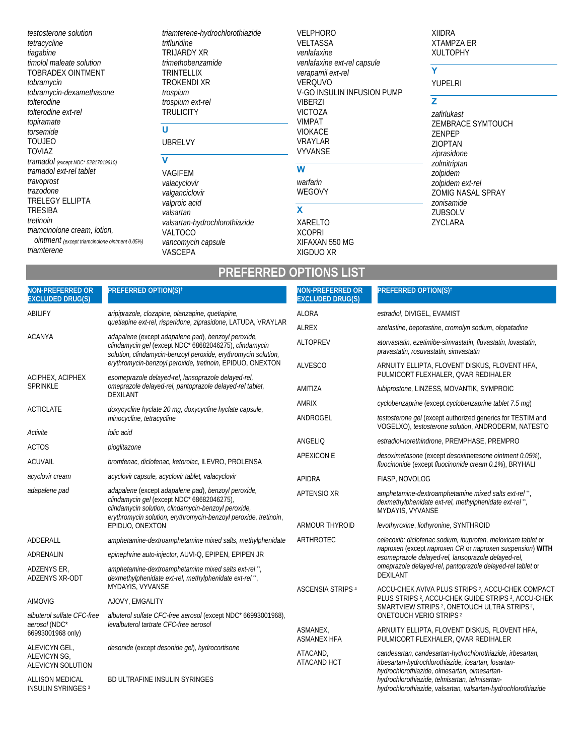testosterone solution tetracycline tiagabine timolol maleate solution TOBRADEX OINTMENT tobramycin tobramycin-dexamethasone tolterodine tolterodine ext-rel topiramate torsemide **TOUJEO TOVIAZ** tramadol (except NDC\* 52817019610) tramadol ext-rel tablet travoprost trazodone TRELEGY ELLIPTA **TRESIBA** tretinoin triamcinolone cream, lotion, Ointment (except triamcinolone ointment 0.05%) triamterene

triamterene-hydrochlorothiazide trifluridine TRIJARDY XR trimethobenzamide TRINTELLIX **TROKENDI XR** trospium trospium ext-rel **TRÚLICITY** 

### $\overline{u}$ **UBRELVY**

### $\overline{\mathsf{v}}$ VAGIFEM valacyclovir valganciclovir valproic acid valsartan valsartan-hydrochlorothiazide VALTOCO vancomycin capsule VASCEPA

**VELPHORO VELTASSA** venlafaxine venlafaxine ext-rel capsule verapamil ext-rel **VERQUVO** V-GO INSULIN INFUSION PUMP **VIBERZI VICTOZA VIMPAT VIOKACE VRAYLAR** VYVANSE  $\overline{w}$ warfarin WEGOVY  $\mathbf{x}$ **XARELTO** 

**XIIDRA XTAMPZA ER XULTOPHY** 

## $\overline{\mathsf{Y}}$

YUPELRI

### $\overline{z}$

zafirlukast ZEMBRACE SYMTOUCH **ZENPEP ZIOPTAN** ziprasidone zolmitriptan zolpidem zolpidem ext-rel ZOMIG NASAL SPRAY zonisamide **ZUBSOLV** ZYCLARA

## **PREFERRED OPTIONS LIST**

**XCOPRI** 

XIGDUO XR

XIFAXAN 550 MG

| <b>NON-PREFERRED OR</b><br><b>EXCLUDED DRUG(S)</b>          | PREFERRED OPTION(S) <sup>t</sup>                                                                                                                                                | <b>NON-PREFERRED OR</b><br><b>EXCLUDED DRUG(S)</b> | PREFERRED OPTION(S) <sup>t</sup>                                                                                                                                 |
|-------------------------------------------------------------|---------------------------------------------------------------------------------------------------------------------------------------------------------------------------------|----------------------------------------------------|------------------------------------------------------------------------------------------------------------------------------------------------------------------|
| ABILIFY                                                     | aripiprazole, clozapine, olanzapine, quetiapine,                                                                                                                                | <b>ALORA</b>                                       | estradiol, DIVIGEL, EVAMIST                                                                                                                                      |
|                                                             | quetiapine ext-rel, risperidone, ziprasidone, LATUDA, VRAYLAR                                                                                                                   | <b>ALREX</b>                                       | azelastine, bepotastine, cromolyn sodium, olopatadine                                                                                                            |
| <b>ACANYA</b>                                               | adapalene (except adapalene pad), benzoyl peroxide,<br>clindamycin gel (except NDC* 68682046275), clindamycin<br>solution, clindamycin-benzoyl peroxide, erythromycin solution, | <b>ALTOPREV</b>                                    | atorvastatin, ezetimibe-simvastatin, fluvastatin, lovastatin,<br>pravastatin, rosuvastatin, simvastatin                                                          |
|                                                             | erythromycin-benzoyl peroxide, tretinoin, EPIDUO, ONEXTON                                                                                                                       | <b>ALVESCO</b>                                     | ARNUITY ELLIPTA, FLOVENT DISKUS, FLOVENT HFA,                                                                                                                    |
| ACIPHEX, ACIPHEX<br><b>SPRINKLE</b>                         | esomeprazole delayed-rel, lansoprazole delayed-rel,<br>omeprazole delayed-rel, pantoprazole delayed-rel tablet,                                                                 |                                                    | PULMICORT FLEXHALER, QVAR REDIHALER                                                                                                                              |
|                                                             | <b>DEXILANT</b>                                                                                                                                                                 | AMITIZA                                            | lubiprostone, LINZESS, MOVANTIK, SYMPROIC                                                                                                                        |
| ACTICLATE                                                   | doxycycline hyclate 20 mg, doxycycline hyclate capsule,                                                                                                                         | <b>AMRIX</b>                                       | cyclobenzaprine (except cyclobenzaprine tablet 7.5 mq)                                                                                                           |
|                                                             | minocycline, tetracycline                                                                                                                                                       | ANDROGEL                                           | testosterone gel (except authorized generics for TESTIM and<br>VOGELXO), testosterone solution, ANDRODERM, NATESTO                                               |
| Activite                                                    | folic acid                                                                                                                                                                      | ANGELIO                                            | estradiol-norethindrone, PREMPHASE, PREMPRO                                                                                                                      |
| <b>ACTOS</b>                                                | pioglitazone                                                                                                                                                                    | <b>APEXICON E</b>                                  | desoximetasone (except desoximetasone ointment 0.05%),                                                                                                           |
| <b>ACUVAIL</b>                                              | bromfenac, diclofenac, ketorolac, ILEVRO, PROLENSA                                                                                                                              |                                                    | fluocinonide (except fluocinonide cream 0.1%), BRYHALI                                                                                                           |
| acyclovir cream                                             | acyclovir capsule, acyclovir tablet, valacyclovir                                                                                                                               | <b>APIDRA</b>                                      | FIASP, NOVOLOG                                                                                                                                                   |
| adapalene pad<br>clindamycin gel (except NDC* 68682046275), | adapalene (except adapalene pad), benzoyl peroxide,<br>clindamycin solution, clindamycin-benzoyl peroxide,<br>erythromycin solution, erythromycin-benzoyl peroxide, tretinoin,  | APTENSIO XR                                        | amphetamine-dextroamphetamine mixed salts ext-rel".<br>dexmethylphenidate ext-rel, methylphenidate ext-rel",<br>MYDAYIS, VYVANSE                                 |
|                                                             | EPIDUO, ONEXTON                                                                                                                                                                 | ARMOUR THYROID                                     | levothyroxine, liothyronine, SYNTHROID                                                                                                                           |
| ADDERALL                                                    | amphetamine-dextroamphetamine mixed salts, methylphenidate                                                                                                                      | ARTHROTEC                                          | celecoxib; diclofenac sodium, ibuprofen, meloxicam tablet or                                                                                                     |
| <b>ADRENALIN</b>                                            | epinephrine auto-injector, AUVI-Q, EPIPEN, EPIPEN JR                                                                                                                            |                                                    | naproxen (except naproxen CR or naproxen suspension) WITH<br>esomeprazole delayed-rel, lansoprazole delayed-rel,                                                 |
| ADZENYS ER,<br>ADZENYS XR-ODT                               | amphetamine-dextroamphetamine mixed salts ext-rel",<br>dexmethylphenidate ext-rel, methylphenidate ext-rel",                                                                    |                                                    | omeprazole delayed-rel, pantoprazole delayed-rel tablet or<br><b>DEXILANT</b>                                                                                    |
|                                                             | MYDAYIS, VYVANSE                                                                                                                                                                | <b>ASCENSIA STRIPS 4</b>                           | ACCU-CHEK AVIVA PLUS STRIPS 2, ACCU-CHEK COMPACT<br>PLUS STRIPS <sup>2</sup> , ACCU-CHEK GUIDE STRIPS <sup>2</sup> , ACCU-CHEK                                   |
| <b>AIMOVIG</b>                                              | AJOVY, EMGALITY                                                                                                                                                                 |                                                    | SMARTVIEW STRIPS <sup>2</sup> , ONETOUCH ULTRA STRIPS <sup>2</sup> ,                                                                                             |
| albuterol sulfate CFC-free<br>aerosol (NDC*                 | albuterol sulfate CFC-free aerosol (except NDC* 66993001968),<br>levalbuterol tartrate CFC-free aerosol                                                                         |                                                    | <b>ONETOUCH VERIO STRIPS<sup>2</sup></b>                                                                                                                         |
| 66993001968 only)                                           |                                                                                                                                                                                 | ASMANEX,<br><b>ASMANEX HFA</b>                     | ARNUITY ELLIPTA, FLOVENT DISKUS, FLOVENT HFA,<br>PULMICORT FLEXHALER, QVAR REDIHALER                                                                             |
| ALEVICYN GEL,<br>ALEVICYN SG,<br><b>ALEVICYN SOLUTION</b>   | desonide (except desonide gel), hydrocortisone                                                                                                                                  | ATACAND,<br>ATACAND HCT                            | candesartan, candesartan-hydrochlorothiazide, irbesartan,<br>irbesartan-hydrochlorothiazide, losartan, losartan-<br>hydrochlorothiazide, olmesartan, olmesartan- |
| ALLISON MEDICAL<br><b>INSULIN SYRINGES 3</b>                | BD ULTRAFINE INSULIN SYRINGES                                                                                                                                                   |                                                    | hydrochlorothiazide, telmisartan, telmisartan-<br>hydrochlorothiazide, valsartan, valsartan-hydrochlorothiazide                                                  |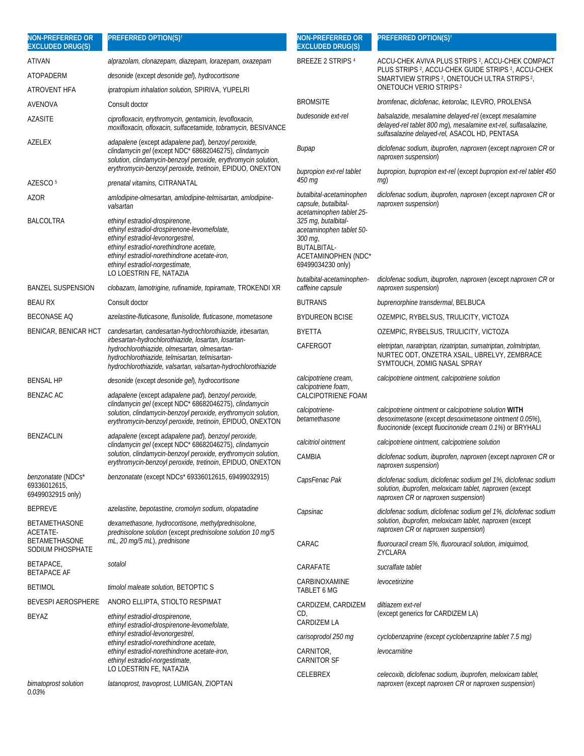| <b>NON-PREFERRED OR</b><br><b>EXCLUDED DRUG(S)</b>             | PREFERRED OPTION(S) <sup>t</sup>                                                                                                                                                                                                             | <b>NON-PREFERRED OR</b><br><b>EXCLUDED DRUG(S)</b>                                             | PREFERRED OPTION(S) <sup>t</sup>                                                                                                                                            |
|----------------------------------------------------------------|----------------------------------------------------------------------------------------------------------------------------------------------------------------------------------------------------------------------------------------------|------------------------------------------------------------------------------------------------|-----------------------------------------------------------------------------------------------------------------------------------------------------------------------------|
| ATIVAN                                                         | alprazolam, clonazepam, diazepam, lorazepam, oxazepam                                                                                                                                                                                        | BREEZE 2 STRIPS 4                                                                              | ACCU-CHEK AVIVA PLUS STRIPS <sup>2</sup> , ACCU-CHEK COMPACT                                                                                                                |
| ATOPADERM                                                      | desonide (except desonide gel), hydrocortisone                                                                                                                                                                                               |                                                                                                | PLUS STRIPS <sup>2</sup> , ACCU-CHEK GUIDE STRIPS <sup>2</sup> , ACCU-CHEK<br>SMARTVIEW STRIPS <sup>2</sup> , ONETOUCH ULTRA STRIPS <sup>2</sup> ,                          |
| ATROVENT HFA                                                   | ipratropium inhalation solution, SPIRIVA, YUPELRI                                                                                                                                                                                            |                                                                                                | <b>ONETOUCH VERIO STRIPS 2</b>                                                                                                                                              |
| AVENOVA                                                        | Consult doctor                                                                                                                                                                                                                               | <b>BROMSITE</b>                                                                                | bromfenac, diclofenac, ketorolac, ILEVRO, PROLENSA                                                                                                                          |
| AZASITE                                                        | ciprofloxacin, erythromycin, gentamicin, levofloxacin,<br>moxifloxacin, ofloxacin, sulfacetamide, tobramycin, BESIVANCE                                                                                                                      | budesonide ext-rel                                                                             | balsalazide, mesalamine delayed-rel (except mesalamine<br>delayed-rel tablet 800 mg), mesalamine ext-rel, sulfasalazine,<br>sulfasalazine delayed-rel, ASACOL HD, PENTASA   |
| AZELEX                                                         | adapalene (except adapalene pad), benzoyl peroxide,<br>clindamycin gel (except NDC* 68682046275), clindamycin<br>solution, clindamycin-benzoyl peroxide, erythromycin solution,                                                              | <b>Bupap</b>                                                                                   | diclofenac sodium, ibuprofen, naproxen (except naproxen CR or<br>naproxen suspension)                                                                                       |
|                                                                | erythromycin-benzoyl peroxide, tretinoin, EPIDUO, ONEXTON                                                                                                                                                                                    | bupropion ext-rel tablet<br>450 mg                                                             | bupropion, bupropion ext-rel (except bupropion ext-rel tablet 450<br>$mq$ )                                                                                                 |
| AZESCO <sup>5</sup>                                            | prenatal vitamins, CITRANATAL                                                                                                                                                                                                                | butalbital-acetaminophen                                                                       | diclofenac sodium, ibuprofen, naproxen (except naproxen CR or                                                                                                               |
| AZOR<br><b>BALCOLTRA</b>                                       | amlodipine-olmesartan, amlodipine-telmisartan, amlodipine-<br>valsartan<br>ethinyl estradiol-drospirenone,                                                                                                                                   | capsule, butalbital-<br>acetaminophen tablet 25-<br>325 mg, butalbital-                        | naproxen suspension)                                                                                                                                                        |
|                                                                | ethinyl estradiol-drospirenone-levomefolate,<br>ethinyl estradiol-levonorgestrel,<br>ethinyl estradiol-norethindrone acetate,<br>ethinyl estradiol-norethindrone acetate-iron,<br>ethinyl estradiol-norgestimate,<br>LO LOESTRIN FE, NATAZIA | acetaminophen tablet 50-<br>300 mg,<br>BUTALBITAL-<br>ACETAMINOPHEN (NDC*<br>69499034230 only) |                                                                                                                                                                             |
| <b>BANZEL SUSPENSION</b>                                       | clobazam, lamotrigine, rufinamide, topiramate, TROKENDI XR                                                                                                                                                                                   | butalbital-acetaminophen-<br>caffeine capsule                                                  | diclofenac sodium, ibuprofen, naproxen (except naproxen CR or<br>naproxen suspension)                                                                                       |
| <b>BEAU RX</b>                                                 | Consult doctor                                                                                                                                                                                                                               | <b>BUTRANS</b>                                                                                 | buprenorphine transdermal, BELBUCA                                                                                                                                          |
| <b>BECONASE AQ</b>                                             | azelastine-fluticasone, flunisolide, fluticasone, mometasone                                                                                                                                                                                 | <b>BYDUREON BCISE</b>                                                                          | OZEMPIC, RYBELSUS, TRULICITY, VICTOZA                                                                                                                                       |
| BENICAR, BENICAR HCT                                           | candesartan, candesartan-hydrochlorothiazide, irbesartan,                                                                                                                                                                                    | <b>BYETTA</b>                                                                                  | OZEMPIC, RYBELSUS, TRULICITY, VICTOZA                                                                                                                                       |
|                                                                | irbesartan-hydrochlorothiazide, losartan, losartan-<br>hydrochlorothiazide, olmesartan, olmesartan-<br>hydrochlorothiazide, telmisartan, telmisartan-<br>hydrochlorothiazide, valsartan, valsartan-hydrochlorothiazide                       | CAFERGOT                                                                                       | eletriptan, naratriptan, rizatriptan, sumatriptan, zolmitriptan,<br>NURTEC ODT, ONZETRA XSAIL, UBRELVY, ZEMBRACE<br>SYMTOUCH, ZOMIG NASAL SPRAY                             |
| BENSAL HP                                                      | desonide (except desonide gel), hydrocortisone                                                                                                                                                                                               | calcipotriene cream,                                                                           | calcipotriene ointment, calcipotriene solution                                                                                                                              |
| <b>BENZAC AC</b>                                               | adapalene (except adapalene pad), benzoyl peroxide,                                                                                                                                                                                          | calcipotriene foam,<br>CALCIPOTRIENE FOAM                                                      |                                                                                                                                                                             |
|                                                                | clindamycin gel (except NDC* 68682046275), clindamycin<br>solution, clindamycin-benzoyl peroxide, erythromycin solution,<br>erythromycin-benzoyl peroxide, tretinoin, EPIDUO, ONEXTON                                                        | calcipotriene-<br>betamethasone                                                                | calcipotriene ointment or calcipotriene solution WITH<br>desoximetasone (except desoximetasone ointment 0.05%),<br>fluocinonide (except fluocinonide cream 0.1%) or BRYHALI |
| <b>BENZACLIN</b>                                               | adapalene (except adapalene pad), benzoyl peroxide,<br>clindamycin gel (except NDC* 68682046275), clindamycin                                                                                                                                | calcitriol ointment                                                                            | calcipotriene ointment, calcipotriene solution                                                                                                                              |
|                                                                | solution, clindamycin-benzoyl peroxide, erythromycin solution,<br>erythromycin-benzoyl peroxide, tretinoin, EPIDUO, ONEXTON                                                                                                                  | CAMBIA                                                                                         | diclofenac sodium, ibuprofen, naproxen (except naproxen CR or<br>naproxen suspension)                                                                                       |
| <i>benzonatate</i> (NDCs*<br>69336012615,<br>69499032915 only) | benzonatate (except NDCs* 69336012615, 69499032915)                                                                                                                                                                                          | CapsFenac Pak                                                                                  | diclofenac sodium, diclofenac sodium gel 1%, diclofenac sodium<br>solution, ibuprofen, meloxicam tablet, naproxen (except<br>naproxen CR or naproxen suspension)            |
| <b>BEPREVE</b>                                                 | azelastine, bepotastine, cromolyn sodium, olopatadine                                                                                                                                                                                        | Capsinac                                                                                       | diclofenac sodium, diclofenac sodium gel 1%, diclofenac sodium                                                                                                              |
| BETAMETHASONE<br>ACETATE-                                      | dexamethasone, hydrocortisone, methylprednisolone,<br>prednisolone solution (except prednisolone solution 10 mg/5                                                                                                                            |                                                                                                | solution, ibuprofen, meloxicam tablet, naproxen (except<br>naproxen CR or naproxen suspension)                                                                              |
| BETAMETHASONE<br>SODIUM PHOSPHATE                              | mL, 20 mg/5 mL), prednisone                                                                                                                                                                                                                  | CARAC                                                                                          | fluorouracil cream 5%, fluorouracil solution, imiguimod,<br>ZYCLARA                                                                                                         |
| BETAPACE,<br><b>BETAPACE AF</b>                                | sotalol                                                                                                                                                                                                                                      | CARAFATE                                                                                       | sucralfate tablet                                                                                                                                                           |
| BETIMOL                                                        | <i>timolol maleate solution</i> , <b>BETOPTIC S</b>                                                                                                                                                                                          | CARBINOXAMINE<br>TABLET 6 MG                                                                   | levocetirizine                                                                                                                                                              |
| <b>BEVESPI AEROSPHERE</b>                                      | ANORO ELLIPTA, STIOLTO RESPIMAT                                                                                                                                                                                                              | CARDIZEM, CARDIZEM                                                                             | diltiazem ext-rel                                                                                                                                                           |
| BEYAZ                                                          | ethinyl estradiol-drospirenone,<br>ethinyl estradiol-drospirenone-levomefolate,                                                                                                                                                              | CD,<br>CARDIZEM LA                                                                             | (except generics for CARDIZEM LA)                                                                                                                                           |
|                                                                | ethinyl estradiol-levonorgestrel,<br>ethinyl estradiol-norethindrone acetate,                                                                                                                                                                | carisoprodol 250 mg                                                                            | cyclobenzaprine (except cyclobenzaprine tablet 7.5 mg)                                                                                                                      |
|                                                                | ethinyl estradiol-norethindrone acetate-iron,<br>ethinyl estradiol-norgestimate,<br>LO LOESTRIN FE, NATAZIA                                                                                                                                  | CARNITOR,<br><b>CARNITOR SF</b>                                                                | levocarnitine                                                                                                                                                               |
| bimatoprost solution<br>0.03%                                  | latanoprost, travoprost, LUMIGAN, ZIOPTAN                                                                                                                                                                                                    | <b>CELEBREX</b>                                                                                | celecoxib, diclofenac sodium, ibuprofen, meloxicam tablet,<br>naproxen (except naproxen CR or naproxen suspension)                                                          |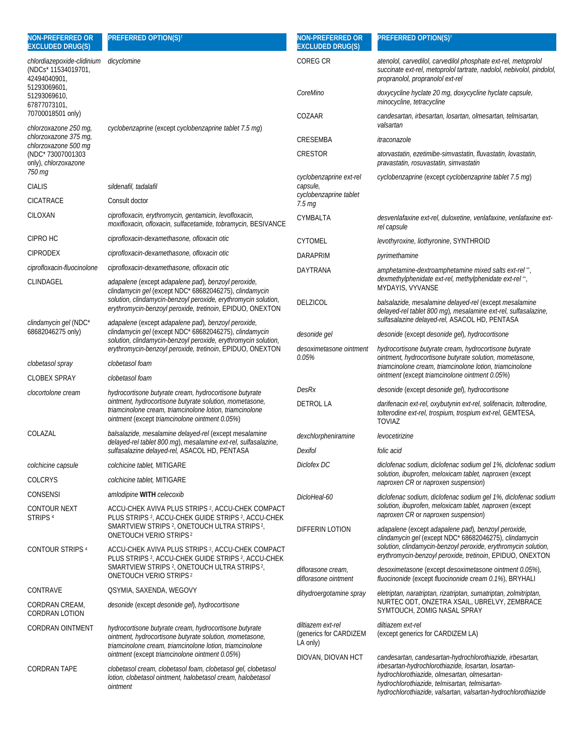| NON-PREFERRED OR<br><b>EXCLUDED DRUG(S)</b>                       | <b>PREFERRED OPTION(S)<sup>t</sup></b>                                                                                                                                          | <b>NON-PREFERRED OR</b><br><b>EXCLUDED DRUG(S)</b> | PREFERRED OPTION(S) <sup>t</sup>                                                                                                                                            |  |
|-------------------------------------------------------------------|---------------------------------------------------------------------------------------------------------------------------------------------------------------------------------|----------------------------------------------------|-----------------------------------------------------------------------------------------------------------------------------------------------------------------------------|--|
| chlordiazepoxide-clidinium<br>(NDCs* 11534019701,<br>42494040901, | dicyclomine                                                                                                                                                                     | <b>COREG CR</b>                                    | atenolol, carvedilol, carvedilol phosphate ext-rel, metoprolol<br>succinate ext-rel, metoprolol tartrate, nadolol, nebivolol, pindolol,<br>propranolol, propranolol ext-rel |  |
| 51293069601,<br>51293069610,<br>67877073101,                      |                                                                                                                                                                                 | CoreMino                                           | doxycycline hyclate 20 mq, doxycycline hyclate capsule,<br>minocycline, tetracycline                                                                                        |  |
| 70700018501 only)<br>chlorzoxazone 250 mg,                        | cyclobenzaprine (except cyclobenzaprine tablet 7.5 mg)                                                                                                                          | COZAAR                                             | candesartan, irbesartan, losartan, olmesartan, telmisartan,<br>valsartan                                                                                                    |  |
| chlorzoxazone 375 mg,<br>chlorzoxazone 500 mg                     |                                                                                                                                                                                 | CRESEMBA                                           | itraconazole                                                                                                                                                                |  |
| (NDC* 73007001303<br>only), chlorzoxazone                         |                                                                                                                                                                                 | <b>CRESTOR</b>                                     | atorvastatin, ezetimibe-simvastatin, fluvastatin, lovastatin,<br>pravastatin, rosuvastatin, simvastatin                                                                     |  |
| 750 mg                                                            |                                                                                                                                                                                 | cyclobenzaprine ext-rel                            | cyclobenzaprine (except cyclobenzaprine tablet 7.5 mq)                                                                                                                      |  |
| <b>CIALIS</b>                                                     | sildenafil, tadalafil                                                                                                                                                           | capsule,<br>cyclobenzaprine tablet                 |                                                                                                                                                                             |  |
| <b>CICATRACE</b>                                                  | Consult doctor                                                                                                                                                                  | 7.5 <sub>mg</sub>                                  |                                                                                                                                                                             |  |
| CILOXAN                                                           | ciprofloxacin, erythromycin, gentamicin, levofloxacin,<br>moxifloxacin, ofloxacin, sulfacetamide, tobramycin, BESIVANCE                                                         | CYMBALTA                                           | desvenlafaxine ext-rel, duloxetine, venlafaxine, venlafaxine ext-<br>rel capsule                                                                                            |  |
| CIPRO HC                                                          | ciprofloxacin-dexamethasone, ofloxacin otic                                                                                                                                     | <b>CYTOMEL</b>                                     | levothyroxine, liothyronine, SYNTHROID                                                                                                                                      |  |
| <b>CIPRODEX</b>                                                   | ciprofloxacin-dexamethasone, ofloxacin otic                                                                                                                                     | <b>DARAPRIM</b>                                    | pyrimethamine                                                                                                                                                               |  |
| ciprofloxacin-fluocinolone                                        | ciprofloxacin-dexamethasone, ofloxacin otic                                                                                                                                     | DAYTRANA                                           | amphetamine-dextroamphetamine mixed salts ext-rel",                                                                                                                         |  |
| CLINDAGEL                                                         | adapalene (except adapalene pad), benzoyl peroxide,<br>clindamycin gel (except NDC* 68682046275), clindamycin<br>solution, clindamycin-benzoyl peroxide, erythromycin solution, | <b>DELZICOL</b>                                    | dexmethylphenidate ext-rel, methylphenidate ext-rel",<br>MYDAYIS, VYVANSE<br>balsalazide, mesalamine delayed-rel (except mesalamine                                         |  |
| clindamycin gel (NDC*                                             | erythromycin-benzoyl peroxide, tretinoin, EPIDUO, ONEXTON<br>adapalene (except adapalene pad), benzoyl peroxide,                                                                |                                                    | delayed-rel tablet 800 mg), mesalamine ext-rel, sulfasalazine,<br>sulfasalazine delayed-rel, ASACOL HD, PENTASA                                                             |  |
| 68682046275 only)                                                 | clindamycin gel (except NDC* 68682046275), clindamycin<br>solution, clindamycin-benzoyl peroxide, erythromycin solution,                                                        | desonide gel                                       | desonide (except desonide gel), hydrocortisone                                                                                                                              |  |
|                                                                   | erythromycin-benzoyl peroxide, tretinoin, EPIDUO, ONEXTON                                                                                                                       | desoximetasone ointment                            | hydrocortisone butyrate cream, hydrocortisone butyrate                                                                                                                      |  |
| clobetasol spray                                                  | clobetasol foam                                                                                                                                                                 | 0.05%                                              | ointment, hydrocortisone butyrate solution, mometasone,<br>triamcinolone cream, triamcinolone lotion, triamcinolone                                                         |  |
| <b>CLOBEX SPRAY</b>                                               | clobetasol foam                                                                                                                                                                 |                                                    | ointment (except triamcinolone ointment 0.05%)                                                                                                                              |  |
| clocortolone cream                                                | hydrocortisone butyrate cream, hydrocortisone butyrate                                                                                                                          | <b>DesRx</b>                                       | desonide (except desonide gel), hydrocortisone                                                                                                                              |  |
|                                                                   | ointment, hydrocortisone butyrate solution, mometasone,<br>triamcinolone cream, triamcinolone lotion, triamcinolone<br>ointment (except triamcinolone ointment 0.05%)           | <b>DETROL LA</b>                                   | darifenacin ext-rel, oxybutynin ext-rel, solifenacin, tolterodine,<br>tolterodine ext-rel, trospium, trospium ext-rel, GEMTESA,<br><b>TOVIAZ</b>                            |  |
| COLAZAL                                                           | balsalazide, mesalamine delayed-rel (except mesalamine                                                                                                                          | dexchlorpheniramine                                | levocetirizine                                                                                                                                                              |  |
|                                                                   | delayed-rel tablet 800 mg), mesalamine ext-rel, sulfasalazine,<br>sulfasalazine delayed-rel, ASACOL HD, PENTASA                                                                 | Dexifol                                            | folic acid                                                                                                                                                                  |  |
| colchicine capsule                                                | colchicine tablet, MITIGARE                                                                                                                                                     | Diclofex DC                                        | diclofenac sodium, diclofenac sodium gel 1%, diclofenac sodium                                                                                                              |  |
| <b>COLCRYS</b>                                                    | colchicine tablet, MITIGARE                                                                                                                                                     |                                                    | solution, ibuprofen, meloxicam tablet, naproxen (except<br>nanrovan CD or nanrovan cucnancion                                                                               |  |

ONETOUCH VERIO STRIPS 2 CONTOUR STRIPS 4 ACCU-CHEK AVIVA PLUS STRIPS 2, ACCU-CHEK COMPACT PLUS STRIPS 2, ACCU-CHEK GUIDE STRIPS 2, ACCU-CHEK SMARTVIEW STRIPS 2, ONETOUCH ULTRA STRIPS 2, ONETOUCH VERIO STRIPS 2 CONTRAVE **CONTRAVE CONTRAVE** CORDRAN CREAM, CORDRAN LOTION *desonide* (except *desonide gel*)*, hydrocortisone* CORDRAN OINTMENT *hydrocortisone butyrate cream, hydrocortisone butyrate ointment, hydrocortisone butyrate solution, mometasone, triamcinolone cream, triamcinolone lotion, triamcinolone ointment* (except *triamcinolone ointment 0.05%*) CORDRAN TAPE *clobetasol cream, clobetasol foam, clobetasol gel, clobetasol lotion, clobetasol ointment, halobetasol cream, halobetasol ointment*  LA only)

ACCU-CHEK AVIVA PLUS STRIPS 2, ACCU-CHEK COMPACT PLUS STRIPS 2, ACCU-CHEK GUIDE STRIPS 2, ACCU-CHEK SMARTVIEW STRIPS <sup>2</sup>, ONETOUCH ULTRA STRIPS<sup>2</sup>,

CONSENSI *amlodipine* **WITH** *celecoxib*

CONTOUR NEXT STRIPS 4

*naproxen CR* or *naproxen suspension*) *DicloHeal-60 diclofenac sodium, diclofenac sodium gel 1%, diclofenac sodium solution, ibuprofen, meloxicam tablet, naproxen* (except *naproxen CR* or *naproxen suspension*) DIFFERIN LOTION *adapalene* (except *adapalene pad*)*, benzoyl peroxide, clindamycin gel* (except NDC\* 68682046275), *clindamycin solution, clindamycin-benzoyl peroxide, erythromycin solution, erythromycin-benzoyl peroxide, tretinoin*, EPIDUO, ONEXTON *diflorasone cream, diflorasone ointment desoximetasone* (except *desoximetasone ointment 0.05%*)*, fluocinonide* (except *fluocinonide cream 0.1%*), BRYHALI *dihydroergotamine spray eletriptan, naratriptan, rizatriptan, sumatriptan, zolmitriptan,*  NURTEC ODT, ONZETRA XSAIL, UBRELVY, ZEMBRACE SYMTOUCH, ZOMIG NASAL SPRAY *diltiazem ext-rel*  (generics for CARDIZEM *diltiazem ext-rel* (except generics for CARDIZEM LA)

DIOVAN, DIOVAN HCT *candesartan, candesartan-hydrochlorothiazide, irbesartan, irbesartan-hydrochlorothiazide, losartan, losartanhydrochlorothiazide, olmesartan, olmesartanhydrochlorothiazide, telmisartan, telmisartanhydrochlorothiazide, valsartan, valsartan-hydrochlorothiazide*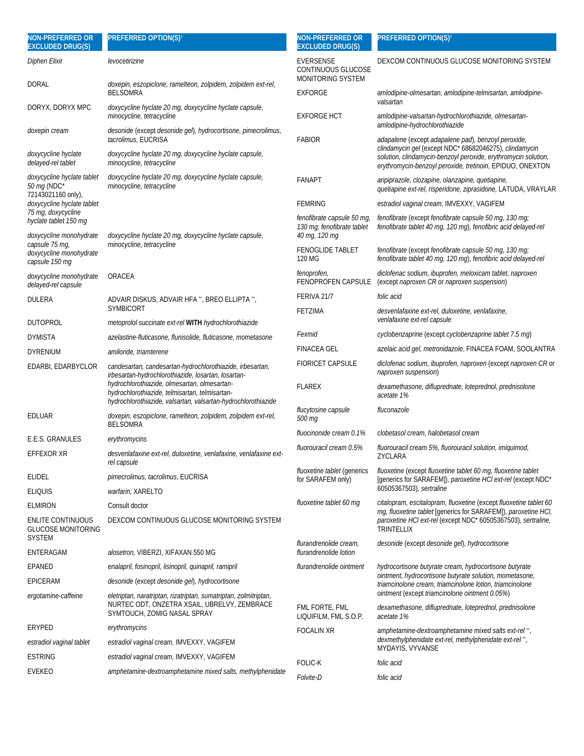| <b>NON-PREFERRED OR</b><br><b>EXCLUDED DRUG(S)</b>                     | PREFERRED OPTION(S) <sup>†</sup>                                                                                                                                | <b>NON-PREFERRED OR</b><br><b>EXCLUDED DRUG(S)</b>                        | PREFERRED OPTION(S) <sup>+</sup>                                                                                                                                                      |
|------------------------------------------------------------------------|-----------------------------------------------------------------------------------------------------------------------------------------------------------------|---------------------------------------------------------------------------|---------------------------------------------------------------------------------------------------------------------------------------------------------------------------------------|
| Diphen Elixir                                                          | levocetirizine                                                                                                                                                  | <b>EVERSENSE</b><br>CONTINUOUS GLUCOSE<br>MONITORING SYSTEM               | DEXCOM CONTINUOUS GLUCOSE MONITORING SYSTEM                                                                                                                                           |
| DORAL                                                                  | doxepin, eszopiclone, ramelteon, zolpidem, zolpidem ext-rel,<br><b>BELSOMRA</b>                                                                                 | <b>EXFORGE</b>                                                            | amlodipine-olmesartan, amlodipine-telmisartan, amlodipine-<br>valsartan                                                                                                               |
| DORYX, DORYX MPC                                                       | doxycycline hyclate 20 mg, doxycycline hyclate capsule,<br>minocycline, tetracycline                                                                            | <b>EXFORGE HCT</b>                                                        | amlodipine-valsartan-hydrochlorothiazide, olmesartan-<br>amlodipine-hydrochlorothiazide                                                                                               |
| doxepin cream                                                          | desonide (except desonide gel), hydrocortisone, pimecrolimus,<br>tacrolimus, EUCRISA                                                                            | <b>FABIOR</b>                                                             | adapalene (except adapalene pad), benzoyl peroxide,                                                                                                                                   |
| doxycycline hyclate<br>delayed-rel tablet                              | doxycycline hyclate 20 mq, doxycycline hyclate capsule,<br>minocycline, tetracycline                                                                            |                                                                           | clindamycin gel (except NDC* 68682046275), clindamycin<br>solution, clindamycin-benzoyl peroxide, erythromycin solution,<br>erythromycin-benzoyl peroxide, tretinoin, EPIDUO, ONEXTON |
| doxycycline hyclate tablet<br>50 mg (NDC*<br>72143021160 only),        | doxycycline hyclate 20 mg, doxycycline hyclate capsule,<br>minocycline, tetracycline                                                                            | <b>FANAPT</b>                                                             | aripiprazole, clozapine, olanzapine, quetiapine,<br>quetiapine ext-rel, risperidone, ziprasidone, LATUDA, VRAYLAR                                                                     |
| doxycycline hyclate tablet                                             |                                                                                                                                                                 | <b>FEMRING</b>                                                            | estradiol vaginal cream, IMVEXXY, VAGIFEM                                                                                                                                             |
| 75 mg, doxycycline<br>hyclate tablet 150 mg<br>doxycycline monohydrate | doxycycline hyclate 20 mg, doxycycline hyclate capsule,                                                                                                         | fenofibrate capsule 50 mg,<br>130 mg; fenofibrate tablet<br>40 mg, 120 mg | fenofibrate (except fenofibrate capsule 50 mg, 130 mg;<br>fenofibrate tablet 40 mg, 120 mg), fenofibric acid delayed-rel                                                              |
| capsule 75 mg,<br>doxycycline monohydrate<br>capsule 150 mg            | minocycline, tetracycline                                                                                                                                       | <b>FENOGLIDE TABLET</b><br>120 MG                                         | fenofibrate (except fenofibrate capsule 50 mg, 130 mg;<br>fenofibrate tablet 40 mg, 120 mg), fenofibric acid delayed-rel                                                              |
| doxycycline monohydrate<br>delayed-rel capsule                         | ORACEA                                                                                                                                                          | fenoprofen,<br>FENOPROFEN CAPSULE                                         | diclofenac sodium, ibuprofen, meloxicam tablet, naproxen<br>(except naproxen CR or naproxen suspension)                                                                               |
| DULERA                                                                 | ADVAIR DISKUS, ADVAIR HFA **, BREO ELLIPTA **,                                                                                                                  | FERIVA 21/7                                                               | folic acid                                                                                                                                                                            |
| DUTOPROL                                                               | <b>SYMBICORT</b><br>metoprolol succinate ext-rel WITH hydrochlorothiazide                                                                                       | <b>FETZIMA</b>                                                            | desvenlafaxine ext-rel, duloxetine, venlafaxine,<br>venlafaxine ext-rel capsule                                                                                                       |
| DYMISTA                                                                | azelastine-fluticasone, flunisolide, fluticasone, mometasone                                                                                                    | Fexmid                                                                    | cyclobenzaprine (except cyclobenzaprine tablet 7.5 mg)                                                                                                                                |
| DYRENIUM                                                               | amiloride, triamterene                                                                                                                                          | <b>FINACEA GEL</b>                                                        | azelaic acid gel, metronidazole, FINACEA FOAM, SOOLANTRA                                                                                                                              |
| EDARBI, EDARBYCLOR                                                     | candesartan, candesartan-hydrochlorothiazide, irbesartan,<br>irbesartan-hydrochlorothiazide, losartan, losartan-                                                | <b>FIORICET CAPSULE</b>                                                   | diclofenac sodium, ibuprofen, naproxen (except naproxen CR or<br>naproxen suspension)                                                                                                 |
|                                                                        | hydrochlorothiazide, olmesartan, olmesartan-<br>hydrochlorothiazide, telmisartan, telmisartan-<br>hydrochlorothiazide, valsartan, valsartan-hydrochlorothiazide | <b>FLAREX</b>                                                             | dexamethasone, difluprednate, loteprednol, prednisolone<br>acetate 1%                                                                                                                 |
| EDLUAR                                                                 | doxepin, eszopiclone, ramelteon, zolpidem, zolpidem ext-rel,<br><b>BELSOMRA</b>                                                                                 | flucytosine capsule<br>500 mg                                             | fluconazole                                                                                                                                                                           |
| E.E.S. GRANULES                                                        | erythromycins                                                                                                                                                   | fluocinonide cream 0.1%                                                   | clobetasol cream, halobetasol cream                                                                                                                                                   |
| EFFEXOR XR                                                             | desvenlafaxine ext-rel, duloxetine, venlafaxine, venlafaxine ext-<br>rel capsule                                                                                | fluorouracil cream 0.5%                                                   | fluorouracil cream 5%, fluorouracil solution, imiquimod,<br>ZYCLARA                                                                                                                   |
| ELIDEL                                                                 | pimecrolimus, tacrolimus, EUCRISA                                                                                                                               | fluoxetine tablet (generics<br>for SARAFEM only)                          | fluoxetine (except fluoxetine tablet 60 mg, fluoxetine tablet<br>[generics for SARAFEM]), paroxetine HCl ext-rel (except NDC*                                                         |
| eliquis                                                                | warfarin, XARELTO                                                                                                                                               |                                                                           | 60505367503), sertraline                                                                                                                                                              |
| elmiron                                                                | Consult doctor                                                                                                                                                  | fluoxetine tablet 60 mg                                                   | citalopram, escitalopram, fluoxetine (except fluoxetine tablet 60                                                                                                                     |
| ENLITE CONTINUOUS<br>GLUCOSE MONITORING<br>SYSTEM                      | DEXCOM CONTINUOUS GLUCOSE MONITORING SYSTEM                                                                                                                     |                                                                           | mg, fluoxetine tablet [generics for SARAFEM]), paroxetine HCI,<br>paroxetine HCl ext-rel (except NDC* 60505367503), sertraline,<br>TRINTELLIX                                         |
| ENTERAGAM                                                              | alosetron, VIBERZI, XIFAXAN 550 MG                                                                                                                              | flurandrenolide cream,<br>flurandrenolide lotion                          | desonide (except desonide gel), hydrocortisone                                                                                                                                        |
| EPANED                                                                 | enalapril, fosinopril, lisinopril, quinapril, ramipril                                                                                                          | flurandrenolide ointment                                                  | hydrocortisone butyrate cream, hydrocortisone butyrate                                                                                                                                |
| EPICERAM                                                               | desonide (except desonide gel), hydrocortisone                                                                                                                  |                                                                           | ointment, hydrocortisone butyrate solution, mometasone,<br>triamcinolone cream, triamcinolone lotion, triamcinolone                                                                   |
| ergotamine-caffeine                                                    | eletriptan, naratriptan, rizatriptan, sumatriptan, zolmitriptan,                                                                                                |                                                                           | ointment (except triamcinolone ointment 0.05%)                                                                                                                                        |
|                                                                        | NURTEC ODT, ONZETRA XSAIL, UBRELVY, ZEMBRACE<br>SYMTOUCH, ZOMIG NASAL SPRAY                                                                                     | FML FORTE, FML<br>LIQUIFILM, FML S.O.P.                                   | dexamethasone, difluprednate, loteprednol, prednisolone<br>acetate 1%                                                                                                                 |
| ERYPED                                                                 | erythromycins                                                                                                                                                   | FOCALIN XR                                                                | amphetamine-dextroamphetamine mixed salts ext-rel",                                                                                                                                   |
| estradiol vaginal tablet                                               | estradiol vaginal cream, IMVEXXY, VAGIFEM                                                                                                                       |                                                                           | dexmethylphenidate ext-rel, methylphenidate ext-rel",<br>MYDAYIS, VYVANSE                                                                                                             |
| estring                                                                | estradiol vaginal cream, IMVEXXY, VAGIFEM                                                                                                                       | <b>FOLIC-K</b>                                                            | folic acid                                                                                                                                                                            |
| EVEKEO                                                                 | amphetamine-dextroamphetamine mixed salts, methylphenidate                                                                                                      | Folvite-D                                                                 | folic acid                                                                                                                                                                            |
|                                                                        |                                                                                                                                                                 |                                                                           |                                                                                                                                                                                       |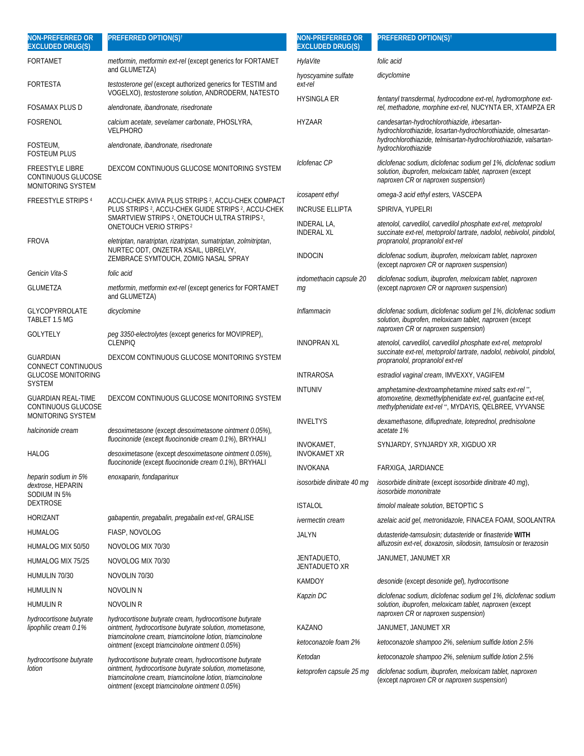| <b>NON-PREFERRED OR</b><br><b>EXCLUDED DRUG(S)</b>                | <b>PREFERRED OPTION(S)<sup>t</sup></b>                                                                                                                                               | <b>NON-PREFERRED OR</b><br><b>EXCLUDED DRUG(S)</b> | <b>PREFERRED OPTION(S)t</b>                                                                                                                                                 |
|-------------------------------------------------------------------|--------------------------------------------------------------------------------------------------------------------------------------------------------------------------------------|----------------------------------------------------|-----------------------------------------------------------------------------------------------------------------------------------------------------------------------------|
| FORTAMET                                                          | metformin, metformin ext-rel (except generics for FORTAMET                                                                                                                           | HylaVite                                           | folic acid                                                                                                                                                                  |
| FORTESTA                                                          | and GLUMETZA)<br>testosterone gel (except authorized generics for TESTIM and                                                                                                         | hyoscyamine sulfate<br>ext-rel                     | dicyclomine                                                                                                                                                                 |
| FOSAMAX PLUS D                                                    | VOGELXO), testosterone solution, ANDRODERM, NATESTO<br>alendronate, ibandronate, risedronate                                                                                         | <b>HYSINGLA ER</b>                                 | fentanyl transdermal, hydrocodone ext-rel, hydromorphone ext-<br>rel, methadone, morphine ext-rel, NUCYNTA ER, XTAMPZA ER                                                   |
| <b>FOSRENOL</b>                                                   | calcium acetate, sevelamer carbonate, PHOSLYRA,<br><b>VELPHORO</b>                                                                                                                   | <b>HYZAAR</b>                                      | candesartan-hydrochlorothiazide, irbesartan-<br>hydrochlorothiazide, losartan-hydrochlorothiazide, olmesartan-                                                              |
| FOSTEUM,<br><b>FOSTEUM PLUS</b>                                   | alendronate, ibandronate, risedronate                                                                                                                                                |                                                    | hydrochlorothiazide, telmisartan-hydrochlorothiazide, valsartan-<br>hydrochlorothiazide                                                                                     |
| <b>FREESTYLE LIBRE</b><br>CONTINUOUS GLUCOSE<br>MONITORING SYSTEM | DEXCOM CONTINUOUS GLUCOSE MONITORING SYSTEM                                                                                                                                          | Iclofenac CP                                       | diclofenac sodium, diclofenac sodium gel 1%, diclofenac sodium<br>solution, ibuprofen, meloxicam tablet, naproxen (except<br>naproxen CR or naproxen suspension)            |
| <b>FREESTYLE STRIPS 4</b>                                         | ACCU-CHEK AVIVA PLUS STRIPS <sup>2</sup> , ACCU-CHEK COMPACT                                                                                                                         | icosapent ethyl                                    | omega-3 acid ethyl esters, VASCEPA                                                                                                                                          |
|                                                                   | PLUS STRIPS <sup>2</sup> , ACCU-CHEK GUIDE STRIPS <sup>2</sup> , ACCU-CHEK                                                                                                           | <b>INCRUSE ELLIPTA</b>                             | SPIRIVA, YUPELRI                                                                                                                                                            |
| <b>FROVA</b>                                                      | SMARTVIEW STRIPS <sup>2</sup> , ONETOUCH ULTRA STRIPS <sup>2</sup> ,<br><b>ONETOUCH VERIO STRIPS<sup>2</sup></b><br>eletriptan, naratriptan, rizatriptan, sumatriptan, zolmitriptan, | <b>INDERAL LA,</b><br><b>INDERAL XL</b>            | atenolol, carvedilol, carvedilol phosphate ext-rel, metoprolol<br>succinate ext-rel, metoprolol tartrate, nadolol, nebivolol, pindolol,<br>propranolol, propranolol ext-rel |
|                                                                   | NURTEC ODT, ONZETRA XSAIL, UBRELVY,<br>ZEMBRACE SYMTOUCH, ZOMIG NASAL SPRAY                                                                                                          | <b>INDOCIN</b>                                     | diclofenac sodium, ibuprofen, meloxicam tablet, naproxen<br>(except naproxen CR or naproxen suspension)                                                                     |
| Genicin Vita-S                                                    | folic acid                                                                                                                                                                           | indomethacin capsule 20                            | diclofenac sodium, ibuprofen, meloxicam tablet, naproxen                                                                                                                    |
| <b>GLUMETZA</b>                                                   | metformin, metformin ext-rel (except generics for FORTAMET<br>and GLUMETZA)                                                                                                          | mg                                                 | (except naproxen CR or naproxen suspension)                                                                                                                                 |
| <b>GLYCOPYRROLATE</b><br>TABLET 1.5 MG                            | dicyclomine                                                                                                                                                                          | Inflammacin                                        | diclofenac sodium, diclofenac sodium gel 1%, diclofenac sodium<br>solution, ibuprofen, meloxicam tablet, naproxen (except<br>naproxen CR or naproxen suspension)            |
| GOLYTELY                                                          | peg 3350-electrolytes (except generics for MOVIPREP),<br><b>CLENPIO</b>                                                                                                              | <b>INNOPRAN XL</b>                                 | atenolol, carvedilol, carvedilol phosphate ext-rel, metoprolol<br>succinate ext-rel, metoprolol tartrate, nadolol, nebivolol, pindolol,                                     |
| <b>GUARDIAN</b><br>CONNECT CONTINUOUS                             | DEXCOM CONTINUOUS GLUCOSE MONITORING SYSTEM                                                                                                                                          |                                                    | propranolol, propranolol ext-rel                                                                                                                                            |
| <b>GLUCOSE MONITORING</b>                                         |                                                                                                                                                                                      | <b>INTRAROSA</b>                                   | estradiol vaginal cream, IMVEXXY, VAGIFEM                                                                                                                                   |
| <b>SYSTEM</b><br><b>GUARDIAN REAL-TIME</b><br>CONTINUOUS GLUCOSE  | DEXCOM CONTINUOUS GLUCOSE MONITORING SYSTEM                                                                                                                                          | <b>INTUNIV</b>                                     | amphetamine-dextroamphetamine mixed salts ext-rel",<br>atomoxetine, dexmethylphenidate ext-rel, guanfacine ext-rel,<br>methylphenidate ext-rel", MYDAYIS, QELBREE, VYVANSE  |
| MONITORING SYSTEM<br>halcinonide cream                            | desoximetasone (except desoximetasone ointment 0.05%),                                                                                                                               | <b>INVELTYS</b>                                    | dexamethasone, difluprednate, loteprednol, prednisolone<br>acetate 1%                                                                                                       |
| HALOG                                                             | fluocinonide (except fluocinonide cream 0.1%), BRYHALI<br>desoximetasone (except desoximetasone ointment 0.05%),                                                                     | INVOKAMET,<br><b>INVOKAMET XR</b>                  | SYNJARDY, SYNJARDY XR, XIGDUO XR                                                                                                                                            |
|                                                                   | fluocinonide (except fluocinonide cream 0.1%), BRYHALI                                                                                                                               | <b>INVOKANA</b>                                    | FARXIGA, JARDIANCE                                                                                                                                                          |
| heparin sodium in 5%<br>dextrose, HEPARIN<br>SODIUM IN 5%         | enoxaparin, fondaparinux                                                                                                                                                             | isosorbide dinitrate 40 mg                         | isosorbide dinitrate (except isosorbide dinitrate 40 mg),<br>isosorbide mononitrate                                                                                         |
| DEXTROSE                                                          |                                                                                                                                                                                      | <b>ISTALOL</b>                                     | timolol maleate solution, BETOPTIC S                                                                                                                                        |
| <b>HORIZANT</b>                                                   | gabapentin, pregabalin, pregabalin ext-rel, GRALISE                                                                                                                                  | <i>ivermectin cream</i>                            | azelaic acid gel, metronidazole, FINACEA FOAM, SOOLANTRA                                                                                                                    |
| HUMALOG                                                           | FIASP, NOVOLOG                                                                                                                                                                       | <b>JALYN</b>                                       | dutasteride-tamsulosin; dutasteride or finasteride WITH                                                                                                                     |
| HUMALOG MIX 50/50                                                 | NOVOLOG MIX 70/30                                                                                                                                                                    |                                                    | alfuzosin ext-rel, doxazosin, silodosin, tamsulosin or terazosin                                                                                                            |
| HUMALOG MIX 75/25                                                 | NOVOLOG MIX 70/30                                                                                                                                                                    | JENTADUETO,<br><b>JENTADUETO XR</b>                | JANUMET, JANUMET XR                                                                                                                                                         |
| HUMULIN 70/30                                                     | NOVOLIN 70/30                                                                                                                                                                        | <b>KAMDOY</b>                                      | desonide (except desonide gel), hydrocortisone                                                                                                                              |
| HUMULIN N                                                         | NOVOLIN N                                                                                                                                                                            | Kapzin DC                                          | diclofenac sodium, diclofenac sodium gel 1%, diclofenac sodium                                                                                                              |
| humulin R                                                         | <b>NOVOLIN R</b>                                                                                                                                                                     |                                                    | solution, ibuprofen, meloxicam tablet, naproxen (except<br>naproxen CR or naproxen suspension)                                                                              |
| hydrocortisone butyrate<br>lipophilic cream 0.1%                  | hydrocortisone butyrate cream, hydrocortisone butyrate<br>ointment, hydrocortisone butyrate solution, mometasone,                                                                    | <b>KAZANO</b>                                      | JANUMET, JANUMET XR                                                                                                                                                         |
|                                                                   | triamcinolone cream, triamcinolone lotion, triamcinolone<br>ointment (except triamcinolone ointment 0.05%)                                                                           | ketoconazole foam 2%                               | ketoconazole shampoo 2%, selenium sulfide lotion 2.5%                                                                                                                       |
| hydrocortisone butyrate                                           | hydrocortisone butyrate cream, hydrocortisone butyrate                                                                                                                               | Ketodan                                            | ketoconazole shampoo 2%, selenium sulfide lotion 2.5%                                                                                                                       |
| lotion                                                            | ointment, hydrocortisone butyrate solution, mometasone,<br>triamcinolone cream, triamcinolone lotion, triamcinolone<br>ointment (except triamcinolone ointment 0.05%)                | ketoprofen capsule 25 mg                           | diclofenac sodium, ibuprofen, meloxicam tablet, naproxen<br>(except naproxen CR or naproxen suspension)                                                                     |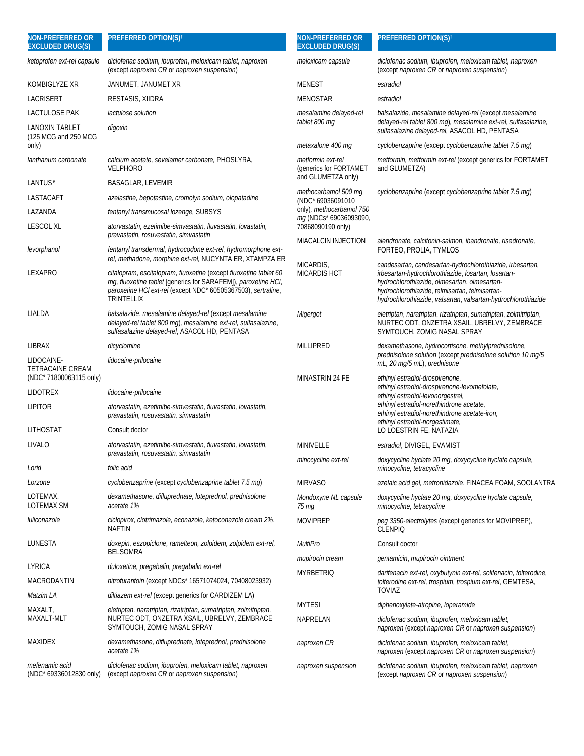| NON-PREFERRED OR<br><b>EXCLUDED DRUG(S)</b> | PREFERRED OPTION(S) <sup>t</sup>                                                                                                                                                                                          | <b>NON-PREFERRED OR</b><br><b>EXCLUDED DRUG(S)</b> | <b>PREFERRED OPTION(S)<sup>t</sup></b>                                                                                                                                                                                                                                              |
|---------------------------------------------|---------------------------------------------------------------------------------------------------------------------------------------------------------------------------------------------------------------------------|----------------------------------------------------|-------------------------------------------------------------------------------------------------------------------------------------------------------------------------------------------------------------------------------------------------------------------------------------|
| ketoprofen ext-rel capsule                  | diclofenac sodium, ibuprofen, meloxicam tablet, naproxen<br>(except naproxen CR or naproxen suspension)                                                                                                                   | meloxicam capsule                                  | diclofenac sodium, ibuprofen, meloxicam tablet, naproxen<br>(except <i>naproxen CR</i> or <i>naproxen suspension</i> )                                                                                                                                                              |
| <b>KOMBIGLYZE XR</b>                        | JANUMET, JANUMET XR                                                                                                                                                                                                       | <b>MENEST</b>                                      | estradiol                                                                                                                                                                                                                                                                           |
| LACRISERT                                   | RESTASIS, XIIDRA                                                                                                                                                                                                          | <b>MENOSTAR</b>                                    | estradiol                                                                                                                                                                                                                                                                           |
| LACTULOSE PAK<br>LANOXIN TABLET             | lactulose solution<br>digoxin                                                                                                                                                                                             | mesalamine delayed-rel<br>tablet 800 mg            | balsalazide, mesalamine delayed-rel (except mesalamine<br>delayed-rel tablet 800 mg), mesalamine ext-rel, sulfasalazine,<br>sulfasalazine delayed-rel, ASACOL HD, PENTASA                                                                                                           |
| (125 MCG and 250 MCG)<br>only)              |                                                                                                                                                                                                                           | metaxalone 400 mg                                  | cyclobenzaprine (except cyclobenzaprine tablet 7.5 mg)                                                                                                                                                                                                                              |
| lanthanum carbonate                         | calcium acetate, sevelamer carbonate, PHOSLYRA,<br><b>VELPHORO</b>                                                                                                                                                        | metformin ext-rel<br>(generics for FORTAMET        | metformin, metformin ext-rel (except generics for FORTAMET<br>and GLUMETZA)                                                                                                                                                                                                         |
| LANTUS <sup>6</sup>                         | <b>BASAGLAR, LEVEMIR</b>                                                                                                                                                                                                  | and GLUMETZA only)                                 |                                                                                                                                                                                                                                                                                     |
| LASTACAFT                                   | azelastine, bepotastine, cromolyn sodium, olopatadine                                                                                                                                                                     | methocarbamol 500 mg<br>(NDC* 69036091010          | cyclobenzaprine (except cyclobenzaprine tablet 7.5 mg)                                                                                                                                                                                                                              |
| LAZANDA                                     | fentanyl transmucosal lozenge, SUBSYS                                                                                                                                                                                     | only), methocarbamol 750<br>mg (NDCs* 69036093090, |                                                                                                                                                                                                                                                                                     |
| <b>LESCOL XL</b>                            | atorvastatin, ezetimibe-simvastatin, fluvastatin, lovastatin,<br>pravastatin, rosuvastatin, simvastatin                                                                                                                   | 70868090190 only)<br><b>MIACALCIN INJECTION</b>    | alendronate, calcitonin-salmon, ibandronate, risedronate,                                                                                                                                                                                                                           |
| levorphanol                                 | fentanyl transdermal, hydrocodone ext-rel, hydromorphone ext-<br>rel, methadone, morphine ext-rel, NUCYNTA ER, XTAMPZA ER                                                                                                 |                                                    | FORTEO, PROLIA, TYMLOS                                                                                                                                                                                                                                                              |
| LEXAPRO                                     | citalopram, escitalopram, fluoxetine (except fluoxetine tablet 60<br>mq, fluoxetine tablet [generics for SARAFEM]), paroxetine HCI,<br>paroxetine HCl ext-rel (except NDC* 60505367503), sertraline,<br><b>TRINTELLIX</b> | MICARDIS,<br><b>MICARDIS HCT</b>                   | candesartan, candesartan-hydrochlorothiazide, irbesartan,<br>irbesartan-hydrochlorothiazide, losartan, losartan-<br>hydrochlorothiazide, olmesartan, olmesartan-<br>hydrochlorothiazide, telmisartan, telmisartan-<br>hydrochlorothiazide, valsartan, valsartan-hydrochlorothiazide |
| LIALDA                                      | balsalazide, mesalamine delayed-rel (except mesalamine<br>delayed-rel tablet 800 mg), mesalamine ext-rel, sulfasalazine,<br>sulfasalazine delayed-rel, ASACOL HD, PENTASA                                                 | Migergot                                           | eletriptan, naratriptan, rizatriptan, sumatriptan, zolmitriptan,<br>NURTEC ODT, ONZETRA XSAIL, UBRELVY, ZEMBRACE<br>SYMTOUCH, ZOMIG NASAL SPRAY                                                                                                                                     |
| LIBRAX                                      | dicyclomine                                                                                                                                                                                                               | MILLIPRED                                          | dexamethasone, hydrocortisone, methylprednisolone,                                                                                                                                                                                                                                  |
| LIDOCAINE-<br><b>TETRACAINE CREAM</b>       | lidocaine-prilocaine                                                                                                                                                                                                      |                                                    | prednisolone solution (except prednisolone solution 10 mg/5<br>mL, 20 mg/5 mL), prednisone                                                                                                                                                                                          |
| (NDC* 71800063115 only)<br><b>LIDOTREX</b>  |                                                                                                                                                                                                                           | MINASTRIN 24 FE                                    | ethinyl estradiol-drospirenone,<br>ethinyl estradiol-drospirenone-levomefolate,                                                                                                                                                                                                     |
| <b>LIPITOR</b>                              | lidocaine-prilocaine                                                                                                                                                                                                      |                                                    | ethinyl estradiol-levonorgestrel,<br>ethinyl estradiol-norethindrone acetate,                                                                                                                                                                                                       |
|                                             | atorvastatin, ezetimibe-simvastatin, fluvastatin, lovastatin,<br>pravastatin, rosuvastatin, simvastatin                                                                                                                   |                                                    | ethinyl estradiol-norethindrone acetate-iron,<br>ethinyl estradiol-norgestimate,                                                                                                                                                                                                    |
| LITHOSTAT                                   | Consult doctor                                                                                                                                                                                                            |                                                    | LO LOESTRIN FE, NATAZIA                                                                                                                                                                                                                                                             |
| LIVALO                                      | atorvastatin, ezetimibe-simvastatin, fluvastatin, lovastatin,<br>pravastatin, rosuvastatin, simvastatin                                                                                                                   | MINIVELLE                                          | estradiol, DIVIGEL, EVAMIST                                                                                                                                                                                                                                                         |
| Lorid                                       | folic acid                                                                                                                                                                                                                | minocycline ext-rel                                | doxycycline hyclate 20 mg, doxycycline hyclate capsule,<br>minocycline, tetracycline                                                                                                                                                                                                |
| Lorzone                                     | cyclobenzaprine (except cyclobenzaprine tablet 7.5 mg)                                                                                                                                                                    | <b>MIRVASO</b>                                     | azelaic acid gel, metronidazole, FINACEA FOAM, SOOLANTRA                                                                                                                                                                                                                            |
| LOTEMAX,<br><b>LOTEMAX SM</b>               | dexamethasone, difluprednate, loteprednol, prednisolone<br>acetate 1%                                                                                                                                                     | Mondoxyne NL capsule<br>75 mg                      | doxycycline hyclate 20 mg, doxycycline hyclate capsule,<br>minocycline, tetracycline                                                                                                                                                                                                |
| luliconazole                                | ciclopirox, clotrimazole, econazole, ketoconazole cream 2%,<br><b>NAFTIN</b>                                                                                                                                              | <b>MOVIPREP</b>                                    | peq 3350-electrolytes (except generics for MOVIPREP),<br><b>CLENPIQ</b>                                                                                                                                                                                                             |
| LUNESTA                                     | doxepin, eszopiclone, ramelteon, zolpidem, zolpidem ext-rel,<br><b>BELSOMRA</b>                                                                                                                                           | MultiPro                                           | Consult doctor                                                                                                                                                                                                                                                                      |
| LYRICA                                      | duloxetine, pregabalin, pregabalin ext-rel                                                                                                                                                                                | mupirocin cream                                    | gentamicin, mupirocin ointment                                                                                                                                                                                                                                                      |
| MACRODANTIN                                 | <i>nitrofurantoin</i> (except NDCs* 16571074024, 70408023932)                                                                                                                                                             | <b>MYRBETRIQ</b>                                   | darifenacin ext-rel, oxybutynin ext-rel, solifenacin, tolterodine,<br>tolterodine ext-rel, trospium, trospium ext-rel, GEMTESA,<br><b>TOVIAZ</b>                                                                                                                                    |
| Matzim LA                                   | <i>diltiazem ext-rel</i> (except generics for CARDIZEM LA)                                                                                                                                                                | <b>MYTESI</b>                                      | diphenoxylate-atropine, loperamide                                                                                                                                                                                                                                                  |
| MAXALT,<br>MAXALT-MLT                       | eletriptan, naratriptan, rizatriptan, sumatriptan, zolmitriptan,<br>NURTEC ODT, ONZETRA XSAIL, UBRELVY, ZEMBRACE<br>SYMTOUCH, ZOMIG NASAL SPRAY                                                                           | NAPRELAN                                           | diclofenac sodium, ibuprofen, meloxicam tablet,<br>naproxen (except naproxen CR or naproxen suspension)                                                                                                                                                                             |
| MAXIDEX                                     | dexamethasone, difluprednate, loteprednol, prednisolone<br>acetate 1%                                                                                                                                                     | naproxen CR                                        | diclofenac sodium, ibuprofen, meloxicam tablet,<br>naproxen (except naproxen CR or naproxen suspension)                                                                                                                                                                             |
| mefenamic acid<br>(NDC* 69336012830 only)   | diclofenac sodium, ibuprofen, meloxicam tablet, naproxen<br>(except naproxen CR or naproxen suspension)                                                                                                                   | naproxen suspension                                | diclofenac sodium, ibuprofen, meloxicam tablet, naproxen<br>(except naproxen CR or naproxen suspension)                                                                                                                                                                             |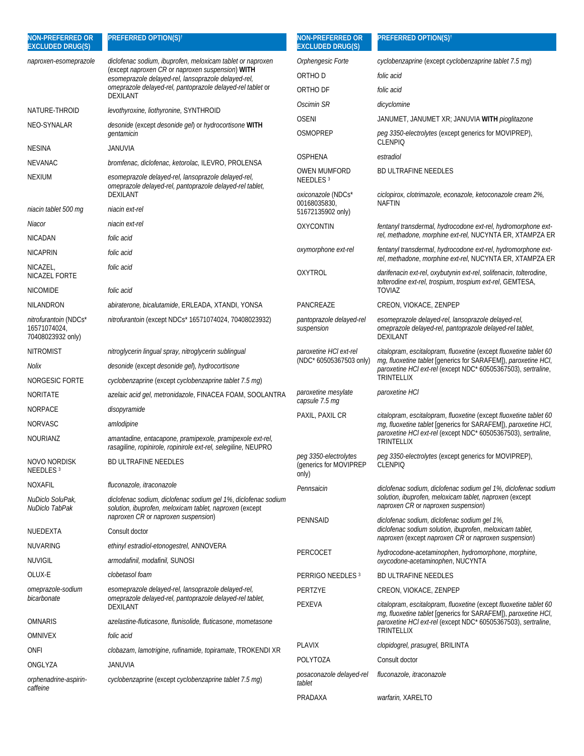| <b>NON-PREFERRED OR</b><br><b>EXCLUDED DRUG(S)</b>                | <b>PREFERRED OPTION(S)<sup>†</sup></b>                                                                                                                           | <b>NON-PREFERRED OR</b><br><b>EXCLUDED DRUG(S)</b>       | PREFERRED OPTION(S) <sup>t</sup>                                                                                                    |
|-------------------------------------------------------------------|------------------------------------------------------------------------------------------------------------------------------------------------------------------|----------------------------------------------------------|-------------------------------------------------------------------------------------------------------------------------------------|
| naproxen-esomeprazole                                             | diclofenac sodium, ibuprofen, meloxicam tablet or naproxen                                                                                                       | Orphengesic Forte                                        | cyclobenzaprine (except cyclobenzaprine tablet 7.5 mg)                                                                              |
|                                                                   | (except naproxen CR or naproxen suspension) WITH<br>esomeprazole delayed-rel, lansoprazole delayed-rel,                                                          | ORTHO D                                                  | folic acid                                                                                                                          |
|                                                                   | omeprazole delayed-rel, pantoprazole delayed-rel tablet or                                                                                                       | ORTHO DF                                                 | folic acid                                                                                                                          |
|                                                                   | <b>DEXILANT</b>                                                                                                                                                  | Oscimin SR                                               | dicyclomine                                                                                                                         |
| NATURE-THROID                                                     | levothyroxine, liothyronine, SYNTHROID                                                                                                                           | <b>OSENI</b>                                             | JANUMET, JANUMET XR; JANUVIA WITH pioglitazone                                                                                      |
| NEO-SYNALAR                                                       | desonide (except desonide gel) or hydrocortisone WITH<br>gentamicin                                                                                              | <b>OSMOPREP</b>                                          | peg 3350-electrolytes (except generics for MOVIPREP),<br><b>CLENPIO</b>                                                             |
| <b>NESINA</b>                                                     | JANUVIA                                                                                                                                                          | <b>OSPHENA</b>                                           | estradiol                                                                                                                           |
| NEVANAC                                                           | bromfenac, diclofenac, ketorolac, ILEVRO, PROLENSA                                                                                                               | OWEN MUMFORD                                             | <b>BD ULTRAFINE NEEDLES</b>                                                                                                         |
| <b>NEXIUM</b>                                                     | esomeprazole delayed-rel, lansoprazole delayed-rel,<br>omeprazole delayed-rel, pantoprazole delayed-rel tablet,<br>DEXILANT                                      | NEEDLES <sup>3</sup><br><i>oxiconazole</i> (NDCs*        | ciclopirox, clotrimazole, econazole, ketoconazole cream 2%,                                                                         |
| niacin tablet 500 mg                                              | niacin ext-rel                                                                                                                                                   | 00168035830,<br>51672135902 only)                        | <b>NAFTIN</b>                                                                                                                       |
| Niacor                                                            | niacin ext-rel                                                                                                                                                   | <b>OXYCONTIN</b>                                         | fentanyl transdermal, hydrocodone ext-rel, hydromorphone ext-                                                                       |
| NICADAN                                                           | folic acid                                                                                                                                                       |                                                          | rel, methadone, morphine ext-rel, NUCYNTA ER, XTAMPZA ER                                                                            |
| <b>NICAPRIN</b>                                                   | folic acid                                                                                                                                                       | oxymorphone ext-rel                                      | fentanyl transdermal, hydrocodone ext-rel, hydromorphone ext-<br>rel, methadone, morphine ext-rel, NUCYNTA ER, XTAMPZA ER           |
| NICAZEL,<br>NICAZEL FORTE                                         | folic acid                                                                                                                                                       | <b>OXYTROL</b>                                           | darifenacin ext-rel, oxybutynin ext-rel, solifenacin, tolterodine,<br>tolterodine ext-rel, trospium, trospium ext-rel, GEMTESA,     |
| <b>NICOMIDE</b>                                                   | folic acid                                                                                                                                                       |                                                          | <b>TOVIAZ</b>                                                                                                                       |
| NILANDRON                                                         | abiraterone, bicalutamide, ERLEADA, XTANDI, YONSA                                                                                                                | PANCREAZE                                                | CREON, VIOKACE, ZENPEP                                                                                                              |
| <i>nitrofurantoin</i> (NDCs*<br>16571074024,<br>70408023932 only) | nitrofurantoin (except NDCs* 16571074024, 70408023932)                                                                                                           | pantoprazole delayed-rel<br>suspension                   | esomeprazole delayed-rel, lansoprazole delayed-rel,<br>omeprazole delayed-rel, pantoprazole delayed-rel tablet,<br><b>DEXILANT</b>  |
| <b>NITROMIST</b>                                                  | nitroglycerin lingual spray, nitroglycerin sublingual                                                                                                            | paroxetine HCI ext-rel                                   | citalopram, escitalopram, fluoxetine (except fluoxetine tablet 60                                                                   |
| Nolix                                                             | desonide (except desonide gel), hydrocortisone                                                                                                                   | (NDC* 60505367503 only)                                  | mq, fluoxetine tablet [generics for SARAFEM]), paroxetine HCI,<br>paroxetine HCl ext-rel (except NDC* 60505367503), sertraline,     |
| NORGESIC FORTE                                                    | cyclobenzaprine (except cyclobenzaprine tablet 7.5 mg)                                                                                                           |                                                          | TRINTELLIX                                                                                                                          |
| <b>NORITATE</b>                                                   | azelaic acid gel, metronidazole, FINACEA FOAM, SOOLANTRA                                                                                                         | paroxetine mesylate<br>capsule 7.5 mg                    | paroxetine HCl                                                                                                                      |
| <b>NORPACE</b>                                                    | disopyramide                                                                                                                                                     | PAXIL, PAXIL CR                                          | citalopram, escitalopram, fluoxetine (except fluoxetine tablet 60                                                                   |
| <b>NORVASC</b>                                                    | amlodipine                                                                                                                                                       |                                                          | mg, fluoxetine tablet [generics for SARAFEM]), paroxetine HCI,                                                                      |
| <b>NOURIANZ</b>                                                   | amantadine, entacapone, pramipexole, pramipexole ext-rel,<br>rasagiline, ropinirole, ropinirole ext-rel, selegiline, NEUPRO                                      |                                                          | paroxetine HCl ext-rel (except NDC* 60505367503), sertraline,<br><b>TRINTELLIX</b>                                                  |
| <b>NOVO NORDISK</b><br>NEEDLES <sup>3</sup>                       | <b>BD ULTRAFINE NEEDLES</b>                                                                                                                                      | peg 3350-electrolytes<br>(generics for MOVIPREP<br>only) | peg 3350-electrolytes (except generics for MOVIPREP),<br><b>CLENPIQ</b>                                                             |
| NOXAFIL                                                           | fluconazole, itraconazole                                                                                                                                        | Pennsaicin                                               | diclofenac sodium, diclofenac sodium gel 1%, diclofenac sodium                                                                      |
| NuDiclo SoluPak,<br>NuDiclo TabPak                                | diclofenac sodium, diclofenac sodium gel 1%, diclofenac sodium<br>solution, ibuprofen, meloxicam tablet, naproxen (except<br>naproxen CR or naproxen suspension) | PENNSAID                                                 | solution, ibuprofen, meloxicam tablet, naproxen (except<br>naproxen CR or naproxen suspension)                                      |
| NUEDEXTA                                                          | Consult doctor                                                                                                                                                   |                                                          | diclofenac sodium, diclofenac sodium gel 1%,<br>diclofenac sodium solution, ibuprofen, meloxicam tablet,                            |
| <b>NUVARING</b>                                                   | ethinyl estradiol-etonogestrel, ANNOVERA                                                                                                                         |                                                          | naproxen (except naproxen CR or naproxen suspension)                                                                                |
| <b>NUVIGIL</b>                                                    | armodafinil, modafinil, SUNOSI                                                                                                                                   | PERCOCET                                                 | hydrocodone-acetaminophen, hydromorphone, morphine,<br>oxycodone-acetaminophen, NUCYNTA                                             |
| OLUX-E                                                            | clobetasol foam                                                                                                                                                  | PERRIGO NEEDLES 3                                        | <b>BD ULTRAFINE NEEDLES</b>                                                                                                         |
| omeprazole-sodium                                                 | esomeprazole delayed-rel, lansoprazole delayed-rel,                                                                                                              | PERTZYE                                                  | CREON, VIOKACE, ZENPEP                                                                                                              |
| bicarbonate                                                       | omeprazole delayed-rel, pantoprazole delayed-rel tablet,<br>DEXILANT                                                                                             | PEXEVA                                                   | citalopram, escitalopram, fluoxetine (except fluoxetine tablet 60<br>mg, fluoxetine tablet [generics for SARAFEM]), paroxetine HCI, |
| <b>OMNARIS</b>                                                    | azelastine-fluticasone, flunisolide, fluticasone, mometasone                                                                                                     |                                                          | paroxetine HCl ext-rel (except NDC* 60505367503), sertraline,                                                                       |
| OMNIVEX                                                           | folic acid                                                                                                                                                       | <b>PLAVIX</b>                                            | TRINTELLIX<br>clopidogrel, prasugrel, BRILINTA                                                                                      |
| onfi                                                              | clobazam, lamotrigine, rufinamide, topiramate, TROKENDI XR                                                                                                       | POLYTOZA                                                 | Consult doctor                                                                                                                      |
| ONGLYZA<br>orphenadrine-aspirin-                                  | JANUVIA<br>cyclobenzaprine (except cyclobenzaprine tablet 7.5 mg)                                                                                                | posaconazole delayed-rel<br>tablet                       | fluconazole, itraconazole                                                                                                           |
| caffeine                                                          |                                                                                                                                                                  | PRADAXA                                                  | warfarin, XARELTO                                                                                                                   |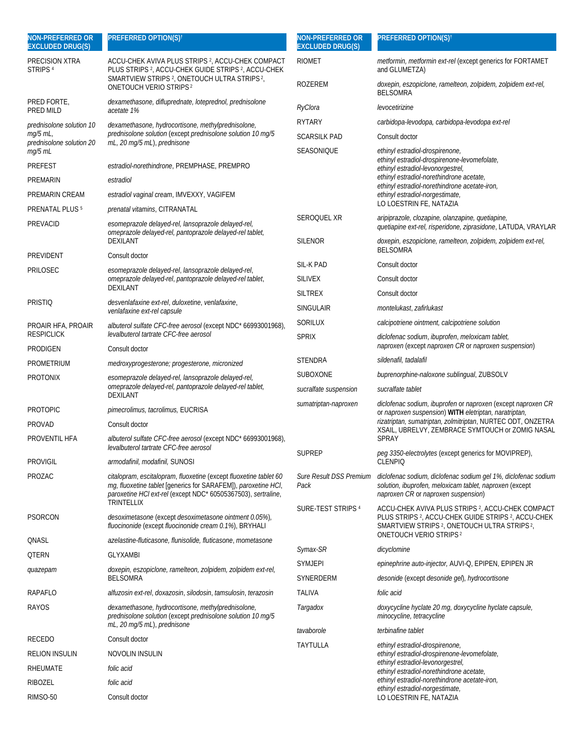| <b>NON-PREFERRED OR</b><br><b>EXCLUDED DRUG(S)</b> | PREFERRED OPTION(S) <sup>t</sup>                                                                                                                                                                                   | <b>NON-PREFERRED OR</b><br><b>EXCLUDED DRUG(S)</b> | <b>PREFERRED OPTION(S)<sup>t</sup></b>                                                                                                                                                                             |
|----------------------------------------------------|--------------------------------------------------------------------------------------------------------------------------------------------------------------------------------------------------------------------|----------------------------------------------------|--------------------------------------------------------------------------------------------------------------------------------------------------------------------------------------------------------------------|
| PRECISION XTRA<br>STRIPS <sup>4</sup>              | ACCU-CHEK AVIVA PLUS STRIPS <sup>2</sup> , ACCU-CHEK COMPACT<br>PLUS STRIPS <sup>2</sup> , ACCU-CHEK GUIDE STRIPS <sup>2</sup> , ACCU-CHEK<br>SMARTVIEW STRIPS <sup>2</sup> , ONETOUCH ULTRA STRIPS <sup>2</sup> , | <b>RIOMET</b>                                      | metformin, metformin ext-rel (except generics for FORTAMET<br>and GLUMETZA)                                                                                                                                        |
|                                                    | <b>ONETOUCH VERIO STRIPS2</b>                                                                                                                                                                                      | ROZEREM                                            | doxepin, eszopiclone, ramelteon, zolpidem, zolpidem ext-rel,<br><b>BELSOMRA</b>                                                                                                                                    |
| PRED FORTE,<br>PRED MILD                           | dexamethasone, difluprednate, loteprednol, prednisolone<br>acetate 1%                                                                                                                                              | RyClora                                            | levocetirizine                                                                                                                                                                                                     |
| prednisolone solution 10                           | dexamethasone, hydrocortisone, methylprednisolone,                                                                                                                                                                 | <b>RYTARY</b>                                      | carbidopa-levodopa, carbidopa-levodopa ext-rel                                                                                                                                                                     |
| $mg/5$ mL,<br>prednisolone solution 20             | prednisolone solution (except prednisolone solution 10 mg/5<br>mL, 20 mg/5 mL), prednisone                                                                                                                         | <b>SCARSILK PAD</b>                                | Consult doctor                                                                                                                                                                                                     |
| mg/5 mL                                            |                                                                                                                                                                                                                    | SEASONIQUE                                         | ethinyl estradiol-drospirenone,                                                                                                                                                                                    |
| <b>PREFEST</b>                                     | estradiol-norethindrone, PREMPHASE, PREMPRO                                                                                                                                                                        |                                                    | ethinyl estradiol-drospirenone-levomefolate,<br>ethinyl estradiol-levonorgestrel,                                                                                                                                  |
| PREMARIN                                           | estradiol                                                                                                                                                                                                          |                                                    | ethinyl estradiol-norethindrone acetate,<br>ethinyl estradiol-norethindrone acetate-iron,                                                                                                                          |
| PREMARIN CREAM                                     | estradiol vaginal cream, IMVEXXY, VAGIFEM                                                                                                                                                                          |                                                    | ethinyl estradiol-norgestimate,                                                                                                                                                                                    |
| PRENATAL PLUS <sup>5</sup>                         | <i>prenatal vitamins</i> , CITRANATAL                                                                                                                                                                              |                                                    | LO LOESTRIN FE, NATAZIA                                                                                                                                                                                            |
| <b>PREVACID</b>                                    | esomeprazole delayed-rel, lansoprazole delayed-rel,<br>omeprazole delayed-rel, pantoprazole delayed-rel tablet,<br><b>DEXILANT</b>                                                                                 | SEROQUEL XR<br><b>SILENOR</b>                      | aripiprazole, clozapine, olanzapine, quetiapine,<br>quetiapine ext-rel, risperidone, ziprasidone, LATUDA, VRAYLAR<br>doxepin, eszopiclone, ramelteon, zolpidem, zolpidem ext-rel,                                  |
| PREVIDENT                                          | Consult doctor                                                                                                                                                                                                     |                                                    | <b>BELSOMRA</b>                                                                                                                                                                                                    |
| PRILOSEC                                           | esomeprazole delayed-rel, lansoprazole delayed-rel,                                                                                                                                                                | SIL-K PAD                                          | Consult doctor                                                                                                                                                                                                     |
|                                                    | omeprazole delayed-rel, pantoprazole delayed-rel tablet,                                                                                                                                                           | <b>SILIVEX</b>                                     | Consult doctor                                                                                                                                                                                                     |
|                                                    | <b>DEXILANT</b>                                                                                                                                                                                                    | <b>SILTREX</b>                                     | Consult doctor                                                                                                                                                                                                     |
| <b>PRISTIQ</b>                                     | desvenlafaxine ext-rel, duloxetine, venlafaxine,<br>venlafaxine ext-rel capsule                                                                                                                                    | <b>SINGULAIR</b>                                   | montelukast, zafirlukast                                                                                                                                                                                           |
| PROAIR HFA, PROAIR<br><b>RESPICLICK</b>            | albuterol sulfate CFC-free aerosol (except NDC* 66993001968),<br>levalbuterol tartrate CFC-free aerosol                                                                                                            | SORILUX<br><b>SPRIX</b>                            | calcipotriene ointment, calcipotriene solution<br>diclofenac sodium, ibuprofen, meloxicam tablet,                                                                                                                  |
| PRODIGEN                                           | Consult doctor                                                                                                                                                                                                     |                                                    | naproxen (except naproxen CR or naproxen suspension)                                                                                                                                                               |
| PROMETRIUM                                         | medroxyprogesterone; progesterone, micronized                                                                                                                                                                      | <b>STENDRA</b>                                     | sildenafil, tadalafil                                                                                                                                                                                              |
| <b>PROTONIX</b>                                    | esomeprazole delayed-rel, lansoprazole delayed-rel,                                                                                                                                                                | <b>SUBOXONE</b>                                    | buprenorphine-naloxone sublingual, ZUBSOLV                                                                                                                                                                         |
|                                                    | omeprazole delayed-rel, pantoprazole delayed-rel tablet,<br><b>DEXILANT</b>                                                                                                                                        | sucralfate suspension                              | sucralfate tablet                                                                                                                                                                                                  |
| <b>PROTOPIC</b>                                    | pimecrolimus, tacrolimus, EUCRISA                                                                                                                                                                                  | sumatriptan-naproxen                               | diclofenac sodium, ibuprofen or naproxen (except naproxen CR<br>or naproxen suspension) WITH eletriptan, naratriptan,                                                                                              |
| <b>PROVAD</b>                                      | Consult doctor                                                                                                                                                                                                     |                                                    | rizatriptan, sumatriptan, zolmitriptan, NURTEC ODT, ONZETRA<br>XSAIL, UBRELVY, ZEMBRACE SYMTOUCH or ZOMIG NASAL                                                                                                    |
| PROVENTIL HFA                                      | albuterol sulfate CFC-free aerosol (except NDC* 66993001968),<br>levalbuterol tartrate CFC-free aerosol                                                                                                            | <b>SUPREP</b>                                      | <b>SPRAY</b><br>peg 3350-electrolytes (except generics for MOVIPREP),                                                                                                                                              |
| PROVIGIL                                           | armodafinil, modafinil, SUNOSI                                                                                                                                                                                     |                                                    | <b>CLENPIQ</b>                                                                                                                                                                                                     |
| PROZAC                                             | citalopram, escitalopram, fluoxetine (except fluoxetine tablet 60<br>mg, fluoxetine tablet [generics for SARAFEM]), paroxetine HCI,<br>paroxetine HCl ext-rel (except NDC* 60505367503), sertraline,<br>TRINTELLIX | <b>Sure Result DSS Premium</b><br>Pack             | diclofenac sodium, diclofenac sodium gel 1%, diclofenac sodium<br>solution, ibuprofen, meloxicam tablet, naproxen (except<br>naproxen CR or naproxen suspension)                                                   |
| <b>PSORCON</b>                                     | desoximetasone (except desoximetasone ointment 0.05%),<br>fluocinonide (except fluocinonide cream 0.1%), BRYHALI                                                                                                   | SURE-TEST STRIPS 4                                 | ACCU-CHEK AVIVA PLUS STRIPS <sup>2</sup> , ACCU-CHEK COMPACT<br>PLUS STRIPS <sup>2</sup> , ACCU-CHEK GUIDE STRIPS <sup>2</sup> , ACCU-CHEK<br>SMARTVIEW STRIPS <sup>2</sup> , ONETOUCH ULTRA STRIPS <sup>2</sup> , |
| QNASL                                              | azelastine-fluticasone, flunisolide, fluticasone, mometasone                                                                                                                                                       |                                                    | <b>ONETOUCH VERIO STRIPS<sup>2</sup></b>                                                                                                                                                                           |
| <b>QTERN</b>                                       | <b>GLYXAMBI</b>                                                                                                                                                                                                    | Symax-SR                                           | dicyclomine                                                                                                                                                                                                        |
| quazepam                                           | doxepin, eszopiclone, ramelteon, zolpidem, zolpidem ext-rel,                                                                                                                                                       | <b>SYMJEPI</b>                                     | epinephrine auto-injector, AUVI-Q, EPIPEN, EPIPEN JR                                                                                                                                                               |
|                                                    | <b>BELSOMRA</b>                                                                                                                                                                                                    | SYNERDERM                                          | desonide (except desonide gel), hydrocortisone                                                                                                                                                                     |
| RAPAFLO                                            | alfuzosin ext-rel, doxazosin, silodosin, tamsulosin, terazosin                                                                                                                                                     | <b>TALIVA</b>                                      | folic acid                                                                                                                                                                                                         |
| RAYOS                                              | dexamethasone, hydrocortisone, methylprednisolone,<br>prednisolone solution (except prednisolone solution 10 mg/5<br>mL, 20 mg/5 mL), prednisone                                                                   | Targadox                                           | doxycycline hyclate 20 mg, doxycycline hyclate capsule,<br>minocycline, tetracycline                                                                                                                               |
| <b>RECEDO</b>                                      | Consult doctor                                                                                                                                                                                                     | tavaborole                                         | terbinafine tablet                                                                                                                                                                                                 |
| <b>RELION INSULIN</b>                              | NOVOLIN INSULIN                                                                                                                                                                                                    | TAYTULLA                                           | ethinyl estradiol-drospirenone,<br>ethinyl estradiol-drospirenone-levomefolate,                                                                                                                                    |
| RHEUMATE                                           | folic acid                                                                                                                                                                                                         |                                                    | ethinyl estradiol-levonorgestrel,<br>ethinyl estradiol-norethindrone acetate,                                                                                                                                      |
| RIBOZEL                                            | folic acid                                                                                                                                                                                                         |                                                    | ethinyl estradiol-norethindrone acetate-iron,                                                                                                                                                                      |
| RIMSO-50                                           | Consult doctor                                                                                                                                                                                                     |                                                    | ethinyl estradiol-norgestimate,<br>LO LOESTRIN FE, NATAZIA                                                                                                                                                         |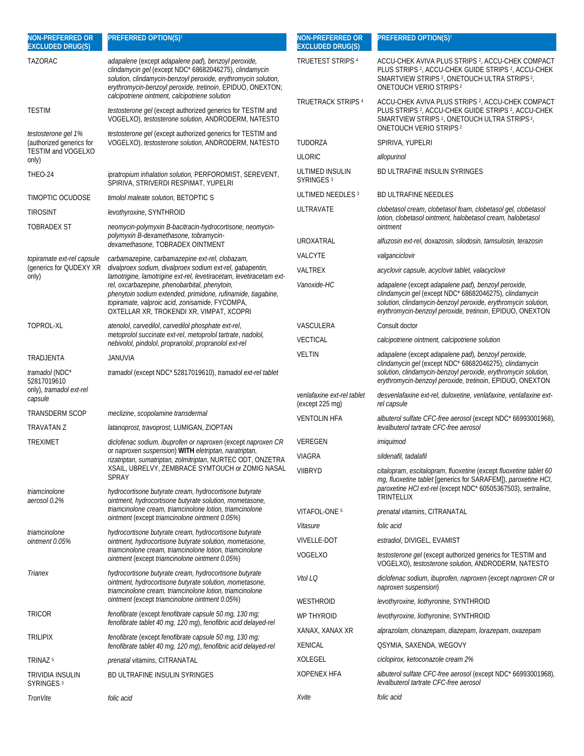| <b>NON-PREFERRED OR</b><br><b>EXCLUDED DRUG(S)</b>                           | <b>PREFERRED OPTION(S)t</b>                                                                                                                                                                                                                                                                     | <b>NON-PREFERRED OR</b><br><b>EXCLUDED DRUG(S)</b> | PREFERRED OPTION(S) <sup>t</sup>                                                                                                                                                                                                                     |
|------------------------------------------------------------------------------|-------------------------------------------------------------------------------------------------------------------------------------------------------------------------------------------------------------------------------------------------------------------------------------------------|----------------------------------------------------|------------------------------------------------------------------------------------------------------------------------------------------------------------------------------------------------------------------------------------------------------|
| <b>TAZORAC</b>                                                               | adapalene (except adapalene pad), benzoyl peroxide,<br>clindamycin gel (except NDC* 68682046275), clindamycin<br>solution, clindamycin-benzoyl peroxide, erythromycin solution,<br>erythromycin-benzoyl peroxide, tretinoin, EPIDUO, ONEXTON;<br>calcipotriene ointment, calcipotriene solution | TRUETEST STRIPS <sup>4</sup>                       | ACCU-CHEK AVIVA PLUS STRIPS <sup>2</sup> , ACCU-CHEK COMPACT<br>PLUS STRIPS <sup>2</sup> , ACCU-CHEK GUIDE STRIPS <sup>2</sup> , ACCU-CHEK<br>SMARTVIEW STRIPS <sup>2</sup> , ONETOUCH ULTRA STRIPS <sup>2</sup> ,<br><b>ONETOUCH VERIO STRIPS 2</b> |
| <b>TESTIM</b>                                                                | testosterone gel (except authorized generics for TESTIM and<br>VOGELXO), testosterone solution, ANDRODERM, NATESTO                                                                                                                                                                              | <b>TRUETRACK STRIPS 4</b>                          | ACCU-CHEK AVIVA PLUS STRIPS <sup>2</sup> , ACCU-CHEK COMPACT<br>PLUS STRIPS <sup>2</sup> , ACCU-CHEK GUIDE STRIPS <sup>2</sup> , ACCU-CHEK<br>SMARTVIEW STRIPS <sup>2</sup> , ONETOUCH ULTRA STRIPS <sup>2</sup> ,<br><b>ONETOUCH VERIO STRIPS 2</b> |
| testosterone gel 1%<br>(authorized generics for<br><b>TESTIM and VOGELXO</b> | testosterone gel (except authorized generics for TESTIM and<br>VOGELXO), testosterone solution, ANDRODERM, NATESTO                                                                                                                                                                              | <b>TUDORZA</b>                                     | SPIRIVA, YUPELRI                                                                                                                                                                                                                                     |
| only)                                                                        |                                                                                                                                                                                                                                                                                                 | <b>ULORIC</b>                                      | allopurinol                                                                                                                                                                                                                                          |
| THEO-24                                                                      | ipratropium inhalation solution, PERFOROMIST, SEREVENT,<br>SPIRIVA, STRIVERDI RESPIMAT, YUPELRI                                                                                                                                                                                                 | ULTIMED INSULIN<br>SYRINGES <sup>3</sup>           | BD ULTRAFINE INSULIN SYRINGES                                                                                                                                                                                                                        |
| TIMOPTIC OCUDOSE                                                             | <i>timolol maleate solution</i> , BETOPTIC S                                                                                                                                                                                                                                                    | ULTIMED NEEDLES <sup>3</sup>                       | <b>BD ULTRAFINE NEEDLES</b>                                                                                                                                                                                                                          |
| <b>TIROSINT</b>                                                              | levothyroxine, SYNTHROID                                                                                                                                                                                                                                                                        | <b>ULTRAVATE</b>                                   | clobetasol cream, clobetasol foam, clobetasol gel, clobetasol<br>lotion, clobetasol ointment, halobetasol cream, halobetasol                                                                                                                         |
| <b>TOBRADEX ST</b>                                                           | neomycin-polymyxin B-bacitracin-hydrocortisone, neomycin-<br>polymyxin B-dexamethasone, tobramycin-                                                                                                                                                                                             |                                                    | ointment                                                                                                                                                                                                                                             |
|                                                                              | dexamethasone, TOBRADEX OINTMENT                                                                                                                                                                                                                                                                | UROXATRAL                                          | alfuzosin ext-rel, doxazosin, silodosin, tamsulosin, terazosin                                                                                                                                                                                       |
| topiramate ext-rel capsule<br>(generics for QUDEXY XR                        | carbamazepine, carbamazepine ext-rel, clobazam,<br>divalproex sodium, divalproex sodium ext-rel, gabapentin,                                                                                                                                                                                    | VALCYTE                                            | valganciclovir                                                                                                                                                                                                                                       |
| only)                                                                        | lamotrigine, lamotrigine ext-rel, levetiracetam, levetiracetam ext-                                                                                                                                                                                                                             | VALTREX                                            | acyclovir capsule, acyclovir tablet, valacyclovir                                                                                                                                                                                                    |
|                                                                              | rel, oxcarbazepine, phenobarbital, phenytoin,<br>phenytoin sodium extended, primidone, rufinamide, tiagabine,<br>topiramate, valproic acid, zonisamide, FYCOMPA,<br>OXTELLAR XR, TROKENDI XR, VIMPAT, XCOPRI                                                                                    | Vanoxide-HC                                        | adapalene (except adapalene pad), benzoyl peroxide,<br>clindamycin gel (except NDC* 68682046275), clindamycin<br>solution, clindamycin-benzoyl peroxide, erythromycin solution,<br>erythromycin-benzoyl peroxide, tretinoin, EPIDUO, ONEXTON         |
| TOPROL-XL                                                                    | atenolol, carvedilol, carvedilol phosphate ext-rel,                                                                                                                                                                                                                                             | VASCULERA                                          | Consult doctor                                                                                                                                                                                                                                       |
|                                                                              | metoprolol succinate ext-rel, metoprolol tartrate, nadolol,<br>nebivolol, pindolol, propranolol, propranolol ext-rel                                                                                                                                                                            | <b>VECTICAL</b>                                    | calcipotriene ointment, calcipotriene solution                                                                                                                                                                                                       |
| TRADJENTA                                                                    | JANUVIA                                                                                                                                                                                                                                                                                         | <b>VELTIN</b>                                      | adapalene (except adapalene pad), benzoyl peroxide,<br>clindamycin gel (except NDC* 68682046275), clindamycin                                                                                                                                        |
| tramadol (NDC*<br>52817019610<br>only), tramadol ext-rel                     | tramadol (except NDC* 52817019610), tramadol ext-rel tablet                                                                                                                                                                                                                                     |                                                    | solution, clindamycin-benzoyl peroxide, erythromycin solution,<br>erythromycin-benzoyl peroxide, tretinoin, EPIDUO, ONEXTON                                                                                                                          |
| capsule                                                                      |                                                                                                                                                                                                                                                                                                 | venlafaxine ext-rel tablet<br>(except 225 mg)      | desvenlafaxine ext-rel, duloxetine, venlafaxine, venlafaxine ext-<br>rel capsule                                                                                                                                                                     |
| <b>TRANSDERM SCOP</b>                                                        | meclizine, scopolamine transdermal                                                                                                                                                                                                                                                              | <b>VENTOLIN HFA</b>                                | albuterol sulfate CFC-free aerosol (except NDC* 66993001968),                                                                                                                                                                                        |
| <b>TRAVATAN Z</b>                                                            | latanoprost, travoprost, LUMIGAN, ZIOPTAN                                                                                                                                                                                                                                                       |                                                    | levalbuterol tartrate CFC-free aerosol                                                                                                                                                                                                               |
| <b>TREXIMET</b>                                                              | diclofenac sodium, ibuprofen or naproxen (except naproxen CR<br>or naproxen suspension) WITH eletriptan, naratriptan,                                                                                                                                                                           | VEREGEN                                            | imiquimod                                                                                                                                                                                                                                            |
|                                                                              | rizatriptan, sumatriptan, zolmitriptan, NURTEC ODT, ONZETRA                                                                                                                                                                                                                                     | VIAGRA                                             | sildenafil, tadalafil                                                                                                                                                                                                                                |
| triamcinolone                                                                | XSAIL, UBRELVY, ZEMBRACE SYMTOUCH or ZOMIG NASAL<br><b>SPRAY</b><br>hydrocortisone butyrate cream, hydrocortisone butyrate                                                                                                                                                                      | <b>VIIBRYD</b>                                     | citalopram, escitalopram, fluoxetine (except fluoxetine tablet 60<br>mg, fluoxetine tablet [generics for SARAFEM]), paroxetine HCI,<br>paroxetine HCl ext-rel (except NDC* 60505367503), sertraline,                                                 |
| aerosol 0.2%                                                                 | ointment, hydrocortisone butyrate solution, mometasone,<br>triamcinolone cream, triamcinolone lotion, triamcinolone                                                                                                                                                                             |                                                    | TRINTELLIX                                                                                                                                                                                                                                           |
|                                                                              | ointment (except triamcinolone ointment 0.05%)                                                                                                                                                                                                                                                  | VITAFOL-ONE <sup>5</sup>                           | <i>prenatal vitamins</i> , CITRANATAL                                                                                                                                                                                                                |
| triamcinolone                                                                | hydrocortisone butyrate cream, hydrocortisone butyrate                                                                                                                                                                                                                                          | Vitasure                                           | folic acid                                                                                                                                                                                                                                           |
| ointment 0.05%                                                               | ointment, hydrocortisone butyrate solution, mometasone,<br>triamcinolone cream, triamcinolone lotion, triamcinolone                                                                                                                                                                             | <b>VIVELLE-DOT</b>                                 | estradiol, DIVIGEL, EVAMIST                                                                                                                                                                                                                          |
|                                                                              | ointment (except triamcinolone ointment 0.05%)                                                                                                                                                                                                                                                  | VOGELXO                                            | <i>testosterone gel</i> (except authorized generics for TESTIM and<br>VOGELXO), testosterone solution, ANDRODERM, NATESTO                                                                                                                            |
| Trianex                                                                      | hydrocortisone butyrate cream, hydrocortisone butyrate<br>ointment, hydrocortisone butyrate solution, mometasone,<br>triamcinolone cream, triamcinolone lotion, triamcinolone                                                                                                                   | Vtol LQ                                            | diclofenac sodium, ibuprofen, naproxen (except naproxen CR or<br>naproxen suspension)                                                                                                                                                                |
|                                                                              | ointment (except triamcinolone ointment 0.05%)                                                                                                                                                                                                                                                  | WESTHROID                                          | levothyroxine, liothyronine, SYNTHROID                                                                                                                                                                                                               |
| <b>TRICOR</b>                                                                | fenofibrate (except fenofibrate capsule 50 mg, 130 mg;<br>fenofibrate tablet 40 mg, 120 mg), fenofibric acid delayed-rel                                                                                                                                                                        | WP THYROID                                         | levothyroxine, liothyronine, SYNTHROID                                                                                                                                                                                                               |
|                                                                              | fenofibrate (except fenofibrate capsule 50 mg, 130 mg;                                                                                                                                                                                                                                          | XANAX, XANAX XR                                    | alprazolam, clonazepam, diazepam, lorazepam, oxazepam                                                                                                                                                                                                |
| <b>TRILIPIX</b>                                                              | fenofibrate tablet 40 mg, 120 mg), fenofibric acid delayed-rel                                                                                                                                                                                                                                  | <b>XENICAL</b>                                     | QSYMIA, SAXENDA, WEGOVY                                                                                                                                                                                                                              |
| TRINAZ <sup>5</sup>                                                          | prenatal vitamins, CITRANATAL                                                                                                                                                                                                                                                                   | XOLEGEL                                            | ciclopirox, ketoconazole cream 2%                                                                                                                                                                                                                    |
| TRIVIDIA INSULIN<br>SYRINGES <sup>3</sup>                                    | <b>BD ULTRAFINE INSULIN SYRINGES</b>                                                                                                                                                                                                                                                            | <b>XOPENEX HFA</b>                                 | albuterol sulfate CFC-free aerosol (except NDC* 66993001968),<br>levalbuterol tartrate CFC-free aerosol                                                                                                                                              |
| <b>TronVite</b>                                                              | folic acid                                                                                                                                                                                                                                                                                      | Xvite                                              | folic acid                                                                                                                                                                                                                                           |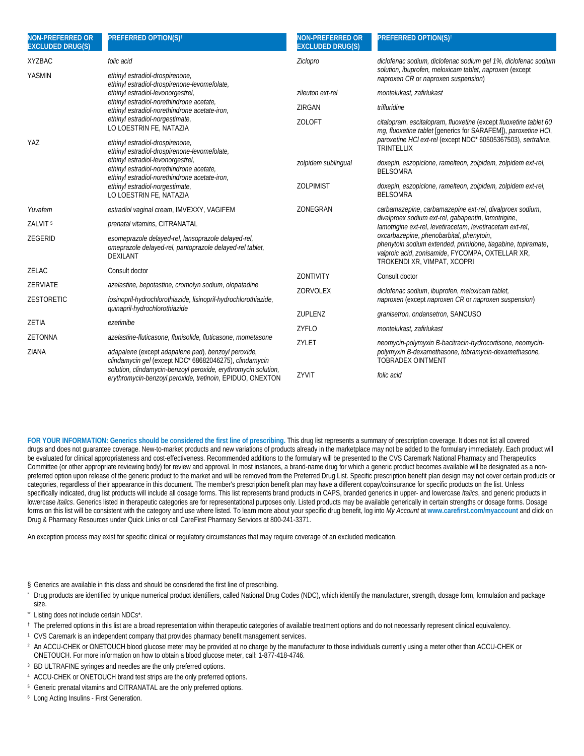| <b>NON-PREFERRED OR</b><br><b>EXCLUDED DRUG(S)</b> | <b>PREFERRED OPTION(S)t</b>                                                                                                        | <b>NON-PREFERRED OR</b><br><b>EXCLUDED DRUG(S)</b> | <b>PREFERRED OPTION(S)<sup>t</sup></b>                                                                                                                                                      |
|----------------------------------------------------|------------------------------------------------------------------------------------------------------------------------------------|----------------------------------------------------|---------------------------------------------------------------------------------------------------------------------------------------------------------------------------------------------|
| <b>XYZBAC</b>                                      | folic acid                                                                                                                         | Ziclopro                                           | diclofenac sodium, diclofenac sodium gel 1%, diclofenac sodium                                                                                                                              |
| <b>YASMIN</b>                                      | ethinyl estradiol-drospirenone,<br>ethinyl estradiol-drospirenone-levomefolate,                                                    |                                                    | solution, ibuprofen, meloxicam tablet, naproxen (except<br>naproxen CR or naproxen suspension)                                                                                              |
|                                                    | ethinyl estradiol-levonorgestrel,                                                                                                  | zileuton ext-rel                                   | montelukast, zafirlukast                                                                                                                                                                    |
|                                                    | ethinyl estradiol-norethindrone acetate,<br>ethinyl estradiol-norethindrone acetate-iron,                                          | ZIRGAN                                             | trifluridine                                                                                                                                                                                |
|                                                    | ethinyl estradiol-norgestimate,<br>LO LOESTRIN FE, NATAZIA                                                                         | <b>ZOLOFT</b>                                      | citalopram, escitalopram, fluoxetine (except fluoxetine tablet 60<br>mg, fluoxetine tablet [generics for SARAFEM]), paroxetine HCI,                                                         |
| YAZ                                                | ethinyl estradiol-drospirenone,<br>ethinyl estradiol-drospirenone-levomefolate,                                                    |                                                    | paroxetine HCl ext-rel (except NDC* 60505367503), sertraline,<br><b>TRINTELLIX</b>                                                                                                          |
|                                                    | ethinyl estradiol-levonorgestrel,<br>ethinyl estradiol-norethindrone acetate,<br>ethinyl estradiol-norethindrone acetate-iron,     | zolpidem sublingual                                | doxepin, eszopiclone, ramelteon, zolpidem, zolpidem ext-rel,<br><b>BELSOMRA</b>                                                                                                             |
|                                                    | ethinyl estradiol-norgestimate,<br>LO LOESTRIN FE, NATAZIA                                                                         | <b>ZOLPIMIST</b>                                   | doxepin, eszopiclone, ramelteon, zolpidem, zolpidem ext-rel,<br><b>BELSOMRA</b>                                                                                                             |
| Yuvafem                                            | estradiol vaginal cream, IMVEXXY, VAGIFEM                                                                                          | ZONEGRAN                                           | carbamazepine, carbamazepine ext-rel, divalproex sodium,                                                                                                                                    |
| ZALVIT <sup>5</sup>                                | prenatal vitamins, CITRANATAL                                                                                                      |                                                    | divalproex sodium ext-rel, gabapentin, lamotrigine,<br>lamotrigine ext-rel, levetiracetam, levetiracetam ext-rel,                                                                           |
| ZEGERID                                            | esomeprazole delayed-rel, lansoprazole delayed-rel,<br>omeprazole delayed-rel, pantoprazole delayed-rel tablet,<br><b>DEXILANT</b> |                                                    | oxcarbazepine, phenobarbital, phenytoin,<br>phenytoin sodium extended, primidone, tiagabine, topiramate,<br>valproic acid, zonisamide, FYCOMPA, OXTELLAR XR,<br>TROKENDI XR, VIMPAT, XCOPRI |
| ZELAC                                              | Consult doctor                                                                                                                     | <b>ZONTIVITY</b>                                   | Consult doctor                                                                                                                                                                              |
| ZERVIATE                                           | azelastine, bepotastine, cromolyn sodium, olopatadine                                                                              | ZORVOLEX                                           | diclofenac sodium, ibuprofen, meloxicam tablet,                                                                                                                                             |
| <b>ZESTORETIC</b>                                  | fosinopril-hydrochlorothiazide, lisinopril-hydrochlorothiazide,<br>quinapril-hydrochlorothiazide                                   |                                                    | naproxen (except naproxen CR or naproxen suspension)                                                                                                                                        |
| ZETIA                                              | ezetimibe                                                                                                                          | <b>ZUPLENZ</b>                                     | granisetron, ondansetron, SANCUSO                                                                                                                                                           |
|                                                    |                                                                                                                                    | ZYFLO                                              | montelukast, zafirlukast                                                                                                                                                                    |
| <b>ZETONNA</b>                                     | azelastine-fluticasone, flunisolide, fluticasone, mometasone                                                                       | ZYLET                                              | neomycin-polymyxin B-bacitracin-hydrocortisone, neomycin-                                                                                                                                   |
| ZIANA                                              | adapalene (except adapalene pad), benzoyl peroxide,<br>clindamycin gel (except NDC* 68682046275), clindamycin                      |                                                    | polymyxin B-dexamethasone, tobramycin-dexamethasone,<br><b>TOBRADEX OINTMENT</b>                                                                                                            |
|                                                    | solution, clindamycin-benzoyl peroxide, erythromycin solution,<br>erythromycin-benzoyl peroxide, tretinoin, EPIDUO, ONEXTON        | ZYVIT                                              | folic acid                                                                                                                                                                                  |

**FOR YOUR INFORMATION: Generics should be considered the first line of prescribing.** This drug list represents a summary of prescription coverage. It does not list all covered drugs and does not guarantee coverage. New-to-market products and new variations of products already in the marketplace may not be added to the formulary immediately. Each product will be evaluated for clinical appropriateness and cost-effectiveness. Recommended additions to the formulary will be presented to the CVS Caremark National Pharmacy and Therapeutics Committee (or other appropriate reviewing body) for review and approval. In most instances, a brand-name drug for which a generic product becomes available will be designated as a nonpreferred option upon release of the generic product to the market and will be removed from the Preferred Drug List. Specific prescription benefit plan design may not cover certain products or categories, regardless of their appearance in this document. The member's prescription benefit plan may have a different copay/coinsurance for specific products on the list. Unless specifically indicated, drug list products will include all dosage forms. This list represents brand products in CAPS, branded generics in upper- and lowercase *Italics*, and generic products in lowercase *italics*. Generics listed in therapeutic categories are for representational purposes only. Listed products may be available generically in certain strengths or dosage forms. Dosage forms on this list will be consistent with the category and use where listed. To learn more about your specific drug benefit, log into *My Account* at **www.carefirst.com/myaccount** and click on Drug & Pharmacy Resources under Quick Links or call CareFirst Pharmacy Services at 800-241-3371.

An exception process may exist for specific clinical or regulatory circumstances that may require coverage of an excluded medication.

- § Generics are available in this class and should be considered the first line of prescribing.
- \* Drug products are identified by unique numerical product identifiers, called National Drug Codes (NDC), which identify the manufacturer, strength, dosage form, formulation and package size.
- Listing does not include certain NDCs\*.
- † The preferred options in this list are a broad representation within therapeutic categories of available treatment options and do not necessarily represent clinical equivalency.
- 1 CVS Caremark is an independent company that provides pharmacy benefit management services.
- <sup>2</sup> An ACCU-CHEK or ONETOUCH blood glucose meter may be provided at no charge by the manufacturer to those individuals currently using a meter other than ACCU-CHEK or ONETOUCH. For more information on how to obtain a blood glucose meter, call: 1-877-418-4746.
- <sup>3</sup> BD ULTRAFINE syringes and needles are the only preferred options.
- <sup>4</sup> ACCU-CHEK or ONETOUCH brand test strips are the only preferred options.
- <sup>5</sup> Generic prenatal vitamins and CITRANATAL are the only preferred options.
- 6 Long Acting Insulins First Generation.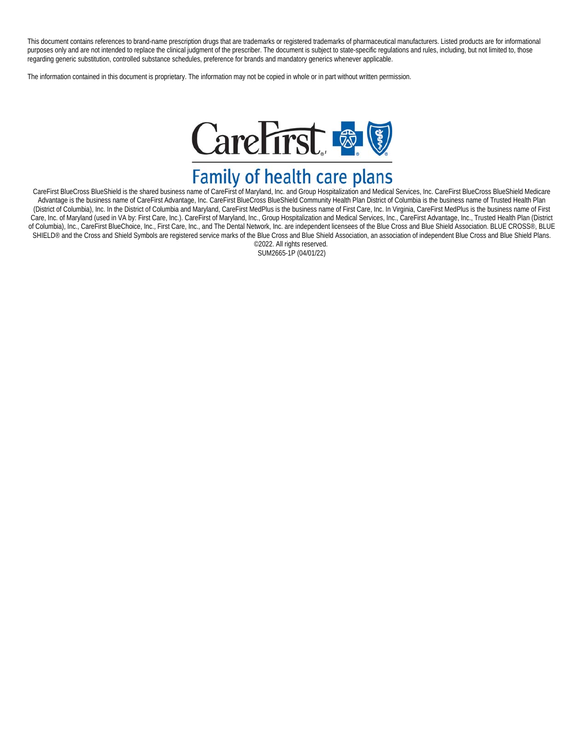This document contains references to brand-name prescription drugs that are trademarks or registered trademarks of pharmaceutical manufacturers. Listed products are for informational purposes only and are not intended to replace the clinical judgment of the prescriber. The document is subject to state-specific regulations and rules, including, but not limited to, those regarding generic substitution, controlled substance schedules, preference for brands and mandatory generics whenever applicable.

The information contained in this document is proprietary. The information may not be copied in whole or in part without written permission.



CareFirst BlueCross BlueShield is the shared business name of CareFirst of Maryland, Inc. and Group Hospitalization and Medical Services, Inc. CareFirst BlueCross BlueShield Medicare Advantage is the business name of CareFirst Advantage, Inc. CareFirst BlueCross BlueShield Community Health Plan District of Columbia is the business name of Trusted Health Plan (District of Columbia), Inc. In the District of Columbia and Maryland, CareFirst MedPlus is the business name of First Care, Inc. In Virginia, CareFirst MedPlus is the business name of First Care, Inc. of Maryland (used in VA by: First Care, Inc.). CareFirst of Maryland, Inc., Group Hospitalization and Medical Services, Inc., CareFirst Advantage, Inc., Trusted Health Plan (District of Columbia), Inc., CareFirst BlueChoice, Inc., First Care, Inc., and The Dental Network, Inc. are independent licensees of the Blue Cross and Blue Shield Association. BLUE CROSS®, BLUE SHIELD<sup>®</sup> and the Cross and Shield Symbols are registered service marks of the Blue Cross and Blue Shield Association, an association of independent Blue Cross and Blue Shield Plans. ©2022. All rights reserved.

SUM2665-1P (04/01/22)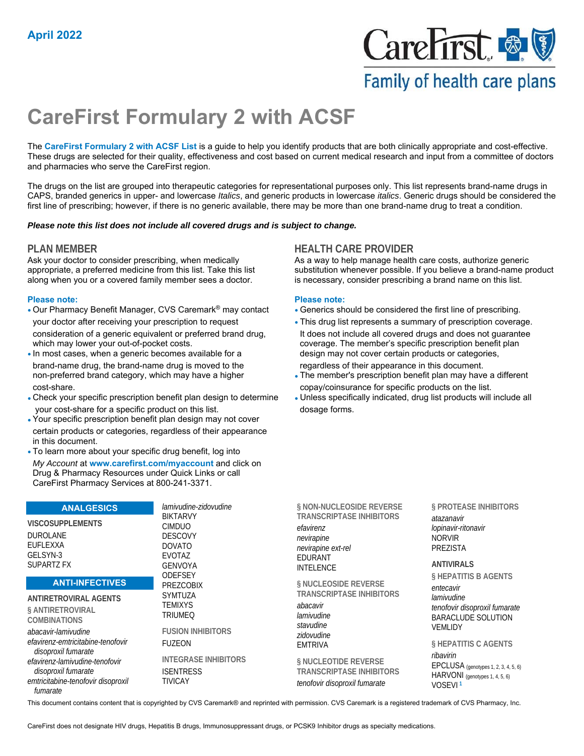

# Family of health care plans

# **CareFirst Formulary 2 with ACSF**

The **CareFirst Formulary 2 with ACSF List** is a guide to help you identify products that are both clinically appropriate and cost-effective. These drugs are selected for their quality, effectiveness and cost based on current medical research and input from a committee of doctors and pharmacies who serve the CareFirst region.

The drugs on the list are grouped into therapeutic categories for representational purposes only. This list represents brand-name drugs in CAPS, branded generics in upper- and lowercase *Italics*, and generic products in lowercase *italics*. Generic drugs should be considered the first line of prescribing; however, if there is no generic available, there may be more than one brand-name drug to treat a condition.

### *Please note this list does not include all covered drugs and is subject to change.*

Ask your doctor to consider prescribing, when medically appropriate, a preferred medicine from this list. Take this list along when you or a covered family member sees a doctor.

### **Please note: Please note:**

- Our Pharmacy Benefit Manager, CVS Caremark® may contact Generics should be considered the first line of prescribing. your doctor after receiving your prescription to request • This drug list represents a summary of prescription coverage. consideration of a generic equivalent or preferred brand drug, It does not include all covered drugs and does not guarantee which may lower your out-of-pocket costs. coverage. The member's specific prescription benefit plan
- brand-name drug, the brand-name drug is moved to the regardless of their appearance in this document. cost-share. copay/coinsurance for specific products on the list.
- Check your specific prescription benefit plan design to determine Unless specifically indicated, drug list products will include all your cost-share for a specific product on this list. The manner of dosage forms.
- Your specific prescription benefit plan design may not cover certain products or categories, regardless of their appearance in this document.
- To learn more about your specific drug benefit, log into *My Account* at **www.carefirst.com/myaccount** and click on Drug & Pharmacy Resources under Quick Links or call CareFirst Pharmacy Services at 800-241-3371.

### **ANALGESICS**

**VISCOSUPPLEMENTS**  DUROLANE EUFLEXXA GELSYN-3 SUPARTZ FX

### **ANTI-INFECTIVES**

**ANTIRETROVIRAL AGENTS § ANTIRETROVIRAL COMBINATIONS**  *abacavir-lamivudine efavirenz-emtricitabine-tenofovir disoproxil fumarate efavirenz-lamivudine-tenofovir disoproxil fumarate emtricitabine-tenofovir disoproxil fumarate*

*lamivudine-zidovudine* BIKTARVY CIMDUO DESCOVY DOVATO EVOTAZ GENVOYA **ODEFSEY** PREZCOBIX SYMTUZA **TEMIXYS** TRIUMEQ

**FUSION INHIBITORS**  FUZEON

**INTEGRASE INHIBITORS ISENTRESS** TIVICAY

**PLAN MEMBER HEALTH CARE PROVIDER**

As a way to help manage health care costs, authorize generic substitution whenever possible. If you believe a brand-name product is necessary, consider prescribing a brand name on this list.

- 
- In most cases, when a generic becomes available for a design may not cover certain products or categories,
- non-preferred brand category, which may have a higher The member's prescription benefit plan may have a different
	-

| § NON-NUCLEOSIDE REVERSE        |
|---------------------------------|
| <b>TRANSCRIPTASE INHIBITORS</b> |
| efavirenz                       |
| nevirapine                      |
| nevirapine ext-rel              |
| <b>EDURANT</b>                  |
| <b>INTELENCE</b>                |

**§ NUCLEOSIDE REVERSE TRANSCRIPTASE INHIBITORS** 

*abacavir lamivudine stavudine zidovudine* EMTRIVA

**§ NUCLEOTIDE REVERSE TRANSCRIPTASE INHIBITORS**  *tenofovir disoproxil fumarate*

**§ PROTEASE INHIBITORS**  *atazanavir lopinavir-ritonavir* NORVIR PREZISTA

**ANTIVIRALS** 

**§ HEPATITIS B AGENTS**  *entecavir*

*lamivudine tenofovir disoproxil fumarate* BARACLUDE SOLUTION VEMLIDY

**§ HEPATITIS C AGENTS**  *ribavirin* EPCLUSA (genotypes 1, 2, 3, 4, 5, 6) HARVONI (genotypes 1, 4, 5, 6) VOSEVI **<sup>1</sup>**

This document contains content that is copyrighted by CVS Caremark® and reprinted with permission. CVS Caremark is a registered trademark of CVS Pharmacy, Inc.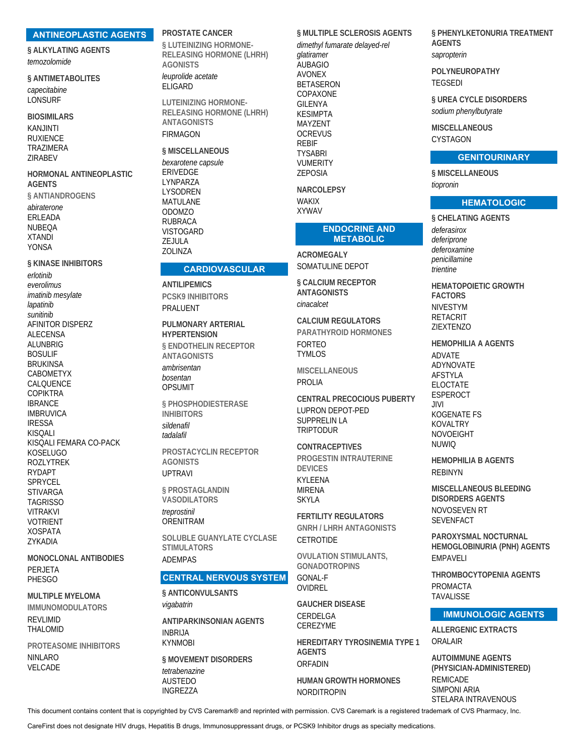#### **ANTINEOPLASTIC AGENTS**

**§ ALKYLATING AGENTS** temozolomide

§ ANTIMETABOLITES capecitabine LONSURF

**BIOSIMILARS KANJINTI RUXIENCE TRAZIMERA** ZIRABEV

HORMONAL ANTINEOPLASTIC **AGENTS** § ANTIANDROGENS abiraterone ERLEADA **NUBEQA XTANDI YONSA** 

**§ KINASE INHIBITORS** erlotinib everolimus imatinib mesylate lapatinib sunitinib AFINITOR DISPERZ **ALECENSA** AI UNBRIG **BOSULIF BRUKINSA CABOMETYX** CALQUENCE **COPIKTRA IBRANCE IMBRUVICA IRESSA KISOALI** KISQALI FEMARA CO-PACK **KOSELUGO** ROZI YTREK **RYDAPT SPRYCEL STIVARGA TAGRISSO VITRAKVI VOTRIENT XOSPATA** ZYKADIA

**MONOCLONAL ANTIBODIES** PFRJFTA **PHESGO** 

**MULTIPLE MYELOMA IMMUNOMODULATORS REVLIMID** THALOMID

PROTEASOME INHIBITORS **NINLARO** VELCADE

### PROSTATE CANCER

§ LUTEINIZING HORMONE-**RELEASING HORMONE (LHRH) AGONISTS** leuprolide acetate ELIGARD

**LUTEINIZING HORMONE-RELEASING HORMONE (LHRH) ANTAGONISTS FIRMAGON** 

**CARDIOVASCULAR** 

§ MISCELLANEOUS bexarotene capsule **ERIVEDGE** LYNPARZA **I YSODREN MATULANE ODOMZO RUBRACA VISTOGARD** ZEJULA ZOLINZA

**ANTILIPEMICS** 

PRALUENT

**PCSK9 INHIBITORS** 

**HYPERTENSION** 

**ANTAGONISTS** 

ambrisentan

bosentan

**OPSUMIT** 

**INHIBITORS** 

sildenafil

**AGONISTS** 

§ PROSTAGLANDIN

**VASODILATORS** 

**UPTRAVI** 

treprostinil

**ADFMPAS** 

vigabatrin

**INRRIJA** 

**KYNMOBI** 

tetrabenazine

**AUSTEDO** 

**INGREZZA** 

ORENITRAM

**STIMULATORS** 

§ ANTICONVULSANTS

**ANTIPARKINSONIAN AGENTS** 

§ MOVEMENT DISORDERS

tadalafil

PULMONARY ARTERIAL

**§ ENDOTHEL IN RECEPTOR** 

§ PHOSPHODIESTERASE

PROSTACYCLIN RECEPTOR

SOLUBLE GUANYLATE CYCLASE

**CENTRAL NERVOUS SYSTEM** 

§ MULTIPLE SCLEROSIS AGENTS dimethyl fumarate delayed-rel glatiramer **AUBAGIO AVONEX BETASERON** COPAXONE **GILENYA KESIMPTA** MAY7FNT **OCREVUS REBIF TYSABRI VUMERITY** 

**NARCOLEPSY WAKIX XYWAV** 

**ZEPOSIA** 

#### **ENDOCRINE AND METABOLIC**

**ACROMEGALY** SOMATULINE DEPOT

§ CALCIUM RECEPTOR **ANTAGONISTS** cinacalcet

**CALCIUM REGULATORS** PARATHYROID HORMONES **FORTEO TYMI OS** 

**MISCELLANEOUS** PROLIA

**CENTRAL PRECOCIOUS PUBERTY LUPRON DEPOT-PED SUPPRELIN LA TRIPTODUR** 

**CONTRACEPTIVES** PROGESTIN INTRAUTERINE **DEVICES KYI FFNA MIRENA SKYI A** 

**FERTILITY REGULATORS GNRH / I HRH ANTAGONISTS CETROTIDE** 

**OVULATION STIMULANTS. GONADOTROPINS GONAL-F** OVIDREL

**GAUCHER DISEASE** CERDELGA CEREZYME

HEREDITARY TYROSINEMIA TYPE 1 **AGENTS** ORFADIN

**HUMAN GROWTH HORMONES NORDITROPIN** 

§ PHENYLKETONURIA TREATMENT **AGENTS** sapropterin

POLYNEUROPATHY **TEGSEDI** 

§ UREA CYCLE DISORDERS sodium phenylbutyrate

**MISCELLANEOUS** CYSTAGON

### **GENITOURINARY**

§ MISCELLANEOUS tiopronin

### **HEMATOLOGIC**

§ CHELATING AGENTS deferasirox deferiprone deferoxamine penicillamine trientine

**HEMATOPOIETIC GROWTH FACTORS NIVESTYM RETACRIT** ZIEXTENZO

- **HEMOPHILIA A AGENTS ADVATE ADYNOVATE**
- **AFSTYLA ELOCTATE ESPEROCT**  $III$ **KOGENATE ES KOVALTRY NOVOEIGHT NUWIO**

**HEMOPHILIA B AGENTS RFBINYN** 

**MISCELLANEOUS BLEEDING DISORDERS AGENTS** NOVOSEVEN RT **SFVENFACT** 

PAROXYSMAL NOCTURNAL HEMOGLOBINURIA (PNH) AGENTS **FMPAVFII** 

THROMBOCYTOPFNIA AGFNTS **PROMACTA TAVALISSE** 

### **IMMUNOLOGIC AGENTS**

**ALLERGENIC EXTRACTS** ORAI AIR

**AUTOIMMUNE AGENTS** (PHYSICIAN-ADMINISTERED) **REMICADE SIMPONI ARIA** STELARA INTRAVENOUS

This document contains content that is copyrighted by CVS Caremark® and reprinted with permission. CVS Caremark is a registered trademark of CVS Pharmacy, Inc.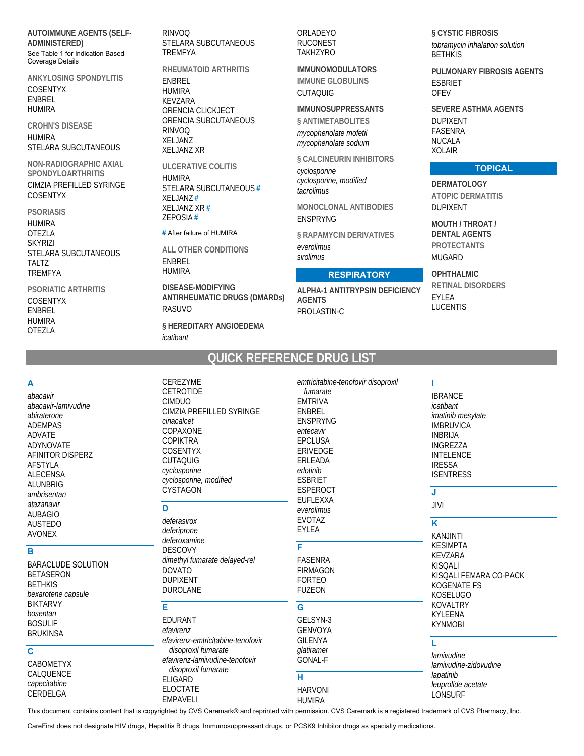**AUTOIMMUNE AGENTS (SELF-ADMINISTERED)** See Table 1 for Indication Based Coverage Details

**ANKYLOSING SPONDYLITIS** COSENTYX **ENBREL HUMIRA** 

**CROHN'S DISEASE HUMIRA** STELARA SUBCUTANEOUS

NON-RADIOGRAPHIC AXIAL SPONDYLOARTHRITIS CIMZIA PREFILLED SYRINGE **COSENTYX** 

**PSORIASIS HUMIRA OTEZLA SKYRIZI** STELARA SUBCUTANEOUS TALTZ **TREMFYA** 

**PSORIATIC ARTHRITIS COSENTYX ENBREL HUMIRA OTEZLA** 

**RINVOQ** STELARA SUBCUTANEOUS **TREMFYA** 

RHEUMATOID ARTHRITIS ENBREL **HUMIRA** KEVZARA ORENCIA CLICKJECT ORENCIA SUBCUTANEOUS **RINVOO XELJANZ XELJANZ XR** 

**ULCERATIVE COLITIS HUMIRA** STELARA SUBCUTANEOUS # **XELJANZ# XELJANZ XR#** ZEPOSIA#

### # After failure of HUMIRA

**ALL OTHER CONDITIONS ENBREL HUMIRA** 

**DISEASE-MODIFYING ANTIRHEUMATIC DRUGS (DMARDs) RASUVO** § HEREDITARY ANGIOEDEMA icatibant

ORLADEYO **RUCONEST TAKHZYRO** 

**IMMUNOMODULATORS IMMUNE GLOBULINS CUTAQUIG** 

**IMMUNOSUPPRESSANTS** § ANTIMETABOLITES mycophenolate mofetil

mycophenolate sodium § CALCINEURIN INHIBITORS

cyclosporine cyclosporine, modified tacrolimus

MONOCLONAL ANTIBODIES **ENSPRYNG** 

§ RAPAMYCIN DERIVATIVES everolimus sirolimus

### **RESPIRATORY**

**ALPHA-1 ANTITRYPSIN DEFICIENCY AGENTS** PROLASTIN-C

§ CYSTIC FIBROSIS tobramycin inhalation solution **BETHKIS** 

PUI MONARY FIBROSIS AGENTS **ESBRIET OFEV** 

**SEVERE ASTHMA AGENTS DUPIXENT FASENRA NUCALA XOLAIR** 

### **TOPICAL**

**DERMATOLOGY ATOPIC DERMATITIS DUPIXENT** 

**MOUTH / THROAT / DENTAL AGENTS PROTECTANTS MUGARD** 

OPHTHALMIC **RETINAL DISORDERS** EYLEA **LUCENTIS** 

# **QUICK REFERENCE DRUG LIST**

| A<br>abacavir<br>abacavir-lamivudine<br>abiraterone<br><b>ADEMPAS</b><br>ADVATE                             | CEREZYME<br>CETROTIDE<br><b>CIMDUO</b><br>CIMZIA PREFILLED SYRINGE<br>cinacalcet<br>COPAXONE                       | emtricitabine-tenofovir disoproxil<br>fumarate<br><b>EMTRIVA</b><br><b>ENBREL</b><br><b>ENSPRYNG</b><br>entecavir | <b>IBRANCE</b><br>icatibant<br>imatinib mesylate<br><b>IMBRUVICA</b><br><b>INBRIJA</b>                                 |
|-------------------------------------------------------------------------------------------------------------|--------------------------------------------------------------------------------------------------------------------|-------------------------------------------------------------------------------------------------------------------|------------------------------------------------------------------------------------------------------------------------|
| <b>ADYNOVATE</b><br>AFINITOR DISPERZ<br><b>AFSTYLA</b><br><b>ALECENSA</b><br><b>ALUNBRIG</b><br>ambrisentan | <b>COPIKTRA</b><br><b>COSENTYX</b><br><b>CUTAQUIG</b><br>cyclosporine<br>cyclosporine, modified<br><b>CYSTAGON</b> | <b>EPCLUSA</b><br><b>ERIVEDGE</b><br><b>ERLEADA</b><br>erlotinib<br><b>ESBRIET</b><br><b>ESPEROCT</b>             | INGREZZA<br><b>INTELENCE</b><br><b>IRESSA</b><br><b>ISENTRESS</b><br>J                                                 |
| atazanavir<br><b>AUBAGIO</b><br><b>AUSTEDO</b><br><b>AVONEX</b>                                             | D<br>deferasirox<br>deferiprone<br>deferoxamine                                                                    | <b>EUFLEXXA</b><br>everolimus<br><b>EVOTAZ</b><br><b>EYLEA</b>                                                    | JIVI<br>K<br><b>KANJINTI</b>                                                                                           |
| B<br><b>BARACLUDE SOLUTION</b><br><b>BETASERON</b><br><b>BETHKIS</b><br>bexarotene capsule                  | <b>DESCOVY</b><br>dimethyl fumarate delayed-rel<br><b>DOVATO</b><br><b>DUPIXENT</b><br><b>DUROLANE</b>             | F<br><b>FASENRA</b><br><b>FIRMAGON</b><br><b>FORTEO</b><br><b>FUZEON</b>                                          | <b>KESIMPTA</b><br><b>KEVZARA</b><br><b>KISQALI</b><br>KISOALI FEMARA CO-PACK<br><b>KOGENATE FS</b><br><b>KOSELUGO</b> |
| <b>BIKTARVY</b><br>bosentan<br><b>BOSULIF</b><br><b>BRUKINSA</b>                                            | Е<br>EDURANT<br>efavirenz<br>efavirenz-emtricitabine-tenofovir                                                     | G<br>GELSYN-3<br><b>GENVOYA</b><br><b>GILENYA</b>                                                                 | <b>KOVALTRY</b><br><b>KYLEENA</b><br><b>KYNMOBI</b>                                                                    |
| $\mathbf c$<br><b>CABOMETYX</b>                                                                             | disoproxil fumarate<br>efavirenz-lamivudine-tenofovir<br>disoproxil fumarate                                       | glatiramer<br><b>GONAL-F</b>                                                                                      | lamivudine<br>lamivudine-zidovudine                                                                                    |
| CALQUENCE<br>capecitabine<br>CERDELGA                                                                       | <b>ELIGARD</b><br><b>ELOCTATE</b><br><b>EMPAVELI</b>                                                               | н<br><b>HARVONI</b><br><b>HUMIRA</b>                                                                              | lapatinib<br>leuprolide acetate<br><b>LONSURF</b>                                                                      |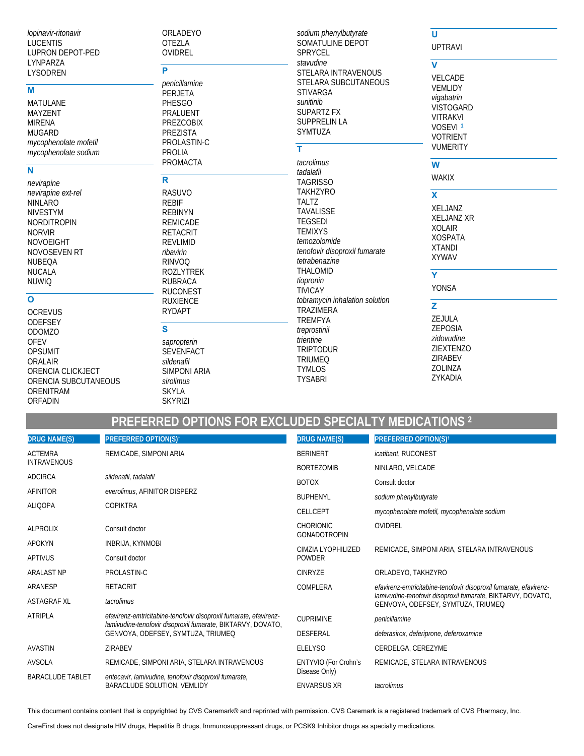lopinavir-ritonavir **LUCENTIS** LUPRON DEPOT-PED LYNPARZA LYSODREN

### M

**MATULANE** MAYZENT **MIRENA MUGARD** mycophenolate mofetil mycophenolate sodium

### N

nevirapine nevirapine ext-rel **NINLARO NIVESTYM NORDITROPIN NORVIR NOVOEIGHT** NOVOSEVEN RT NUBEQA **NUCALA NUWIQ** 

### $\mathbf{o}$

**OCREVUS ODEFSEY** ODOMZO **OFEV OPSUMIT** ORALAIR ORENCIA CLICKJECT ORENCIA SUBCUTANEOUS ORENITRAM **ORFADIN** 

ORLADEYO **OTEZLA** OVIDREL

## P

penicillamine PERJETA **PHESGO PRALUENT PREZCOBIX** PREZISTA PROLASTIN-C **PROLIA** 

# PROMACTA

 $\overline{\mathsf{R}}$ **RASUVO REBIF REBINYN REMICADE RETACRIT REVLIMID** ribavirin **RINVOQ ROZLYTREK RUBRACA RUCONEST RUXIENCE RYDAPT** 

## $\mathbf{s}$ sapropterin SEVENFACT sildenafil

**SIMPONI ARIA** sirolimus **SKYLA SKYRIZI** 

### sodium phenylbutyrate SOMATULINE DEPOT SPRYCEL stavudine STELARA INTRAVENOUS STELARA SUBCUTANEOUS **STIVARGA** sunitinib **SUPARTZ FX SUPPRELIN LA SYMTUZA** T. tacrolimus tadalafil **TAGRISSO TAKHZYRO TALTZ TAVALISSE**

**TEGSEDI TEMIXYS** temozolomide tenofovir disoproxil fumarate tetrabenazine **THALOMID** tiopronin **TIVICAY** tobramycin inhalation solution **TRAZIMERA TREMFYA** treprostinil trientine **TRIPTODUR TRIUMEQ TYMLOS** 

### $\overline{u}$ **UPTRAVI**

 $\overline{\mathbf{v}}$ 

VELCADE **VEMLIDY** vigabatrin VISTOGARD **VITRAKVI** VOSEVI<sup>1</sup> **VOTRIENT VUMERITY** 

### W

 $\overline{\mathbf{x}}$ 

**WAKIX** 

XELJANZ **XELJANZ XR XOLAIR XOSPATA XTANDI XYWAV** 

## $\overline{\mathsf{Y}}$

**YONSA** 

### $\overline{z}$ **7F IIII A 7FPOSIA** zidovudine ZIEXTENZO ZIRABEV ZOLINZA

ZYKADIA

PREFERRED OPTIONS FOR EXCLUDED SPECIALTY MEDICATIONS<sup>2</sup>

**TYSABRI** 

| <b>DRUG NAME(S)</b>     | <b>PREFERRED OPTION(S)t</b>                                                                                                                                            | <b>DRUG NAME(S)</b>                          | <b>PREFERRED OPTION(S)<sup>†</sup></b>                                                            |  |
|-------------------------|------------------------------------------------------------------------------------------------------------------------------------------------------------------------|----------------------------------------------|---------------------------------------------------------------------------------------------------|--|
| <b>ACTEMRA</b>          | REMICADE, SIMPONI ARIA                                                                                                                                                 | <b>BERINERT</b>                              | icatibant, RUCONEST                                                                               |  |
| <b>INTRAVENOUS</b>      |                                                                                                                                                                        | <b>BORTEZOMIB</b>                            | NINLARO, VELCADE                                                                                  |  |
| <b>ADCIRCA</b>          | sildenafil, tadalafil                                                                                                                                                  | <b>BOTOX</b>                                 | Consult doctor                                                                                    |  |
| AFINITOR                | everolimus, AFINITOR DISPERZ                                                                                                                                           | <b>BUPHENYL</b>                              | sodium phenylbutyrate                                                                             |  |
| <b>ALIQOPA</b>          | <b>COPIKTRA</b>                                                                                                                                                        | <b>CELLCEPT</b>                              | mycophenolate mofetil, mycophenolate sodium                                                       |  |
| <b>ALPROLIX</b>         | Consult doctor                                                                                                                                                         | <b>CHORIONIC</b><br><b>GONADOTROPIN</b>      | OVIDREL                                                                                           |  |
| <b>APOKYN</b>           | <b>INBRIJA, KYNMOBI</b>                                                                                                                                                | CIMZIA LYOPHILIZED                           | REMICADE, SIMPONI ARIA, STELARA INTRAVENOUS                                                       |  |
| <b>APTIVUS</b>          | Consult doctor                                                                                                                                                         | <b>POWDER</b>                                |                                                                                                   |  |
| <b>ARALAST NP</b>       | PROLASTIN-C                                                                                                                                                            | <b>CINRYZE</b>                               | ORLADEYO, TAKHZYRO                                                                                |  |
| ARANESP                 | <b>RETACRIT</b>                                                                                                                                                        | COMPLERA                                     | efavirenz-emtricitabine-tenofovir disoproxil fumarate, efavirenz-                                 |  |
| <b>ASTAGRAF XL</b>      | tacrolimus                                                                                                                                                             |                                              | lamivudine-tenofovir disoproxil fumarate, BIKTARVY, DOVATO,<br>GENVOYA, ODEFSEY, SYMTUZA, TRIUMEQ |  |
| <b>ATRIPLA</b>          | efavirenz-emtricitabine-tenofovir disoproxil fumarate, efavirenz-<br>lamivudine-tenofovir disoproxil fumarate, BIKTARVY, DOVATO,<br>GENVOYA, ODEFSEY, SYMTUZA, TRIUMEQ | <b>CUPRIMINE</b>                             | penicillamine                                                                                     |  |
|                         |                                                                                                                                                                        | <b>DESFERAL</b>                              | deferasirox, deferiprone, deferoxamine                                                            |  |
| <b>AVASTIN</b>          | ZIRABEV                                                                                                                                                                | <b>ELELYSO</b>                               | CERDELGA, CEREZYME                                                                                |  |
| <b>AVSOLA</b>           | REMICADE, SIMPONI ARIA, STELARA INTRAVENOUS                                                                                                                            | <b>ENTYVIO (For Crohn's</b><br>Disease Only) | REMICADE, STELARA INTRAVENOUS                                                                     |  |
| <b>BARACLUDE TABLET</b> | entecavir, lamivudine, tenofovir disoproxil fumarate,<br>BARACLUDE SOLUTION, VEMLIDY                                                                                   |                                              |                                                                                                   |  |
|                         |                                                                                                                                                                        | <b>ENVARSUS XR</b>                           | tacrolimus                                                                                        |  |

This document contains content that is copyrighted by CVS Caremark® and reprinted with permission. CVS Caremark is a registered trademark of CVS Pharmacy, Inc.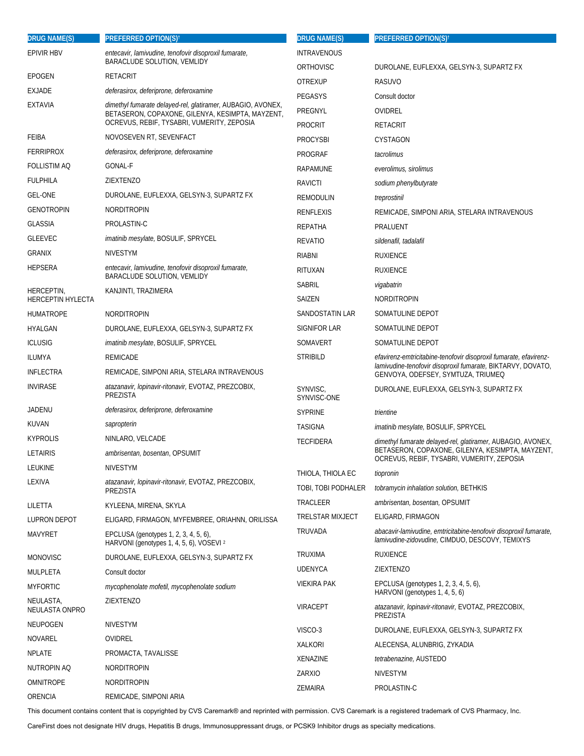| <b>DRUG NAME(S)</b>             | <b>PREFERRED OPTION(S)<sup>t</sup></b>                                                                                                                        | <b>DRUG NAME(S)</b>     | <b>PREFERRED OPTION(S)<sup>†</sup></b>                                                                               |
|---------------------------------|---------------------------------------------------------------------------------------------------------------------------------------------------------------|-------------------------|----------------------------------------------------------------------------------------------------------------------|
| <b>EPIVIR HBV</b>               | entecavir, lamivudine, tenofovir disoproxil fumarate,                                                                                                         | <b>INTRAVENOUS</b>      |                                                                                                                      |
|                                 | BARACLUDE SOLUTION, VEMLIDY                                                                                                                                   | ORTHOVISC               | DUROLANE, EUFLEXXA, GELSYN-3, SUPARTZ FX                                                                             |
| EPOGEN                          | RETACRIT                                                                                                                                                      | <b>OTREXUP</b>          | RASUVO                                                                                                               |
| <b>EXJADE</b><br><b>EXTAVIA</b> | deferasirox, deferiprone, deferoxamine                                                                                                                        | PEGASYS                 | Consult doctor                                                                                                       |
|                                 | dimethyl fumarate delayed-rel, glatiramer, AUBAGIO, AVONEX,<br>BETASERON, COPAXONE, GILENYA, KESIMPTA, MAYZENT,<br>OCREVUS, REBIF, TYSABRI, VUMERITY, ZEPOSIA | PREGNYL                 | OVIDREL                                                                                                              |
| FEIBA                           | NOVOSEVEN RT, SEVENFACT                                                                                                                                       | <b>PROCRIT</b>          | RETACRIT                                                                                                             |
| <b>FERRIPROX</b>                | deferasirox, deferiprone, deferoxamine                                                                                                                        | <b>PROCYSBI</b>         | CYSTAGON                                                                                                             |
|                                 | GONAL-F                                                                                                                                                       | PROGRAF                 | tacrolimus                                                                                                           |
| FOLLISTIM AQ                    |                                                                                                                                                               | RAPAMUNE                | everolimus, sirolimus                                                                                                |
| <b>FULPHILA</b>                 | ZIEXTENZO                                                                                                                                                     | <b>RAVICTI</b>          | sodium phenylbutyrate                                                                                                |
| <b>GEL-ONE</b>                  | DUROLANE, EUFLEXXA, GELSYN-3, SUPARTZ FX                                                                                                                      | REMODULIN               | treprostinil                                                                                                         |
| <b>GENOTROPIN</b>               | <b>NORDITROPIN</b>                                                                                                                                            | RENFLEXIS               | REMICADE, SIMPONI ARIA, STELARA INTRAVENOUS                                                                          |
| <b>GLASSIA</b>                  | PROLASTIN-C                                                                                                                                                   | REPATHA                 | PRALUENT                                                                                                             |
| <b>GLEEVEC</b>                  | imatinib mesylate, BOSULIF, SPRYCEL                                                                                                                           | <b>REVATIO</b>          | sildenafil, tadalafil                                                                                                |
| <b>GRANIX</b>                   | <b>NIVESTYM</b>                                                                                                                                               | <b>RIABNI</b>           | <b>RUXIENCE</b>                                                                                                      |
| <b>HEPSERA</b>                  | entecavir, lamivudine, tenofovir disoproxil fumarate,<br>BARACLUDE SOLUTION, VEMLIDY                                                                          | RITUXAN                 | <b>RUXIENCE</b>                                                                                                      |
| HERCEPTIN,                      | KANJINTI, TRAZIMERA                                                                                                                                           | <b>SABRIL</b>           | vigabatrin                                                                                                           |
| <b>HERCEPTIN HYLECTA</b>        |                                                                                                                                                               | SAIZEN                  | NORDITROPIN                                                                                                          |
| <b>HUMATROPE</b>                | <b>NORDITROPIN</b>                                                                                                                                            | SANDOSTATIN LAR         | SOMATULINE DEPOT                                                                                                     |
| HYALGAN                         | DUROLANE, EUFLEXXA, GELSYN-3, SUPARTZ FX                                                                                                                      | SIGNIFOR LAR            | SOMATULINE DEPOT                                                                                                     |
| <b>ICLUSIG</b>                  | imatinib mesylate, BOSULIF, SPRYCEL                                                                                                                           | SOMAVERT                | SOMATULINE DEPOT                                                                                                     |
| ILUMYA                          | REMICADE                                                                                                                                                      | STRIBILD                | efavirenz-emtricitabine-tenofovir disoproxil fumarate, efavirenz-                                                    |
| <b>INFLECTRA</b>                | REMICADE, SIMPONI ARIA, STELARA INTRAVENOUS                                                                                                                   |                         | lamivudine-tenofovir disoproxil fumarate, BIKTARVY, DOVATO,<br>GENVOYA, ODEFSEY, SYMTUZA, TRIUMEQ                    |
| <b>INVIRASE</b>                 | atazanavir, lopinavir-ritonavir, EVOTAZ, PREZCOBIX,<br>PREZISTA                                                                                               | SYNVISC,<br>SYNVISC-ONE | DUROLANE, EUFLEXXA, GELSYN-3, SUPARTZ FX                                                                             |
| JADENU                          | deferasirox, deferiprone, deferoxamine                                                                                                                        | <b>SYPRINE</b>          | trientine                                                                                                            |
| KUVAN                           | sapropterin                                                                                                                                                   | <b>TASIGNA</b>          | imatinib mesylate, BOSULIF, SPRYCEL                                                                                  |
| <b>KYPROLIS</b>                 | NINLARO, VELCADE                                                                                                                                              | <b>TECFIDERA</b>        | dimethyl fumarate delayed-rel, glatiramer, AUBAGIO, AVONEX,                                                          |
| <b>LETAIRIS</b>                 | ambrisentan, bosentan, OPSUMIT                                                                                                                                |                         | BETASERON, COPAXONE, GILENYA, KESIMPTA, MAYZENT,<br>OCREVUS, REBIF, TYSABRI, VUMERITY, ZEPOSIA                       |
| LEUKINE                         | <b>NIVESTYM</b>                                                                                                                                               | THIOLA, THIOLA EC       | tiopronin                                                                                                            |
| LEXIVA                          | atazanavir, lopinavir-ritonavir, EVOTAZ, PREZCOBIX,                                                                                                           | TOBI, TOBI PODHALER     | tobramycin inhalation solution, BETHKIS                                                                              |
|                                 | PREZISTA                                                                                                                                                      | TRACLEER                | ambrisentan, bosentan, OPSUMIT                                                                                       |
| LILETTA                         | KYLEENA, MIRENA, SKYLA                                                                                                                                        | <b>TRELSTAR MIXJECT</b> | ELIGARD, FIRMAGON                                                                                                    |
| <b>LUPRON DEPOT</b>             | ELIGARD, FIRMAGON, MYFEMBREE, ORIAHNN, ORILISSA                                                                                                               |                         |                                                                                                                      |
| <b>MAVYRET</b>                  | EPCLUSA (genotypes 1, 2, 3, 4, 5, 6),<br>HARVONI (genotypes 1, 4, 5, 6), VOSEVI 2                                                                             | TRUVADA                 | abacavir-lamivudine, emtricitabine-tenofovir disoproxil fumarate,<br>lamivudine-zidovudine, CIMDUO, DESCOVY, TEMIXYS |
| MONOVISC                        | DUROLANE, EUFLEXXA, GELSYN-3, SUPARTZ FX                                                                                                                      | <b>TRUXIMA</b>          | <b>RUXIENCE</b>                                                                                                      |
| MULPLETA                        | Consult doctor                                                                                                                                                | <b>UDENYCA</b>          | ZIEXTENZO                                                                                                            |
| <b>MYFORTIC</b>                 | mycophenolate mofetil, mycophenolate sodium                                                                                                                   | <b>VIEKIRA PAK</b>      | EPCLUSA (genotypes 1, 2, 3, 4, 5, 6),<br>HARVONI (genotypes 1, 4, 5, 6)                                              |
| NEULASTA,<br>NEULASTA ONPRO     | ZIEXTENZO                                                                                                                                                     | <b>VIRACEPT</b>         | atazanavir, lopinavir-ritonavir, EVOTAZ, PREZCOBIX,<br>PREZISTA                                                      |
| NEUPOGEN                        | <b>NIVESTYM</b>                                                                                                                                               | VISCO-3                 | DUROLANE, EUFLEXXA, GELSYN-3, SUPARTZ FX                                                                             |
| NOVAREL                         | OVIDREL                                                                                                                                                       | XALKORI                 | ALECENSA, ALUNBRIG, ZYKADIA                                                                                          |
| <b>NPLATE</b>                   | PROMACTA, TAVALISSE                                                                                                                                           | XENAZINE                | tetrabenazine, AUSTEDO                                                                                               |
| NUTROPIN AQ                     | NORDITROPIN                                                                                                                                                   | ZARXIO                  | <b>NIVESTYM</b>                                                                                                      |
| <b>OMNITROPE</b>                | NORDITROPIN                                                                                                                                                   | ZEMAIRA                 | PROLASTIN-C                                                                                                          |
| ORENCIA                         | REMICADE, SIMPONI ARIA                                                                                                                                        |                         |                                                                                                                      |

This document contains content that is copyrighted by CVS Caremark® and reprinted with permission. CVS Caremark is a registered trademark of CVS Pharmacy, Inc.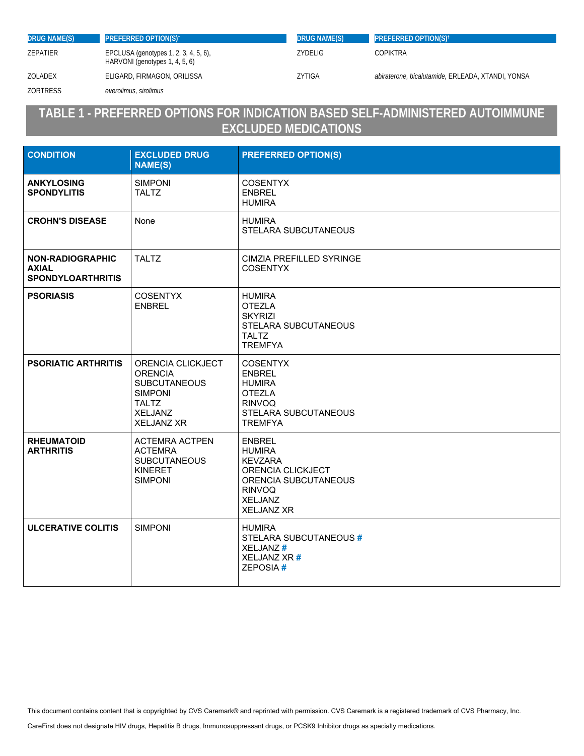| <b>DRUG NAME(S)</b> | <b>PREFERRED OPTION(S)<sup>t</sup></b>                                  | <b>DRUG NAME(S)</b> | <b>PREFERRED OPTION(S)<sup>t</sup></b>            |
|---------------------|-------------------------------------------------------------------------|---------------------|---------------------------------------------------|
| ZEPATIER            | EPCLUSA (genotypes 1, 2, 3, 4, 5, 6),<br>HARVONI (genotypes 1, 4, 5, 6) | <b>ZYDELIG</b>      | COPIKTRA                                          |
| ZOLADEX             | ELIGARD, FIRMAGON, ORILISSA                                             | ZYTIGA              | abiraterone, bicalutamide, ERLEADA, XTANDI, YONSA |
| <b>ZORTRESS</b>     | everolimus, sirolimus                                                   |                     |                                                   |

## **TABLE 1 - PREFERRED OPTIONS FOR INDICATION BASED SELF-ADMINISTERED AUTOIMMUNE EXCLUDED MEDICATIONS**

| <b>CONDITION</b>                                                    | <b>EXCLUDED DRUG</b><br><b>NAME(S)</b>                                                                                              | <b>PREFERRED OPTION(S)</b>                                                                                                                            |
|---------------------------------------------------------------------|-------------------------------------------------------------------------------------------------------------------------------------|-------------------------------------------------------------------------------------------------------------------------------------------------------|
| <b>ANKYLOSING</b><br><b>SPONDYLITIS</b>                             | <b>SIMPONI</b><br><b>TALTZ</b>                                                                                                      | <b>COSENTYX</b><br><b>ENBREL</b><br><b>HUMIRA</b>                                                                                                     |
| <b>CROHN'S DISEASE</b>                                              | None                                                                                                                                | <b>HUMIRA</b><br>STELARA SUBCUTANEOUS                                                                                                                 |
| <b>NON-RADIOGRAPHIC</b><br><b>AXIAL</b><br><b>SPONDYLOARTHRITIS</b> | <b>TALTZ</b>                                                                                                                        | CIMZIA PREFILLED SYRINGE<br><b>COSENTYX</b>                                                                                                           |
| <b>PSORIASIS</b>                                                    | <b>COSENTYX</b><br><b>ENBREL</b>                                                                                                    | <b>HUMIRA</b><br><b>OTEZLA</b><br><b>SKYRIZI</b><br>STELARA SUBCUTANEOUS<br><b>TALTZ</b><br><b>TREMFYA</b>                                            |
| <b>PSORIATIC ARTHRITIS</b>                                          | ORENCIA CLICKJECT<br><b>ORENCIA</b><br><b>SUBCUTANEOUS</b><br><b>SIMPONI</b><br><b>TALTZ</b><br><b>XELJANZ</b><br><b>XELJANZ XR</b> | <b>COSENTYX</b><br><b>ENBREL</b><br><b>HUMIRA</b><br><b>OTEZLA</b><br><b>RINVOQ</b><br>STELARA SUBCUTANEOUS<br><b>TREMFYA</b>                         |
| <b>RHEUMATOID</b><br><b>ARTHRITIS</b>                               | <b>ACTEMRA ACTPEN</b><br><b>ACTEMRA</b><br><b>SUBCUTANEOUS</b><br><b>KINERET</b><br><b>SIMPONI</b>                                  | <b>ENBREL</b><br><b>HUMIRA</b><br><b>KEVZARA</b><br>ORENCIA CLICKJECT<br>ORENCIA SUBCUTANEOUS<br><b>RINVOQ</b><br><b>XELJANZ</b><br><b>XELJANZ XR</b> |
| <b>ULCERATIVE COLITIS</b>                                           | <b>SIMPONI</b>                                                                                                                      | HUMIRA<br>STELARA SUBCUTANEOUS #<br><b>XELJANZ#</b><br>XELJANZ XR#<br>ZEPOSIA#                                                                        |

This document contains content that is copyrighted by CVS Caremark® and reprinted with permission. CVS Caremark is a registered trademark of CVS Pharmacy, Inc.